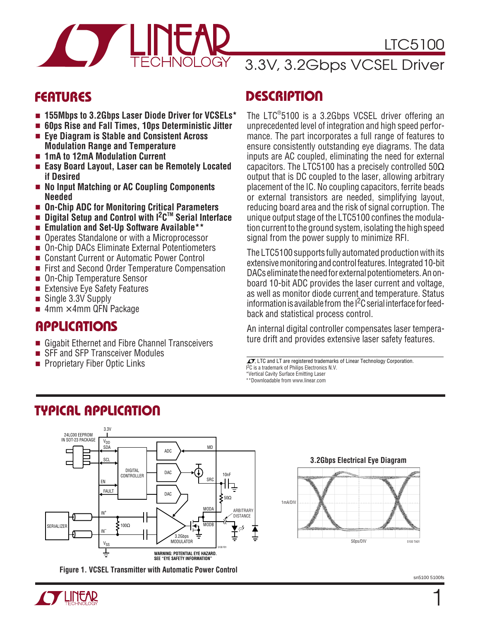

### LTC5100

### 3.3V, 3.2Gbps VCSEL Driver

### **FEATURES**

- **155Mbps to 3.2Gbps Laser Diode Driver for VCSELs\***
- **60ps Rise and Fall Times, 10ps Deterministic Jitter**
- **Eye Diagram is Stable and Consistent Across Modulation Range and Temperature**
- **1mA to 12mA Modulation Current**
- **Easy Board Layout, Laser can be Remotely Located if Desired**
- **No Input Matching or AC Coupling Components Needed**
- On-Chip ADC for Monitoring Critical Parameters
- **Digital Setup and Control with I2CTM Serial Interface**
- **Emulation and Set-Up Software Available\*\***
- Operates Standalone or with a Microprocessor
- On-Chip DACs Eliminate External Potentiometers
- Constant Current or Automatic Power Control
- First and Second Order Temperature Compensation
- On-Chip Temperature Sensor
- Extensive Eye Safety Features
- Single 3.3V Supply
- $4$ mm  $\times$  4mm QFN Package

# **Amm × 4mm QFN Pa**<br>**APPLICATIONS**

- Gigabit Ethernet and Fibre Channel Transceivers
- SFF and SFP Transceiver Modules<br>■ Proprietary Fiber Optic Links

**TYPICAL APPLICATION** 

### **DESCRIPTION**

The LTC® 5100 is a 3.2Gbps VCSEL driver offering an unprecedented level of integration and high speed performance. The part incorporates a full range of features to ensure consistently outstanding eye diagrams. The data inputs are AC coupled, eliminating the need for external capacitors. The LTC5100 has a precisely controlled 50 $\Omega$ output that is DC coupled to the laser, allowing arbitrary placement of the IC. No coupling capacitors, ferrite beads or external transistors are needed, simplifying layout, reducing board area and the risk of signal corruption. The unique output stage of the LTC5100 confines the modulation current to the ground system, isolating the high speed signal from the power supply to minimize RFI.

The LTC5100 supports fully automated production with its extensive monitoring and control features. Integrated 10-bit DACs eliminate the need for external potentiometers. An onboard 10-bit ADC provides the laser current and voltage, as well as monitor diode current and temperature. Status information is available from the  $l^2C$  serial interface for feedback and statistical process control.

An internal digital controller compensates laser temperature drift and provides extensive laser safety features.

 $\sqrt{J}$ , LTC and LT are registered trademarks of Linear Technology Corporation.

- I 2C is a trademark of Philips Electronics N.V.
- \*Vertical Cavity Surface Emitting Laser

\*\*Downloadable from www.linear.com



**Figure 1. VCSEL Transmitter with Automatic Power Control**



1

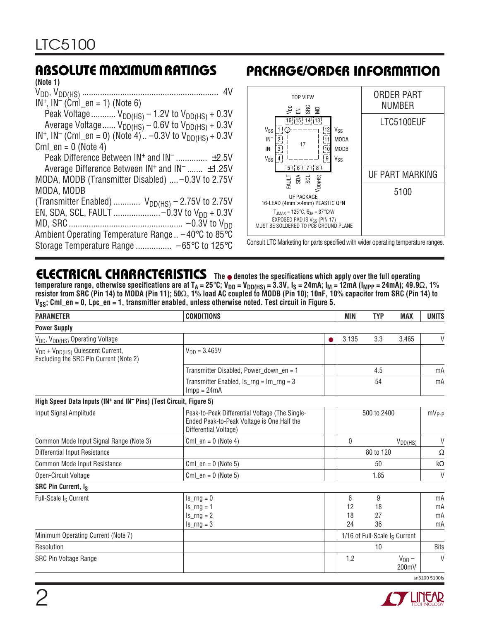| (Note 1)                                                                             |
|--------------------------------------------------------------------------------------|
|                                                                                      |
| $IN^+$ , $IN^-$ (CmI_en = 1) (Note 6)                                                |
| Peak Voltage $V_{DD(HS)} - 1.2V$ to $V_{DD(HS)} + 0.3V$                              |
| Average Voltage $V_{DD(HS)}$ – 0.6V to $V_{DD(HS)}$ + 0.3V                           |
| IN <sup>+</sup> , IN <sup>-</sup> (CmI_en = 0) (Note 4) -0.3V to $V_{DD(HS)} + 0.3V$ |
| $Cml_en = 0$ (Note 4)                                                                |
| Peak Difference Between $IN^+$ and $IN^ \pm 2.5V$                                    |
| Average Difference Between IN <sup>+</sup> and IN <sup>-</sup> ±1.25V                |
| MODA, MODB (Transmitter Disabled)  -0.3V to 2.75V                                    |
| MODA, MODB                                                                           |
| (Transmitter Enabled) $V_{DD(HS)} - 2.75V$ to 2.75V                                  |
| EN, SDA, SCL, FAULT -0.3V to V <sub>DD</sub> + 0.3V                                  |
|                                                                                      |
| Ambient Operating Temperature Range $. -40^{\circ}$ C to 85°C                        |
| Storage Temperature Range  -65°C to 125°C                                            |
|                                                                                      |

### **ABSOLUTE MAXIMUM RATINGS PACKAGE/ORDER INFORMATION**



Consult LTC Marketing for parts specified with wider operating temperature ranges.

### **ELECTRICAL CHARACTERISTICS The** ● **denotes the specifications which apply over the full operating**

temperature range, otherwise specifications are at T<sub>A</sub> = 25°C; V<sub>DD</sub> = V<sub>DD(HS)</sub> = 3.3V, I<sub>S</sub> = 24mA; I<sub>M</sub> = 12mA (I<sub>MPP</sub> = 24mA); 49.9Ω, 1% **resistor from SRC (Pin 14) to MODA (Pin 11); 50**Ω**, 1% load AC coupled to MODB (Pin 10); 10nF, 10% capacitor from SRC (Pin 14) to** V<sub>SS</sub>; Cml en = 0, Lpc en = 1, transmitter enabled, unless otherwise noted. Test circuit in Figure 5.

| <b>PARAMETER</b>                                                                                   | <b>CONDITIONS</b>                                                                                                     | MIN | <b>TYP</b>          | <b>MAX</b>          | <b>UNITS</b>                  |                      |
|----------------------------------------------------------------------------------------------------|-----------------------------------------------------------------------------------------------------------------------|-----|---------------------|---------------------|-------------------------------|----------------------|
| <b>Power Supply</b>                                                                                |                                                                                                                       |     |                     |                     |                               |                      |
| V <sub>DD</sub> , V <sub>DD(HS)</sub> Operating Voltage                                            |                                                                                                                       |     | 3.135               | 3.3                 | 3.465                         | V                    |
| V <sub>DD</sub> + V <sub>DD(HS)</sub> Quiescent Current,<br>Excluding the SRC Pin Current (Note 2) | $V_{DD} = 3.465V$                                                                                                     |     |                     |                     |                               |                      |
|                                                                                                    | Transmitter Disabled, Power_down_en = 1                                                                               |     |                     | 4.5                 |                               | mA                   |
|                                                                                                    | Transmitter Enabled, $ls_{\text{mg}} = lm_{\text{mg}} = 3$<br>$Impp = 24mA$                                           |     |                     | 54                  |                               | mA                   |
| High Speed Data Inputs (IN <sup>+</sup> and IN <sup>-</sup> Pins) (Test Circuit, Figure 5)         |                                                                                                                       |     |                     |                     |                               |                      |
| Input Signal Amplitude                                                                             | Peak-to-Peak Differential Voltage (The Single-<br>Ended Peak-to-Peak Voltage is One Half the<br>Differential Voltage) |     | 500 to 2400         |                     |                               | $mV_{P-P}$           |
| Common Mode Input Signal Range (Note 3)                                                            | $Cml_en = 0$ (Note 4)                                                                                                 |     | 0                   |                     | $V_{DD(HS)}$                  | $\vee$               |
| Differential Input Resistance                                                                      |                                                                                                                       |     |                     | 80 to 120           |                               | $\Omega$             |
| Common Mode Input Resistance                                                                       | Cml $en = 0$ (Note 5)                                                                                                 |     |                     | 50                  |                               | $k\Omega$            |
| Open-Circuit Voltage                                                                               | $Cml$ en = 0 (Note 5)                                                                                                 |     | 1.65                |                     |                               | V                    |
| SRC Pin Current, Is                                                                                |                                                                                                                       |     |                     |                     |                               |                      |
| Full-Scale I <sub>S</sub> Current                                                                  | $Is_rng=0$<br>$Is_$ ng = 1<br>$Is_rng = 2$<br>$Is_rng = 3$                                                            |     | 6<br>12<br>18<br>24 | 9<br>18<br>27<br>36 |                               | mA<br>mA<br>mA<br>mA |
| Minimum Operating Current (Note 7)                                                                 |                                                                                                                       |     |                     |                     | 1/16 of Full-Scale Is Current |                      |
| Resolution                                                                                         |                                                                                                                       |     |                     | 10                  |                               | <b>Bits</b>          |
| <b>SRC Pin Voltage Range</b>                                                                       |                                                                                                                       |     | 1.2                 |                     | $V_{DD}$ –<br>200mV           | $\mathsf{V}$         |

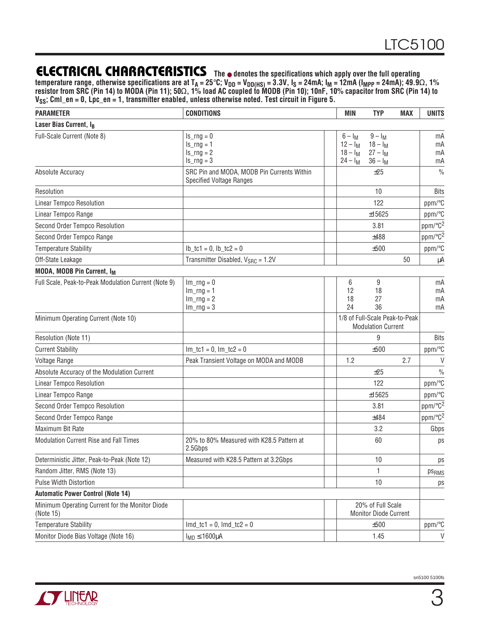temperature range, otherwise specifications are at T<sub>A</sub> = 25°C; V<sub>DD</sub> = V<sub>DD(HS)</sub> = 3.3V, I<sub>S</sub> = 24mA; I<sub>M</sub> = 12mA (I<sub>MPP</sub> = 24mA); 49.9Ω, 1% **resistor from SRC (Pin 14) to MODA (Pin 11); 50**Ω**, 1% load AC coupled to MODB (Pin 10); 10nF, 10% capacitor from SRC (Pin 14) to VSS; Cml\_en = 0, Lpc\_en = 1, transmitter enabled, unless otherwise noted. Test circuit in Figure 5.**

| <b>PARAMETER</b>                                             | <b>CONDITIONS</b>                                                             | <b>MIN</b>                                          | <b>TYP</b>                                                  | <b>MAX</b> | <b>UNITS</b>             |
|--------------------------------------------------------------|-------------------------------------------------------------------------------|-----------------------------------------------------|-------------------------------------------------------------|------------|--------------------------|
| Laser Bias Current, IB                                       |                                                                               |                                                     |                                                             |            |                          |
| Full-Scale Current (Note 8)                                  | $Is_rng=0$<br>$ls$ _rng = 1<br>$Is_rng = 2$<br>$Is_rng = 3$                   | $6 - I_M$<br>$12 - I_M$<br>$18 - I_M$<br>$24 - I_M$ | $9 - I_M$<br>$18 - I_M$<br>$27 - I_M$<br>$36 - I_M$         |            | mA<br>mA<br>mA<br>mA     |
| Absolute Accuracy                                            | SRC Pin and MODA, MODB Pin Currents Within<br><b>Specified Voltage Ranges</b> |                                                     | ±25                                                         |            | $\frac{0}{0}$            |
| Resolution                                                   |                                                                               |                                                     | 10                                                          |            | <b>Bits</b>              |
| <b>Linear Tempco Resolution</b>                              |                                                                               |                                                     | 122                                                         |            | ppm/°C                   |
| Linear Tempco Range                                          |                                                                               |                                                     | ±15625                                                      |            | ppm/°C                   |
| Second Order Tempco Resolution                               |                                                                               |                                                     | 3.81                                                        |            | $ppm$ <sup>o</sup> $C^2$ |
| Second Order Tempco Range                                    |                                                                               |                                                     | ±488                                                        |            | ppm/°C <sup>2</sup>      |
| <b>Temperature Stability</b>                                 | $lb_{ctc1} = 0$ , $lb_{ctc2} = 0$                                             |                                                     | ±500                                                        |            | ppm/°C                   |
| Off-State Leakage                                            | Transmitter Disabled, V <sub>SRC</sub> = 1.2V                                 |                                                     |                                                             | 50         | μA                       |
| MODA, MODB Pin Current, I <sub>M</sub>                       |                                                                               |                                                     |                                                             |            |                          |
| Full Scale, Peak-to-Peak Modulation Current (Note 9)         | $Im_rng = 0$<br>$Im_rng = 1$<br>$Im_rng = 2$<br>$Im_rng = 3$                  | 6<br>12<br>18<br>24                                 | 9<br>18<br>27<br>36                                         |            | mA<br>mA<br>mA<br>mA     |
| Minimum Operating Current (Note 10)                          |                                                                               |                                                     | 1/8 of Full-Scale Peak-to-Peak<br><b>Modulation Current</b> |            |                          |
| Resolution (Note 11)                                         |                                                                               |                                                     | 9                                                           |            | <b>Bits</b>              |
| <b>Current Stability</b>                                     | $Im_t c1 = 0$ , $Im_t c2 = 0$                                                 |                                                     | ±500                                                        |            | ppm/°C                   |
| Voltage Range                                                | Peak Transient Voltage on MODA and MODB                                       | 1.2                                                 |                                                             | 2.7        | $\vee$                   |
| Absolute Accuracy of the Modulation Current                  |                                                                               |                                                     | ±25                                                         |            | $\frac{0}{0}$            |
| <b>Linear Tempco Resolution</b>                              |                                                                               |                                                     | 122                                                         |            | ppm/°C                   |
| Linear Tempco Range                                          |                                                                               |                                                     | ±15625                                                      |            | ppm/°C                   |
| Second Order Tempco Resolution                               |                                                                               |                                                     | 3.81                                                        |            | ppm/°C <sup>2</sup>      |
| Second Order Tempco Range                                    |                                                                               |                                                     | ±484                                                        |            | ppm/°C <sup>2</sup>      |
| Maximum Bit Rate                                             |                                                                               |                                                     | 3.2                                                         |            | Gbps                     |
| Modulation Current Rise and Fall Times                       | 20% to 80% Measured with K28.5 Pattern at<br>2.5Gbps                          |                                                     | 60                                                          |            | ps                       |
| Deterministic Jitter, Peak-to-Peak (Note 12)                 | Measured with K28.5 Pattern at 3.2Gbps                                        |                                                     | 10                                                          |            | ps                       |
| Random Jitter, RMS (Note 13)                                 |                                                                               |                                                     | 1                                                           |            | ps <sub>RMS</sub>        |
| <b>Pulse Width Distortion</b>                                |                                                                               |                                                     | 10                                                          |            | ps                       |
| <b>Automatic Power Control (Note 14)</b>                     |                                                                               |                                                     |                                                             |            |                          |
| Minimum Operating Current for the Monitor Diode<br>(Note 15) |                                                                               |                                                     | 20% of Full Scale<br><b>Monitor Diode Current</b>           |            |                          |
| <b>Temperature Stability</b>                                 | $Im d_t c_1 = 0$ , $Im d_t c_2 = 0$                                           |                                                     | ±500                                                        |            | ppm/°C                   |
| Monitor Diode Bias Voltage (Note 16)                         | $I_{MD} \le 1600 \mu A$                                                       |                                                     | 1.45                                                        |            | $\mathsf{V}$             |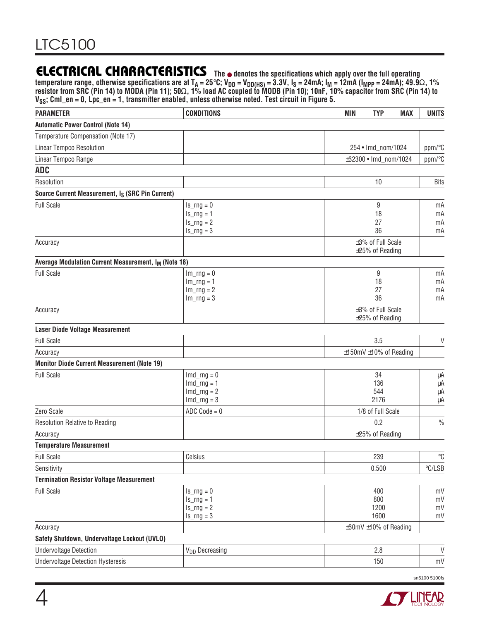temperature range, otherwise specifications are at T<sub>A</sub> = 25°C; V<sub>DD</sub> = V<sub>DD(HS)</sub> = 3.3V, I<sub>S</sub> = 24mA; I<sub>M</sub> = 12mA (I<sub>MPP</sub> = 24mA); 49.9Ω, 1% **resistor from SRC (Pin 14) to MODA (Pin 11); 50**Ω**, 1% load AC coupled to MODB (Pin 10); 10nF, 10% capacitor from SRC (Pin 14) to VSS; Cml\_en = 0, Lpc\_en = 1, transmitter enabled, unless otherwise noted. Test circuit in Figure 5.**

| <b>PARAMETER</b>                                                 | <b>CONDITIONS</b>          | <b>MIN</b><br><b>TYP</b><br><b>MAX</b> | <b>UNITS</b>      |
|------------------------------------------------------------------|----------------------------|----------------------------------------|-------------------|
| <b>Automatic Power Control (Note 14)</b>                         |                            |                                        |                   |
| Temperature Compensation (Note 17)                               |                            |                                        |                   |
| Linear Tempco Resolution                                         |                            | 254 • Imd_nom/1024                     | ppm/°C            |
| Linear Tempco Range                                              |                            | ±32300 · Imd_nom/1024                  | ppm/°C            |
| <b>ADC</b>                                                       |                            |                                        |                   |
| Resolution                                                       |                            | 10                                     | <b>Bits</b>       |
| Source Current Measurement, Is (SRC Pin Current)                 |                            |                                        |                   |
| <b>Full Scale</b>                                                | $Is_rng=0$                 | 9                                      | mA                |
|                                                                  | $Is_rng = 1$               | 18                                     | mA                |
|                                                                  | $ls$ _rng = 2              | 27                                     | mA                |
|                                                                  | $ls$ _rng = 3              | 36                                     | mA                |
| Accuracy                                                         |                            | ±3% of Full Scale                      |                   |
| Average Modulation Current Measurement, I <sub>M</sub> (Note 18) |                            | $\pm 25\%$ of Reading                  |                   |
| <b>Full Scale</b>                                                | $Im_rng = 0$               | 9                                      | mA                |
|                                                                  | $Im_rng = 1$               | 18                                     | mA                |
|                                                                  | $Im_rng = 2$               | 27                                     | mA                |
|                                                                  | $Im_rng = 3$               | 36                                     | mA                |
| Accuracy                                                         |                            | ±3% of Full Scale                      |                   |
|                                                                  |                            | $\pm 25\%$ of Reading                  |                   |
| <b>Laser Diode Voltage Measurement</b>                           |                            |                                        |                   |
| <b>Full Scale</b>                                                |                            | 3.5                                    | V                 |
| Accuracy                                                         |                            | $±150mV±10%$ of Reading                |                   |
| <b>Monitor Diode Current Measurement (Note 19)</b>               |                            |                                        |                   |
| <b>Full Scale</b>                                                | $Imd_{rr}$                 | 34                                     | μA                |
|                                                                  | $Imd_{rr}$                 | 136                                    | μA                |
|                                                                  | $Imd_{rr}$<br>$Imd_{rr}$   | 544<br>2176                            | μA<br>μA          |
| Zero Scale                                                       | $ADC Code = 0$             | 1/8 of Full Scale                      |                   |
| <b>Resolution Relative to Reading</b>                            |                            | 0.2                                    | $\frac{0}{0}$     |
| Accuracy                                                         |                            | $\pm 25\%$ of Reading                  |                   |
| <b>Temperature Measurement</b>                                   |                            |                                        |                   |
| <b>Full Scale</b>                                                | Celsius                    | 239                                    | $^{\circ}{\rm C}$ |
| Sensitivity                                                      |                            | 0.500                                  | °C/LSB            |
| <b>Termination Resistor Voltage Measurement</b>                  |                            |                                        |                   |
| <b>Full Scale</b>                                                | $ls_$ rng = 0              | 400                                    | mV                |
|                                                                  | $ls$ _rng = 1              | 800                                    | mV                |
|                                                                  | $ls_rng = 2$               | 1200                                   | mV                |
|                                                                  | $ls$ _rng = 3              | 1600                                   | mV                |
| Accuracy                                                         |                            | ±30mV ±10% of Reading                  |                   |
| Safety Shutdown, Undervoltage Lockout (UVLO)                     |                            |                                        |                   |
| <b>Undervoltage Detection</b>                                    | V <sub>DD</sub> Decreasing | 2.8                                    | $\vee$            |
| <b>Undervoltage Detection Hysteresis</b>                         |                            | 150                                    | mV                |

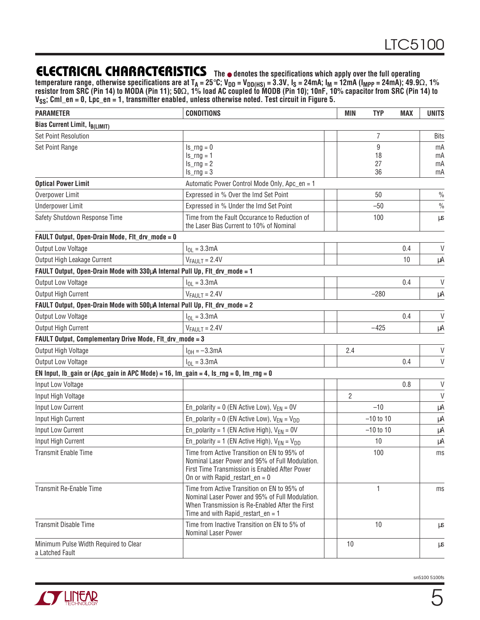temperature range, otherwise specifications are at T<sub>A</sub> = 25°C; V<sub>DD</sub> = V<sub>DD(HS)</sub> = 3.3V, I<sub>S</sub> = 24mA; I<sub>M</sub> = 12mA (I<sub>MPP</sub> = 24mA); 49.9Ω, 1% **resistor from SRC (Pin 14) to MODA (Pin 11); 50**Ω**, 1% load AC coupled to MODB (Pin 10); 10nF, 10% capacitor from SRC (Pin 14) to VSS; Cml\_en = 0, Lpc\_en = 1, transmitter enabled, unless otherwise noted. Test circuit in Figure 5.**

| <b>PARAMETER</b>                                                                               | <b>CONDITIONS</b>                                                                                                                                                                         |  | <b>MIN</b>     | <b>TYP</b>  | <b>MAX</b> | <b>UNITS</b>  |
|------------------------------------------------------------------------------------------------|-------------------------------------------------------------------------------------------------------------------------------------------------------------------------------------------|--|----------------|-------------|------------|---------------|
| <b>Bias Current Limit, IB(LIMIT)</b>                                                           |                                                                                                                                                                                           |  |                |             |            |               |
| <b>Set Point Resolution</b>                                                                    |                                                                                                                                                                                           |  |                | 7           |            | <b>Bits</b>   |
| Set Point Range                                                                                | $Is_rng=0$                                                                                                                                                                                |  |                | 9           |            | mA            |
|                                                                                                | $Is_$ ng = 1                                                                                                                                                                              |  |                | 18          |            | mA            |
|                                                                                                | $Is_rng = 2$<br>$Is_rng = 3$                                                                                                                                                              |  |                | 27<br>36    |            | mA<br>mA      |
| <b>Optical Power Limit</b>                                                                     | Automatic Power Control Mode Only, Apc_en = 1                                                                                                                                             |  |                |             |            |               |
| Overpower Limit                                                                                | Expressed in % Over the Imd Set Point                                                                                                                                                     |  |                | 50          |            | $\frac{0}{0}$ |
| <b>Underpower Limit</b>                                                                        | Expressed in % Under the Imd Set Point                                                                                                                                                    |  |                | $-50$       |            | $\frac{0}{0}$ |
| Safety Shutdown Response Time                                                                  | Time from the Fault Occurance to Reduction of<br>the Laser Bias Current to 10% of Nominal                                                                                                 |  |                | 100         |            | μS            |
| FAULT Output, Open-Drain Mode, FIt_drv_mode = 0                                                |                                                                                                                                                                                           |  |                |             |            |               |
| Output Low Voltage                                                                             | $I_{OL} = 3.3mA$                                                                                                                                                                          |  |                |             | 0.4        | V             |
| Output High Leakage Current                                                                    | $V_{FAULT} = 2.4V$                                                                                                                                                                        |  |                |             | 10         | μA            |
| FAULT Output, Open-Drain Mode with 330µA Internal Pull Up, FIt_drv_mode = 1                    |                                                                                                                                                                                           |  |                |             |            |               |
| Output Low Voltage                                                                             | $I_{OL} = 3.3mA$                                                                                                                                                                          |  |                |             | 0.4        | V             |
| Output High Current                                                                            | $V_{FAULT} = 2.4V$                                                                                                                                                                        |  |                | $-280$      |            | μA            |
| FAULT Output, Open-Drain Mode with 500µA Internal Pull Up, FIt_drv_mode = 2                    |                                                                                                                                                                                           |  |                |             |            |               |
| Output Low Voltage                                                                             | $I_{OL} = 3.3mA$                                                                                                                                                                          |  |                |             | 0.4        | $\vee$        |
| Output High Current                                                                            | $V_{FAULT} = 2.4V$                                                                                                                                                                        |  |                | $-425$      |            | μA            |
| FAULT Output, Complementary Drive Mode, FIt_drv_mode = 3                                       |                                                                                                                                                                                           |  |                |             |            |               |
| Output High Voltage                                                                            | $I_{OH} = -3.3mA$                                                                                                                                                                         |  | 2.4            |             |            | V             |
| Output Low Voltage                                                                             | $I_{OL} = 3.3mA$                                                                                                                                                                          |  |                |             | 0.4        | $\mathsf{V}$  |
| EN Input, Ib_gain or (Apc_gain in APC Mode) = 16, $Im$ _gain = 4, $ls$ _rng = 0, $Im$ _rng = 0 |                                                                                                                                                                                           |  |                |             |            |               |
| Input Low Voltage                                                                              |                                                                                                                                                                                           |  |                |             | 0.8        | $\mathsf V$   |
| Input High Voltage                                                                             |                                                                                                                                                                                           |  | $\overline{2}$ |             |            | $\vee$        |
| Input Low Current                                                                              | En_polarity = $0$ (EN Active Low), $V_{EN} = 0V$                                                                                                                                          |  |                | $-10$       |            | μA            |
| Input High Current                                                                             | En_polarity = 0 (EN Active Low), $V_{EN} = V_{DD}$                                                                                                                                        |  |                | $-10$ to 10 |            | μA            |
| Input Low Current                                                                              | En_polarity = 1 (EN Active High), $V_{FN} = 0V$                                                                                                                                           |  |                | $-10$ to 10 |            | μA            |
| Input High Current                                                                             | En_polarity = 1 (EN Active High), $V_{EN} = V_{DD}$                                                                                                                                       |  |                | 10          |            | μA            |
| <b>Transmit Enable Time</b>                                                                    | Time from Active Transition on EN to 95% of<br>Nominal Laser Power and 95% of Full Modulation.<br>First Time Transmission is Enabled After Power<br>On or with Rapid_restart_en = $0$     |  |                | 100         |            | ms            |
| Transmit Re-Enable Time                                                                        | Time from Active Transition on EN to 95% of<br>Nominal Laser Power and 95% of Full Modulation.<br>When Transmission is Re-Enabled After the First<br>Time and with Rapid_restart_en = $1$ |  |                | 1           |            | ms            |
| <b>Transmit Disable Time</b>                                                                   | Time from Inactive Transition on EN to 5% of<br>Nominal Laser Power                                                                                                                       |  |                | 10          |            | μS            |
| Minimum Pulse Width Required to Clear<br>a Latched Fault                                       |                                                                                                                                                                                           |  | 10             |             |            | μS            |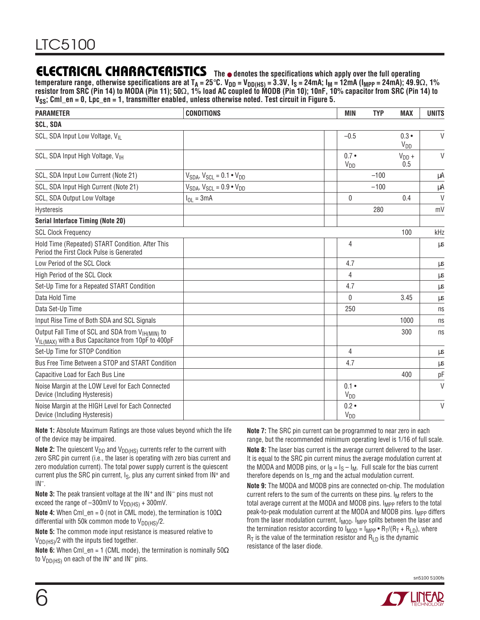temperature range, otherwise specifications are at T<sub>A</sub> = 25°C. V<sub>DD</sub> = V<sub>DD(HS)</sub> = 3.3V, I<sub>S</sub> = 24mA; I<sub>M</sub> = 12mA (I<sub>MPP</sub> = 24mA); 49.9Ω, 1% **resistor from SRC (Pin 14) to MODA (Pin 11); 50**Ω**, 1% load AC coupled to MODB (Pin 10); 10nF, 10% capacitor from SRC (Pin 14) to VSS; Cml\_en = 0, Lpc\_en = 1, transmitter enabled, unless otherwise noted. Test circuit in Figure 5.**

| <b>PARAMETER</b>                                                                                                   | <b>CONDITIONS</b>                        | <b>MIN</b>                       | <b>TYP</b> | <b>MAX</b>                       | <b>UNITS</b> |
|--------------------------------------------------------------------------------------------------------------------|------------------------------------------|----------------------------------|------------|----------------------------------|--------------|
| <b>SCL, SDA</b>                                                                                                    |                                          |                                  |            |                                  |              |
| SCL, SDA Input Low Voltage, VII                                                                                    |                                          | $-0.5$                           |            | $0.3 \bullet$<br>V <sub>DD</sub> | $\vee$       |
| SCL, SDA Input High Voltage, VIH                                                                                   |                                          | $0.7 \bullet$<br>V <sub>DD</sub> |            | $V_{DD}$ +<br>0.5                | $\vee$       |
| SCL, SDA Input Low Current (Note 21)                                                                               | $V_{SDA}$ , $V_{SCL} = 0.1 \cdot V_{DD}$ |                                  | $-100$     |                                  | μA           |
| SCL, SDA Input High Current (Note 21)                                                                              | $V_{SDA}$ , $V_{SCL} = 0.9 \cdot V_{DD}$ |                                  | $-100$     |                                  | μA           |
| SCL, SDA Output Low Voltage                                                                                        | $I_{OL} = 3mA$                           | $\bf{0}$                         |            | 0.4                              | $\vee$       |
| Hysteresis                                                                                                         |                                          |                                  | 280        |                                  | mV           |
| <b>Serial Interface Timing (Note 20)</b>                                                                           |                                          |                                  |            |                                  |              |
| <b>SCL Clock Frequency</b>                                                                                         |                                          |                                  |            | 100                              | kHz          |
| Hold Time (Repeated) START Condition. After This<br>Period the First Clock Pulse is Generated                      |                                          | 4                                |            |                                  | μs           |
| Low Period of the SCL Clock                                                                                        |                                          | 4.7                              |            |                                  | μs           |
| High Period of the SCL Clock                                                                                       |                                          | 4                                |            |                                  | μs           |
| Set-Up Time for a Repeated START Condition                                                                         |                                          | 4.7                              |            |                                  | μs           |
| Data Hold Time                                                                                                     |                                          | $\theta$                         |            | 3.45                             | μs           |
| Data Set-Up Time                                                                                                   |                                          | 250                              |            |                                  | ns           |
| Input Rise Time of Both SDA and SCL Signals                                                                        |                                          |                                  |            | 1000                             | ns           |
| Output Fall Time of SCL and SDA from VIH(MIN) to<br>$V_{\text{lL(MAX)}}$ with a Bus Capacitance from 10pF to 400pF |                                          |                                  |            | 300                              | ns           |
| Set-Up Time for STOP Condition                                                                                     |                                          | 4                                |            |                                  | μs           |
| Bus Free Time Between a STOP and START Condition                                                                   |                                          | 4.7                              |            |                                  | $\mu s$      |
| Capacitive Load for Each Bus Line                                                                                  |                                          |                                  |            | 400                              | pF           |
| Noise Margin at the LOW Level for Each Connected<br>Device (Including Hysteresis)                                  |                                          | $0.1 \cdot$<br>V <sub>DD</sub>   |            |                                  | $\vee$       |
| Noise Margin at the HIGH Level for Each Connected<br>Device (Including Hysteresis)                                 |                                          | $0.2 \bullet$<br>V <sub>DD</sub> |            |                                  | $\vee$       |

**Note 1:** Absolute Maximum Ratings are those values beyond which the life of the device may be impaired.

**Note 2:** The quiescent  $V_{DD}$  and  $V_{DD(HS)}$  currents refer to the current with zero SRC pin current (i.e., the laser is operating with zero bias current and zero modulation current). The total power supply current is the quiescent current plus the SRC pin current,  $I_S$ , plus any current sinked from  $IN^+$  and IN–.

**Note 3:** The peak transient voltage at the IN<sup>+</sup> and IN<sup>-</sup> pins must not exceed the range of  $-300$ mV to  $V_{DD(HS)} + 300$ mV.

**Note 4:** When Cml\_en = 0 (not in CML mode), the termination is 100Ω differential with 50k common mode to  $V_{DD(HS)}/2$ .

**Note 5:** The common mode input resistance is measured relative to V<sub>DD(HS)</sub>/2 with the inputs tied together.

**Note 6:** When Cml\_en = 1 (CML mode), the termination is nominally 50Ω to  $V_{DD(HS)}$  on each of the  $IN^+$  and  $IN^-$  pins.

**Note 7:** The SRC pin current can be programmed to near zero in each range, but the recommended minimum operating level is 1/16 of full scale. **Note 8:** The laser bias current is the average current delivered to the laser. It is equal to the SRC pin current minus the average modulation current at the MODA and MODB pins, or  $I_B = I_S - I_M$ . Full scale for the bias current therefore depends on Is\_rng and the actual modulation current.

**Note 9:** The MODA and MODB pins are connected on-chip. The modulation current refers to the sum of the currents on these pins.  $I_M$  refers to the total average current at the MODA and MODB pins. I<sub>MPP</sub> refers to the total peak-to-peak modulation current at the MODA and MODB pins. I<sub>MPP</sub> differs from the laser modulation current,  $I_{MOD}$ .  $I_{MPP}$  splits between the laser and the termination resistor according to  $I_{MOD} = I_{MPP} \cdot R_T/(R_T + R_{LD})$ , where  $R_T$  is the value of the termination resistor and  $R_{LD}$  is the dynamic resistance of the laser diode.

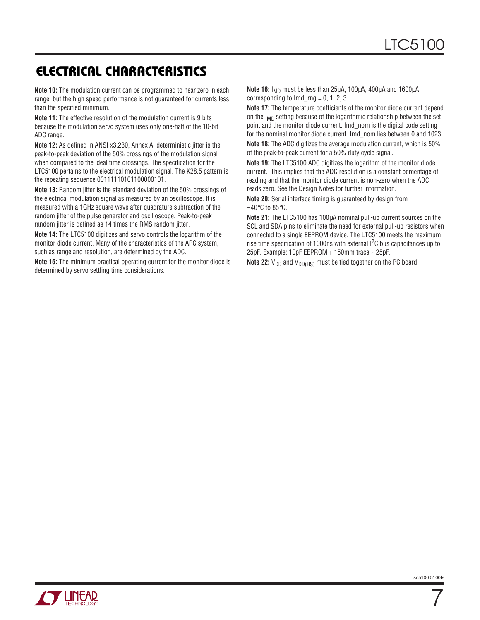### **ELECTRICAL CHARACTERISTICS**

**Note 10:** The modulation current can be programmed to near zero in each range, but the high speed performance is not guaranteed for currents less than the specified minimum.

**Note 11:** The effective resolution of the modulation current is 9 bits because the modulation servo system uses only one-half of the 10-bit ADC range.

**Note 12:** As defined in ANSI x3.230, Annex A, deterministic jitter is the peak-to-peak deviation of the 50% crossings of the modulation signal when compared to the ideal time crossings. The specification for the LTC5100 pertains to the electrical modulation signal. The K28.5 pattern is the repeating sequence 00111110101100000101.

**Note 13:** Random jitter is the standard deviation of the 50% crossings of the electrical modulation signal as measured by an oscilloscope. It is measured with a 1GHz square wave after quadrature subtraction of the random jitter of the pulse generator and oscilloscope. Peak-to-peak random jitter is defined as 14 times the RMS random jitter.

**Note 14:** The LTC5100 digitizes and servo controls the logarithm of the monitor diode current. Many of the characteristics of the APC system, such as range and resolution, are determined by the ADC.

**Note 15:** The minimum practical operating current for the monitor diode is determined by servo settling time considerations.

**Note 16:** I<sub>MD</sub> must be less than 25μA, 100μA, 400μA and 1600μA corresponding to  $Imd_{rr}$  = 0, 1, 2, 3.

**Note 17:** The temperature coefficients of the monitor diode current depend on the  $I_{MD}$  setting because of the logarithmic relationship between the set point and the monitor diode current. Imd\_nom is the digital code setting for the nominal monitor diode current. Imd\_nom lies between 0 and 1023.

**Note 18:** The ADC digitizes the average modulation current, which is 50% of the peak-to-peak current for a 50% duty cycle signal.

**Note 19:** The LTC5100 ADC digitizes the logarithm of the monitor diode current. This implies that the ADC resolution is a constant percentage of reading and that the monitor diode current is non-zero when the ADC reads zero. See the Design Notes for further information.

**Note 20:** Serial interface timing is guaranteed by design from  $-40$ °C to 85°C.

**Note 21:** The LTC5100 has 100µA nominal pull-up current sources on the SCL and SDA pins to eliminate the need for external pull-up resistors when connected to a single EEPROM device. The LTC5100 meets the maximum rise time specification of 1000ns with external I<sup>2</sup>C bus capacitances up to 25pF. Example: 10pF EEPROM + 150mm trace ~ 25pF.

**Note 22:**  $V_{DD}$  and  $V_{DD(HS)}$  must be tied together on the PC board.



7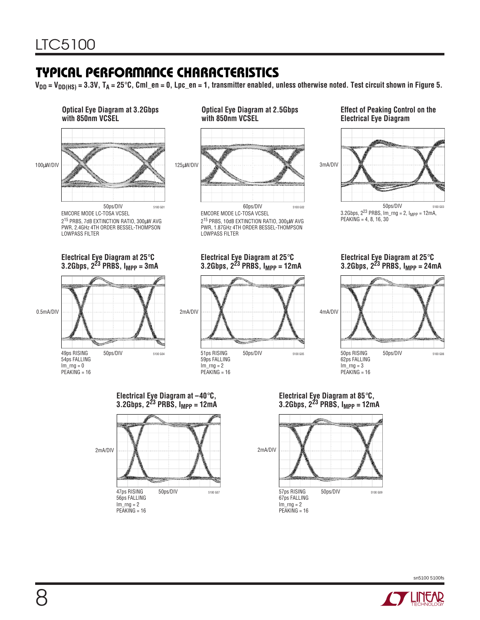### **TYPICAL PERFORMANCE CHARACTERISTICS**

**VDD = VDD(HS) = 3.3V, TA = 25**°**C, Cml\_en = 0, Lpc\_en = 1, transmitter enabled, unless otherwise noted. Test circuit shown in Figure 5.**



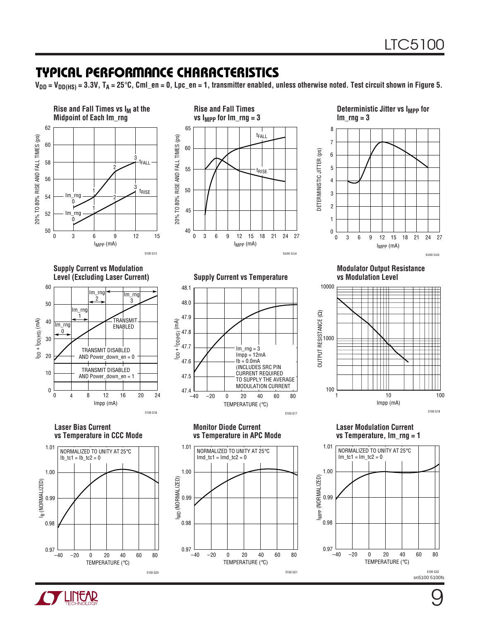### **TYPICAL PERFORMANCE CHARACTERISTICS**

**VDD = VDD(HS) = 3.3V, TA = 25**°**C, Cml\_en = 0, Lpc\_en = 1, transmitter enabled, unless otherwise noted. Test circuit shown in Figure 5.**



5100 G21



5100 G20

sn5100 5100fs

5100 G22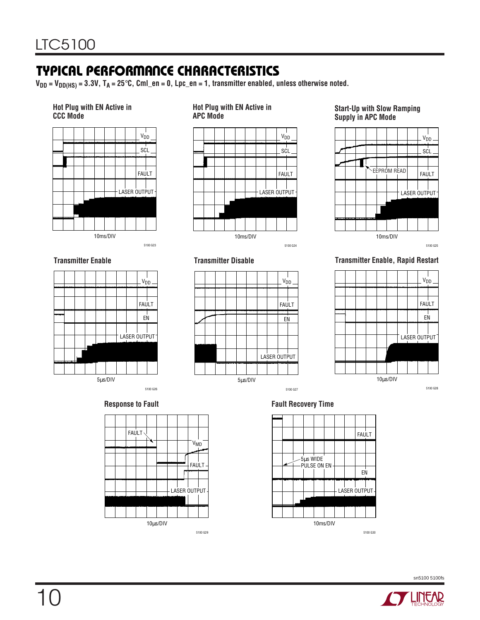### **TYPICAL PERFORMANCE CHARACTERISTICS**

**VDD = VDD(HS) = 3.3V, TA = 25**°**C, Cml\_en = 0, Lpc\_en = 1, transmitter enabled, unless otherwise noted.**

#### **Hot Plug with EN Active in CCC Mode**



**Transmitter Enable**



**Hot Plug with EN Active in**

5µs/DIV

**Transmitter Disable**

**Start-Up with Slow Ramping Supply in APC Mode**



5100 G25

#### **Transmitter Enable, Rapid Restart**







5µs/DIV





5100 G27

V<sub>DD</sub>

**FAULT** 

EN

LASER OUTPUT



sn5100 5100fs



10



V<sub>DD</sub>

5100 G23

**FAULT** 

EN

LASER OUTPUT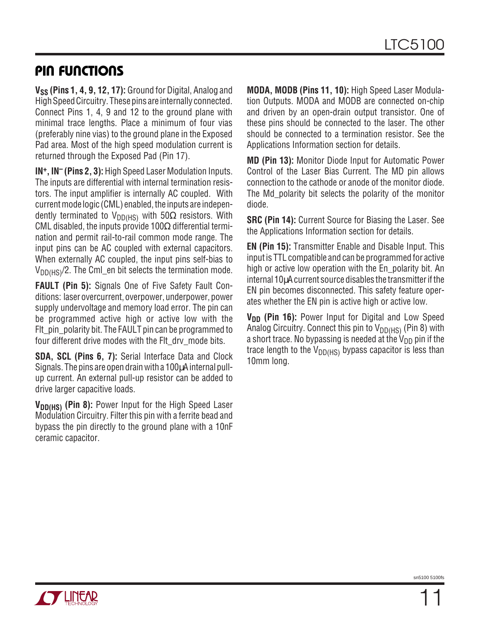### **PIN FUNCTIONS**

**V<sub>SS</sub>** (Pins 1, 4, 9, 12, 17): Ground for Digital, Analog and High Speed Circuitry. These pins are internally connected. Connect Pins 1, 4, 9 and 12 to the ground plane with minimal trace lengths. Place a minimum of four vias (preferably nine vias) to the ground plane in the Exposed Pad area. Most of the high speed modulation current is returned through the Exposed Pad (Pin 17).

**IN+, IN– (Pins 2, 3):** High Speed Laser Modulation Inputs. The inputs are differential with internal termination resistors. The input amplifier is internally AC coupled. With current mode logic (CML) enabled, the inputs are independently terminated to V<sub>DD(HS)</sub> with 50 $\Omega$  resistors. With CML disabled, the inputs provide 100 $\Omega$  differential termination and permit rail-to-rail common mode range. The input pins can be AC coupled with external capacitors. When externally AC coupled, the input pins self-bias to  $V_{DD(HS)}/2$ . The CmI\_en bit selects the termination mode.

**FAULT (Pin 5):** Signals One of Five Safety Fault Conditions: laser overcurrent, overpower, underpower, power supply undervoltage and memory load error. The pin can be programmed active high or active low with the Fit pin polarity bit. The FAULT pin can be programmed to four different drive modes with the FIt dry mode bits.

**SDA, SCL (Pins 6, 7):** Serial Interface Data and Clock Signals. The pins are open drain with a 100 $\mu$ A internal pullup current. An external pull-up resistor can be added to drive larger capacitive loads.

V<sub>DD(HS)</sub> (Pin 8): Power Input for the High Speed Laser Modulation Circuitry. Filter this pin with a ferrite bead and bypass the pin directly to the ground plane with a 10nF ceramic capacitor.

**MODA, MODB (Pins 11, 10):** High Speed Laser Modulation Outputs. MODA and MODB are connected on-chip and driven by an open-drain output transistor. One of these pins should be connected to the laser. The other should be connected to a termination resistor. See the Applications Information section for details.

**MD (Pin 13):** Monitor Diode Input for Automatic Power Control of the Laser Bias Current. The MD pin allows connection to the cathode or anode of the monitor diode. The Md\_polarity bit selects the polarity of the monitor diode.

**SRC (Pin 14):** Current Source for Biasing the Laser. See the Applications Information section for details.

**EN (Pin 15):** Transmitter Enable and Disable Input. This input is TTL compatible and can be programmed for active high or active low operation with the En\_polarity bit. An internal 10µA current source disables the transmitter if the EN pin becomes disconnected. This safety feature operates whether the EN pin is active high or active low.

**V<sub>DD</sub>** (Pin 16): Power Input for Digital and Low Speed Analog Circuitry. Connect this pin to  $V_{DD(HS)}$  (Pin 8) with a short trace. No bypassing is needed at the  $V_{DD}$  pin if the trace length to the  $V_{DD(HS)}$  bypass capacitor is less than 10mm long.

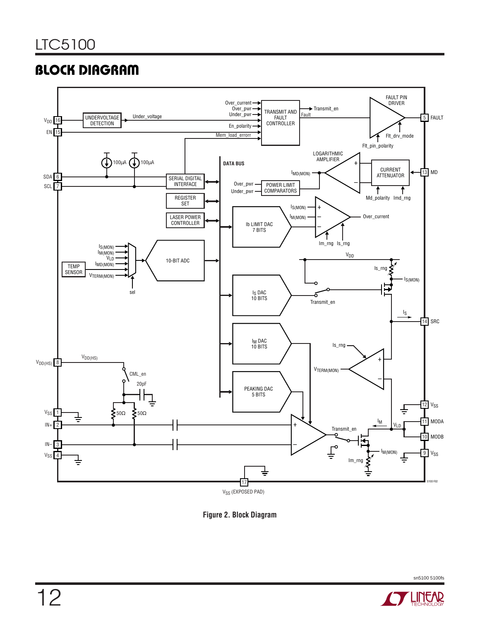### **BLOCK DIAGRAM**



**Figure 2. Block Diagram**

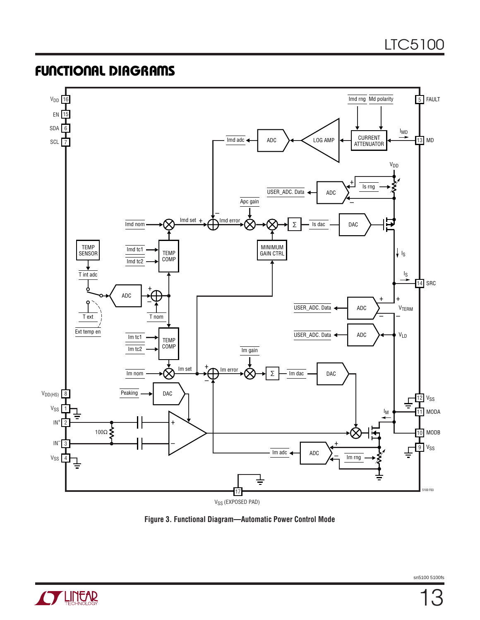### **FUNCTIONAL DIAGRAMS**



**Figure 3. Functional Diagram—Automatic Power Control Mode**

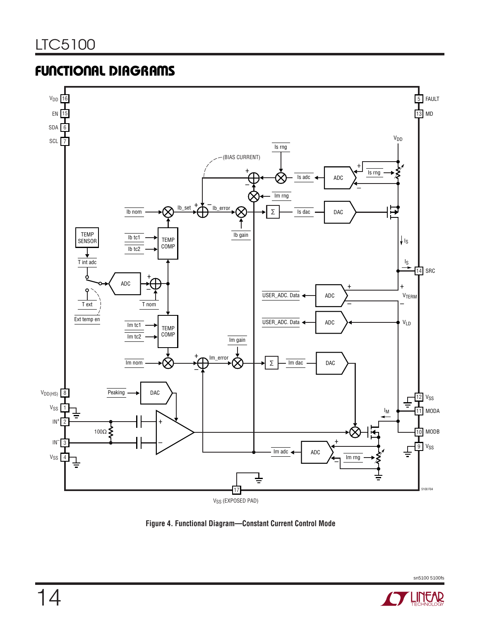### **FUNCTIONAL DIAGRAMS**



**Figure 4. Functional Diagram—Constant Current Control Mode**

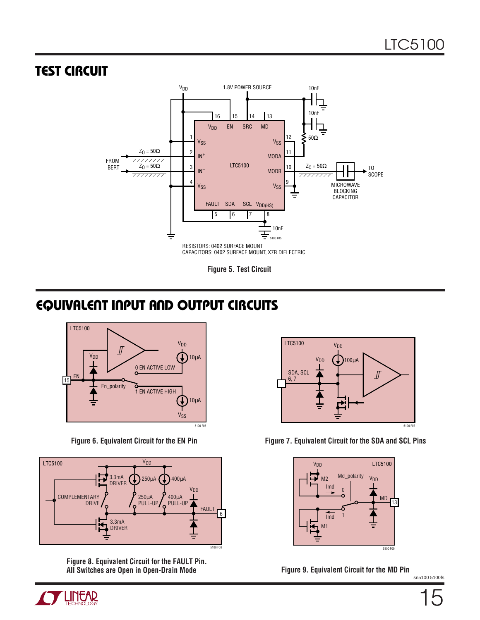### **TEST CIRCUIT**



**Figure 5. Test Circuit**

### **EQUIVALENT INPUT AND OUTPUT CIRCUITS**





**Figure 8. Equivalent Circuit for the FAULT Pin. All Switches are Open in Open-Drain Mode Figure 9. Equivalent Circuit for the MD Pin**



Figure 6. Equivalent Circuit for the EN Pin Figure 7. Equivalent Circuit for the SDA and SCL Pins



sn5100 5100fs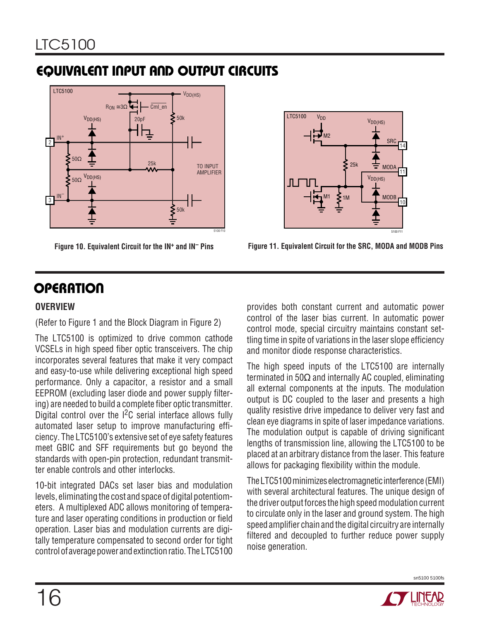### **EQUIVALENT INPUT AND OUTPUT CIRCUITS**





**Figure 10. Equivalent Circuit for the IN+ and IN– Pins Figure 11. Equivalent Circuit for the SRC, MODA and MODB Pins**

## **OPERATION**

#### **OVERVIEW**

(Refer to Figure 1 and the Block Diagram in Figure 2)

The LTC5100 is optimized to drive common cathode VCSELs in high speed fiber optic transceivers. The chip incorporates several features that make it very compact and easy-to-use while delivering exceptional high speed performance. Only a capacitor, a resistor and a small EEPROM (excluding laser diode and power supply filtering) are needed to build a complete fiber optic transmitter. Digital control over the I2C serial interface allows fully automated laser setup to improve manufacturing efficiency. The LTC5100's extensive set of eye safety features meet GBIC and SFF requirements but go beyond the standards with open-pin protection, redundant transmitter enable controls and other interlocks.

10-bit integrated DACs set laser bias and modulation levels, eliminating the cost and space of digital potentiometers. A multiplexed ADC allows monitoring of temperature and laser operating conditions in production or field operation. Laser bias and modulation currents are digitally temperature compensated to second order for tight control of average power and extinction ratio. The LTC5100

provides both constant current and automatic power control of the laser bias current. In automatic power control mode, special circuitry maintains constant settling time in spite of variations in the laser slope efficiency and monitor diode response characteristics.

The high speed inputs of the LTC5100 are internally terminated in 50Ω and internally AC coupled, eliminating all external components at the inputs. The modulation output is DC coupled to the laser and presents a high quality resistive drive impedance to deliver very fast and clean eye diagrams in spite of laser impedance variations. The modulation output is capable of driving significant lengths of transmission line, allowing the LTC5100 to be placed at an arbitrary distance from the laser. This feature allows for packaging flexibility within the module.

The LTC5100 minimizes electromagnetic interference (EMI) with several architectural features. The unique design of the driver output forces the high speed modulation current to circulate only in the laser and ground system. The high speed amplifier chain and the digital circuitry are internally filtered and decoupled to further reduce power supply noise generation.

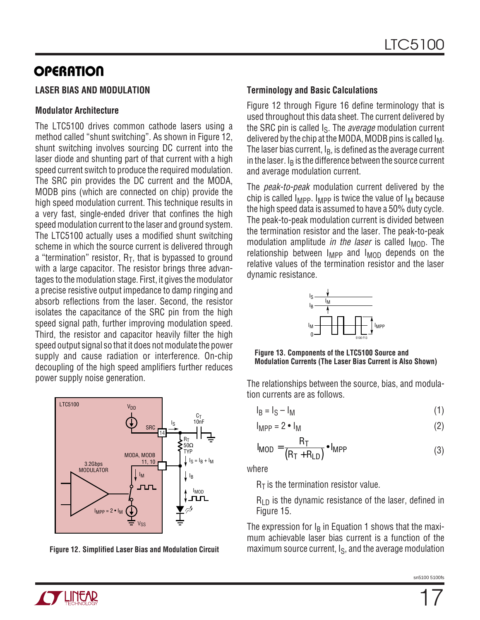#### **LASER BIAS AND MODULATION**

#### **Modulator Architecture**

The LTC5100 drives common cathode lasers using a method called "shunt switching". As shown in Figure 12, shunt switching involves sourcing DC current into the laser diode and shunting part of that current with a high speed current switch to produce the required modulation. The SRC pin provides the DC current and the MODA, MODB pins (which are connected on chip) provide the high speed modulation current. This technique results in a very fast, single-ended driver that confines the high speed modulation current to the laser and ground system. The LTC5100 actually uses a modified shunt switching scheme in which the source current is delivered through a "termination" resistor,  $R_T$ , that is bypassed to ground with a large capacitor. The resistor brings three advantages to the modulation stage. First, it gives the modulator a precise resistive output impedance to damp ringing and absorb reflections from the laser. Second, the resistor isolates the capacitance of the SRC pin from the high speed signal path, further improving modulation speed. Third, the resistor and capacitor heavily filter the high speed output signal so that it does not modulate the power supply and cause radiation or interference. On-chip decoupling of the high speed amplifiers further reduces power supply noise generation.



**Figure 12. Simplified Laser Bias and Modulation Circuit**

#### **Terminology and Basic Calculations**

Figure 12 through Figure 16 define terminology that is used throughout this data sheet. The current delivered by the SRC pin is called  $I_S$ . The *average* modulation current delivered by the chip at the MODA, MODB pins is called  $I_M$ . The laser bias current,  $I_B$ , is defined as the average current in the laser.  $I<sub>B</sub>$  is the difference between the source current and average modulation current.

The peak-to-peak modulation current delivered by the chip is called  $I_{\text{MPP}}$ .  $I_{\text{MPP}}$  is twice the value of  $I_{\text{M}}$  because the high speed data is assumed to have a 50% duty cycle. The peak-to-peak modulation current is divided between the termination resistor and the laser. The peak-to-peak modulation amplitude in the laser is called  $I_{\text{MOD}}$ . The relationship between  $I_{MPP}$  and  $I_{MOD}$  depends on the relative values of the termination resistor and the laser dynamic resistance.



**Figure 13. Components of the LTC5100 Source and Modulation Currents (The Laser Bias Current is Also Shown)**

The relationships between the source, bias, and modulation currents are as follows.

$$
I_B = I_S - I_M \tag{1}
$$

$$
I_{\text{MPP}} = 2 \cdot I_{\text{M}}
$$
 (2)

$$
I_{\text{MOD}} = \frac{R_{\text{T}}}{(R_{\text{T}} + R_{\text{LD}})} \bullet I_{\text{MPP}}
$$
 (3)

where

 $R<sub>T</sub>$  is the termination resistor value.

 $R_{LD}$  is the dynamic resistance of the laser, defined in Figure 15.

The expression for  $I_B$  in Equation 1 shows that the maximum achievable laser bias current is a function of the maximum source current,  $I_S$ , and the average modulation

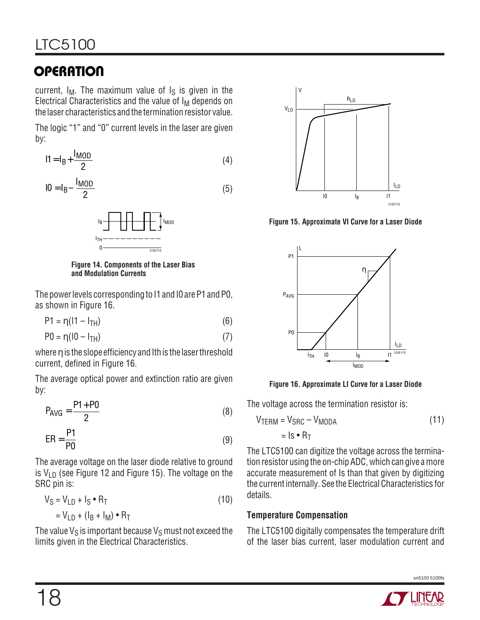current,  $I_M$ . The maximum value of  $I_S$  is given in the Electrical Characteristics and the value of  $I_M$  depends on the laser characteristics and the termination resistor value.

The logic "1" and "0" current levels in the laser are given by:

$$
11 = IB + \frac{IMOD}{2}
$$
 (4)

$$
10 = I_B - \frac{I_{MOD}}{2} \tag{5}
$$



**Figure 14. Components of the Laser Bias and Modulation Currents**

The power levels corresponding to I1 and I0 are P1 and P0, as shown in Figure 16.

 $P1 = \eta(11 - I_{TH})$  (6)

$$
P0 = \eta (10 - I_{TH}) \tag{7}
$$

where η is the slope efficiency and Ith is the laser threshold current, defined in Figure 16.

The average optical power and extinction ratio are given by:

$$
P_{AVG} = \frac{P1 + P0}{2}
$$
 (8)

$$
ER = \frac{P1}{P0}
$$
 (9)

The average voltage on the laser diode relative to ground is  $V_{LD}$  (see Figure 12 and Figure 15). The voltage on the SRC pin is:

$$
V_S = V_{LD} + I_S \cdot R_T
$$
  
= V<sub>LD</sub> + (I<sub>R</sub> + I<sub>M</sub>) \cdot R<sub>T</sub> (10)

The value  $V_S$  is important because  $V_S$  must not exceed the limits given in the Electrical Characteristics.



**Figure 15. Approximate VI Curve for a Laser Diode**



**Figure 16. Approximate LI Curve for a Laser Diode**

The voltage across the termination resistor is:

$$
VTERM = VSRC - VMODA
$$
 (11)  
= Is • R<sub>T</sub>

The LTC5100 can digitize the voltage across the termination resistor using the on-chip ADC, which can give a more accurate measurement of Is than that given by digitizing the current internally. See the Electrical Characteristics for details.

#### **Temperature Compensation**

The LTC5100 digitally compensates the temperature drift of the laser bias current, laser modulation current and

sn5100 5100fs

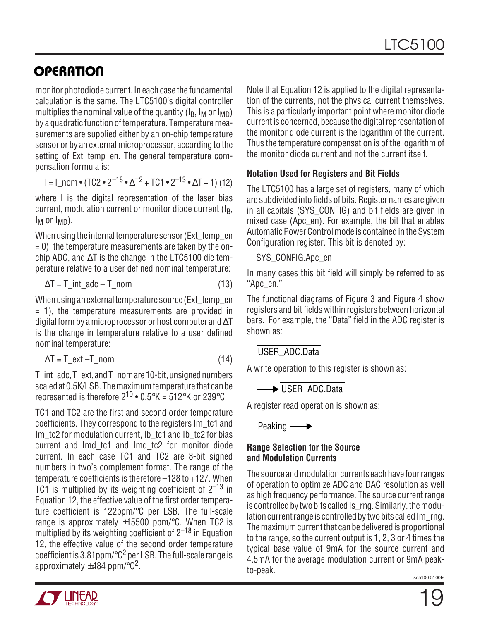monitor photodiode current. In each case the fundamental calculation is the same. The LTC5100's digital controller multiplies the nominal value of the quantity  $(I_B, I_M$  or  $I_{MD}$ ) by a quadratic function of temperature. Temperature measurements are supplied either by an on-chip temperature sensor or by an external microprocessor, according to the setting of Ext temp en. The general temperature compensation formula is:

$$
I = I_{\text{nom}} \cdot (TC2 \cdot 2^{-18} \cdot \Delta T^2 + TC1 \cdot 2^{-13} \cdot \Delta T + 1)
$$
 (12)

where I is the digital representation of the laser bias current, modulation current or monitor diode current (I<sub>B</sub>,  $I_M$  or  $I_{MD}$ ).

When using the internal temperature sensor (Ext\_temp\_en  $= 0$ ), the temperature measurements are taken by the onchip ADC, and ∆T is the change in the LTC5100 die temperature relative to a user defined nominal temperature:

$$
\Delta T = T_{int\_adc} - T_{nom} \tag{13}
$$

When using an external temperature source (Ext\_temp\_en  $= 1$ ), the temperature measurements are provided in digital form by a microprocessor or host computer and  $\Delta T$ is the change in temperature relative to a user defined nominal temperature:

$$
\Delta T = T_{\text{ext}} - T_{\text{nom}} \tag{14}
$$

T\_int\_adc, T\_ext, and T\_nom are 10-bit, unsigned numbers scaled at 0.5K/LSB. The maximum temperature that can be represented is therefore  $2^{10} \cdot 0.5^{\circ}$ K = 512°K or 239°C.

TC1 and TC2 are the first and second order temperature coefficients. They correspond to the registers Im\_tc1 and Im tc2 for modulation current, Ib tc1 and Ib tc2 for bias current and Imd\_tc1 and Imd\_tc2 for monitor diode current. In each case TC1 and TC2 are 8-bit signed numbers in two's complement format. The range of the temperature coefficients is therefore –128 to +127. When TC1 is multiplied by its weighting coefficient of  $2^{-13}$  in Equation 12, the effective value of the first order temperature coefficient is 122ppm/°C per LSB. The full-scale range is approximately  $\pm 15500$  ppm/ $\degree$ C. When TC2 is multiplied by its weighting coefficient of  $2^{-18}$  in Equation 12, the effective value of the second order temperature coefficient is 3.81 ppm/ $\textdegree$ C<sup>2</sup> per LSB. The full-scale range is approximately  $\pm$ 484 ppm/ $\degree$ C<sup>2</sup>.

Note that Equation 12 is applied to the digital representation of the currents, not the physical current themselves. This is a particularly important point where monitor diode current is concerned, because the digital representation of the monitor diode current is the logarithm of the current. Thus the temperature compensation is of the logarithm of the monitor diode current and not the current itself.

#### **Notation Used for Registers and Bit Fields**

The LTC5100 has a large set of registers, many of which are subdivided into fields of bits. Register names are given in all capitals (SYS\_CONFIG) and bit fields are given in mixed case (Apc\_en). For example, the bit that enables Automatic Power Control mode is contained in the System Configuration register. This bit is denoted by:

#### SYS\_CONFIG.Apc\_en

In many cases this bit field will simply be referred to as "Apc\_en."

The functional diagrams of Figure 3 and Figure 4 show registers and bit fields within registers between horizontal bars. For example, the "Data" field in the ADC register is shown as:

#### USER\_ADC.Data

A write operation to this register is shown as:

**■ USER\_ADC.Data** 

A register read operation is shown as:

Peaking  $\longrightarrow$ 

#### **Range Selection for the Source and Modulation Currents**

The source and modulation currents each have four ranges of operation to optimize ADC and DAC resolution as well as high frequency performance. The source current range is controlled by two bits called Is rng. Similarly, the modulation current range is controlled by two bits called Im\_rng. The maximum current that can be delivered is proportional to the range, so the current output is 1, 2, 3 or 4 times the typical base value of 9mA for the source current and 4.5mA for the average modulation current or 9mA peakto-peak.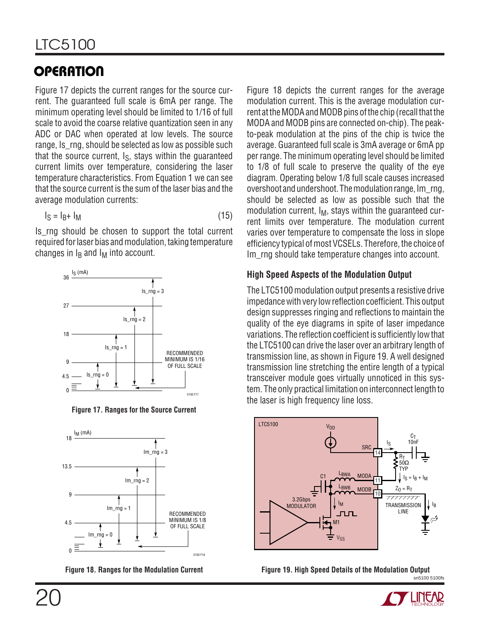Figure 17 depicts the current ranges for the source current. The guaranteed full scale is 6mA per range. The minimum operating level should be limited to 1/16 of full scale to avoid the coarse relative quantization seen in any ADC or DAC when operated at low levels. The source range, Is\_rng, should be selected as low as possible such that the source current,  $I_S$ , stays within the guaranteed current limits over temperature, considering the laser temperature characteristics. From Equation 1 we can see that the source current is the sum of the laser bias and the average modulation currents:

$$
I_S = I_B + I_M \tag{15}
$$

Is rng should be chosen to support the total current required for laser bias and modulation, taking temperature changes in  $I_B$  and  $I_M$  into account.



**Figure 17. Ranges for the Source Current**



Figure 18 depicts the current ranges for the average modulation current. This is the average modulation current at the MODA and MODB pins of the chip (recall that the MODA and MODB pins are connected on-chip). The peakto-peak modulation at the pins of the chip is twice the average. Guaranteed full scale is 3mA average or 6mA pp per range. The minimum operating level should be limited to 1/8 of full scale to preserve the quality of the eye diagram. Operating below 1/8 full scale causes increased overshoot and undershoot. The modulation range, Im\_rng, should be selected as low as possible such that the modulation current,  $I_M$ , stays within the guaranteed current limits over temperature. The modulation current varies over temperature to compensate the loss in slope efficiency typical of most VCSELs. Therefore, the choice of Im rng should take temperature changes into account.

#### **High Speed Aspects of the Modulation Output**

The LTC5100 modulation output presents a resistive drive impedance with very low reflection coefficient. This output design suppresses ringing and reflections to maintain the quality of the eye diagrams in spite of laser impedance variations. The reflection coefficient is sufficiently low that the LTC5100 can drive the laser over an arbitrary length of transmission line, as shown in Figure 19. A well designed transmission line stretching the entire length of a typical transceiver module goes virtually unnoticed in this system. The only practical limitation on interconnect length to the laser is high frequency line loss.



sn5100 5100fs Figure 18. Ranges for the Modulation Current **Figure 19. High Speed Details of the Modulation Output** 

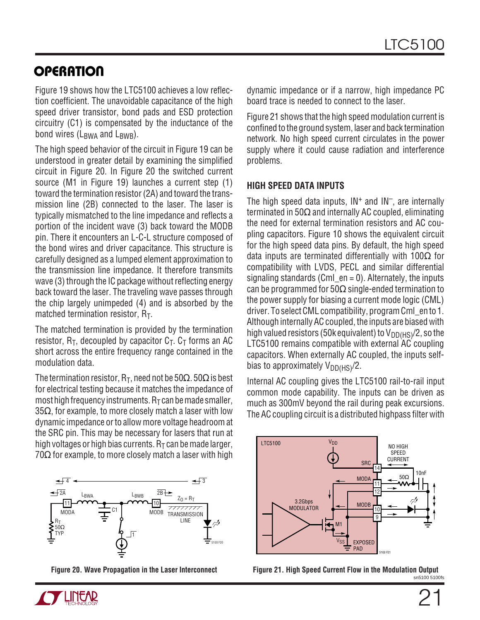Figure 19 shows how the LTC5100 achieves a low reflection coefficient. The unavoidable capacitance of the high speed driver transistor, bond pads and ESD protection circuitry (C1) is compensated by the inductance of the bond wires  $(L_{BWA}$  and  $L_{BWB}$ ).

The high speed behavior of the circuit in Figure 19 can be understood in greater detail by examining the simplified circuit in Figure 20. In Figure 20 the switched current source (M1 in Figure 19) launches a current step (1) toward the termination resistor (2A) and toward the transmission line (2B) connected to the laser. The laser is typically mismatched to the line impedance and reflects a portion of the incident wave (3) back toward the MODB pin. There it encounters an L-C-L structure composed of the bond wires and driver capacitance. This structure is carefully designed as a lumped element approximation to the transmission line impedance. It therefore transmits wave (3) through the IC package without reflecting energy back toward the laser. The traveling wave passes through the chip largely unimpeded (4) and is absorbed by the matched termination resistor,  $R_T$ .

The matched termination is provided by the termination resistor,  $R_T$ , decoupled by capacitor  $C_T$ .  $C_T$  forms an AC short across the entire frequency range contained in the modulation data.

The termination resistor,  $R_T$ , need not be 50 $\Omega$ . 50 $\Omega$  is best for electrical testing because it matches the impedance of most high frequency instruments.  $R<sub>T</sub>$  can be made smaller, 35 $\Omega$ , for example, to more closely match a laser with low dynamic impedance or to allow more voltage headroom at the SRC pin. This may be necessary for lasers that run at high voltages or high bias currents.  $R<sub>T</sub>$  can be made larger,  $70\Omega$  for example, to more closely match a laser with high



**Figure 20. Wave Propagation in the Laser Interconnect**

dynamic impedance or if a narrow, high impedance PC board trace is needed to connect to the laser.

Figure 21 shows that the high speed modulation current is confined to the ground system, laser and back termination network. No high speed current circulates in the power supply where it could cause radiation and interference problems.

#### **HIGH SPEED DATA INPUTS**

The high speed data inputs,  $IN<sup>+</sup>$  and  $IN<sup>-</sup>$ , are internally terminated in 50Ω and internally AC coupled, eliminating the need for external termination resistors and AC coupling capacitors. Figure 10 shows the equivalent circuit for the high speed data pins. By default, the high speed data inputs are terminated differentially with 100 $\Omega$  for compatibility with LVDS, PECL and similar differential signaling standards (Cml  $en = 0$ ). Alternately, the inputs can be programmed for  $50\Omega$  single-ended termination to the power supply for biasing a current mode logic (CML) driver. To select CML compatibility, program Cml\_en to 1. Although internally AC coupled, the inputs are biased with high valued resistors (50k equivalent) to  $V_{DD(HS)}/2$ , so the LTC5100 remains compatible with external AC coupling capacitors. When externally AC coupled, the inputs selfbias to approximately  $V_{DD(HS)}/2$ .

Internal AC coupling gives the LTC5100 rail-to-rail input common mode capability. The inputs can be driven as much as 300mV beyond the rail during peak excursions. The AC coupling circuit is a distributed highpass filter with



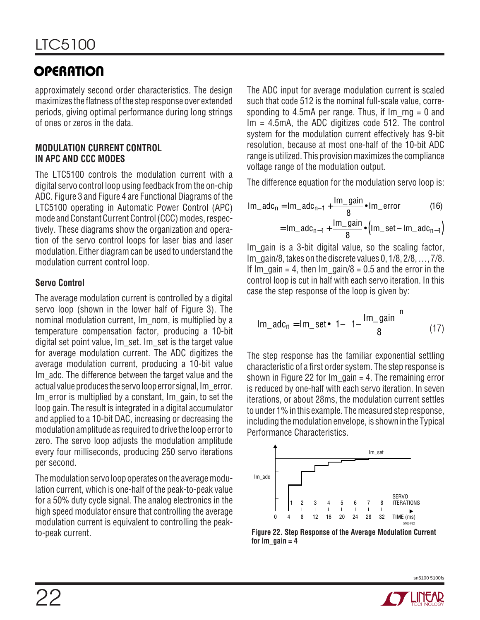approximately second order characteristics. The design maximizes the flatness of the step response over extended periods, giving optimal performance during long strings of ones or zeros in the data.

#### **MODULATION CURRENT CONTROL IN APC AND CCC MODES**

The LTC5100 controls the modulation current with a digital servo control loop using feedback from the on-chip ADC. Figure 3 and Figure 4 are Functional Diagrams of the LTC5100 operating in Automatic Power Control (APC) mode and Constant Current Control (CCC) modes, respectively. These diagrams show the organization and operation of the servo control loops for laser bias and laser modulation. Either diagram can be used to understand the modulation current control loop.

#### **Servo Control**

The average modulation current is controlled by a digital servo loop (shown in the lower half of Figure 3). The nominal modulation current, Im\_nom, is multiplied by a temperature compensation factor, producing a 10-bit digital set point value, Im\_set. Im\_set is the target value for average modulation current. The ADC digitizes the average modulation current, producing a 10-bit value Im adc. The difference between the target value and the actual value produces the servo loop error signal, Im\_error. Im error is multiplied by a constant, Im gain, to set the loop gain. The result is integrated in a digital accumulator and applied to a 10-bit DAC, increasing or decreasing the modulation amplitude as required to drive the loop error to zero. The servo loop adjusts the modulation amplitude every four milliseconds, producing 250 servo iterations per second.

The modulation servo loop operates on the average modulation current, which is one-half of the peak-to-peak value for a 50% duty cycle signal. The analog electronics in the high speed modulator ensure that controlling the average modulation current is equivalent to controlling the peakto-peak current.

The ADC input for average modulation current is scaled such that code 512 is the nominal full-scale value, corresponding to 4.5mA per range. Thus, if  $Im\_{rng} = 0$  and Im = 4.5mA, the ADC digitizes code 512. The control system for the modulation current effectively has 9-bit resolution, because at most one-half of the 10-bit ADC range is utilized. This provision maximizes the compliance voltage range of the modulation output.

The difference equation for the modulation servo loop is:

Im\_ado<sub>n</sub> = Im\_ado<sub>n-1</sub> + 
$$
\frac{Im\_gain}{8}
$$
 • Im\_error (16)  
= Im\_ado<sub>n-1</sub> +  $\frac{Im\_gain}{8}$  • (Im\_set – Im\_ado<sub>n-1</sub>)

Im gain is a 3-bit digital value, so the scaling factor, Im\_gain/8, takes on the discrete values 0, 1/8, 2/8, …, 7/8. If Im gain = 4, then Im gain/8 = 0.5 and the error in the control loop is cut in half with each servo iteration. In this case the step response of the loop is given by:

$$
Im\_adc_n = Im\_set \bullet \left[1 - \left(1 - \frac{Im\_gain}{8}\right)^n\right] \tag{17}
$$

The step response has the familiar exponential settling characteristic of a first order system. The step response is shown in Figure 22 for  $Im$  gain = 4. The remaining error is reduced by one-half with each servo iteration. In seven iterations, or about 28ms, the modulation current settles to under 1% in this example. The measured step response, including the modulation envelope, is shown in the Typical Performance Characteristics.



**Figure 22. Step Response of the Average Modulation Current** for  $Im$  gain  $= 4$ 

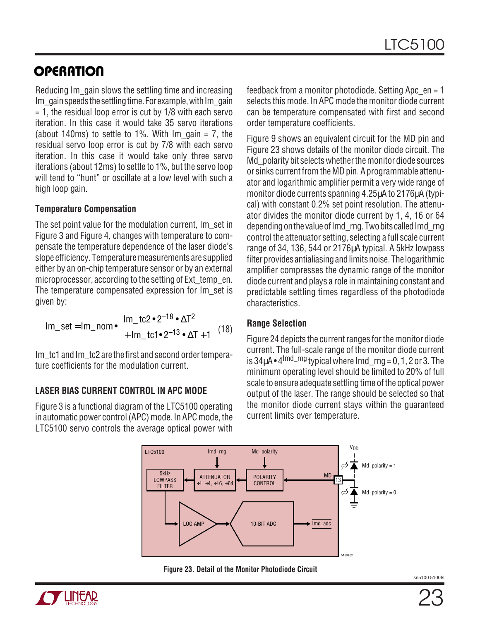Reducing Im\_gain slows the settling time and increasing Im gain speeds the settling time. For example, with Im\_gain  $= 1$ , the residual loop error is cut by  $1/8$  with each servo iteration. In this case it would take 35 servo iterations (about 140ms) to settle to 1%. With  $Im$  gain = 7, the residual servo loop error is cut by 7/8 with each servo iteration. In this case it would take only three servo iterations (about 12ms) to settle to 1%, but the servo loop will tend to "hunt" or oscillate at a low level with such a high loop gain.

#### **Temperature Compensation**

The set point value for the modulation current. Im set in Figure 3 and Figure 4, changes with temperature to compensate the temperature dependence of the laser diode's slope efficiency. Temperature measurements are supplied either by an on-chip temperature sensor or by an external microprocessor, according to the setting of Ext temp\_en. The temperature compensated expression for Im\_set is given by:

Im\_set = Im\_nom 
$$
\cdot
$$
  $\begin{pmatrix} Im_t c^2 \cdot 2^{-18} \cdot \Delta T^2 \\ + Im_t c^2 \cdot 2^{-13} \cdot \Delta T + 1 \end{pmatrix}$  (18)

Im tc1 and Im tc2 are the first and second order temperature coefficients for the modulation current.

#### **LASER BIAS CURRENT CONTROL IN APC MODE**

Figure 3 is a functional diagram of the LTC5100 operating in automatic power control (APC) mode. In APC mode, the LTC5100 servo controls the average optical power with

feedback from a monitor photodiode. Setting Apc  $en = 1$ selects this mode. In APC mode the monitor diode current can be temperature compensated with first and second order temperature coefficients.

Figure 9 shows an equivalent circuit for the MD pin and Figure 23 shows details of the monitor diode circuit. The Md polarity bit selects whether the monitor diode sources or sinks current from the MD pin. A programmable attenuator and logarithmic amplifier permit a very wide range of monitor diode currents spanning 4.25µA to 2176µA (typical) with constant 0.2% set point resolution. The attenuator divides the monitor diode current by 1, 4, 16 or 64 depending on the value of Imd rng. Two bits called Imd rng control the attenuator setting, selecting a full scale current range of 34, 136, 544 or 2176µA typical. A 5kHz lowpass filter provides antialiasing and limits noise. The logarithmic amplifier compresses the dynamic range of the monitor diode current and plays a role in maintaining constant and predictable settling times regardless of the photodiode characteristics.

#### **Range Selection**

Figure 24 depicts the current ranges for the monitor diode current. The full-scale range of the monitor diode current is  $34\mu$ A •  $4^{1}$ <sup>md\_rng</sup> typical where Imd  $ra = 0, 1, 2$  or 3. The minimum operating level should be limited to 20% of full scale to ensure adequate settling time of the optical power output of the laser. The range should be selected so that the monitor diode current stays within the guaranteed current limits over temperature.



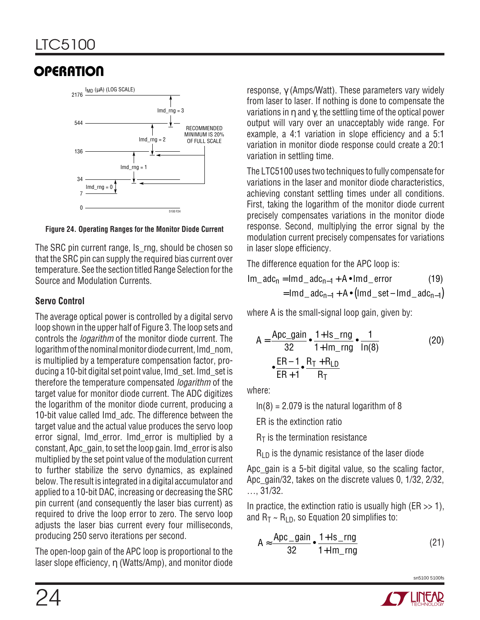

**Figure 24. Operating Ranges for the Monitor Diode Current**

The SRC pin current range, Is rng, should be chosen so that the SRC pin can supply the required bias current over temperature. See the section titled Range Selection for the Source and Modulation Currents.

#### **Servo Control**

The average optical power is controlled by a digital servo loop shown in the upper half of Figure 3. The loop sets and controls the *logarithm* of the monitor diode current. The logarithm of the nominal monitor diode current, Imd\_nom, is multiplied by a temperature compensation factor, producing a 10-bit digital set point value, Imd\_set. Imd\_set is therefore the temperature compensated logarithm of the target value for monitor diode current. The ADC digitizes the logarithm of the monitor diode current, producing a 10-bit value called Imd\_adc. The difference between the target value and the actual value produces the servo loop error signal, Imd\_error. Imd\_error is multiplied by a constant, Apc\_gain, to set the loop gain. Imd\_error is also multiplied by the set point value of the modulation current to further stabilize the servo dynamics, as explained below. The result is integrated in a digital accumulator and applied to a 10-bit DAC, increasing or decreasing the SRC pin current (and consequently the laser bias current) as required to drive the loop error to zero. The servo loop adjusts the laser bias current every four milliseconds, producing 250 servo iterations per second.

The open-loop gain of the APC loop is proportional to the laser slope efficiency, η (Watts/Amp), and monitor diode response, γ (Amps/Watt). These parameters vary widely from laser to laser. If nothing is done to compensate the variations in  $\eta$  and  $\gamma$ , the settling time of the optical power output will vary over an unacceptably wide range. For example, a 4:1 variation in slope efficiency and a 5:1 variation in monitor diode response could create a 20:1 variation in settling time.

The LTC5100 uses two techniques to fully compensate for variations in the laser and monitor diode characteristics, achieving constant settling times under all conditions. First, taking the logarithm of the monitor diode current precisely compensates variations in the monitor diode response. Second, multiplying the error signal by the modulation current precisely compensates for variations in laser slope efficiency.

The difference equation for the APC loop is:

$$
Im\_adc_n = Imd\_adc_{n-1} + A \cdot Imd\_error
$$
 (19)  
= Imd\\_adc\_{n-1} + A \cdot (Imd\\_set - Imd\\_adc\_{n-1})

where A is the small-signal loop gain, given by:

$$
A = \frac{\text{Apc\_gain}}{32} \cdot \frac{1+1 \text{ s\_rng}}{1+1 \text{ m\_rng}} \cdot \frac{1}{\ln(8)}
$$
\n
$$
\frac{\text{ER}-1}{\text{ER}+1} \cdot \frac{\text{R}_{\text{T}} + \text{R}_{\text{LD}}}{\text{R}_{\text{T}}}
$$
\n(20)

where:

 $ln(8) = 2.079$  is the natural logarithm of 8

ER is the extinction ratio

 $R<sub>T</sub>$  is the termination resistance

 $R_{LD}$  is the dynamic resistance of the laser diode

Apc\_gain is a 5-bit digital value, so the scaling factor, Apc\_gain/32, takes on the discrete values 0, 1/32, 2/32, …, 31/32.

In practice, the extinction ratio is usually high ( $ER \gg 1$ ), and  $R_T \sim R_{LD}$ , so Equation 20 simplifies to:

$$
A \approx \frac{\text{Apc\_gain}}{32} \cdot \frac{1 + \text{ls\_rng}}{1 + \text{Im\_rng}} \tag{21}
$$

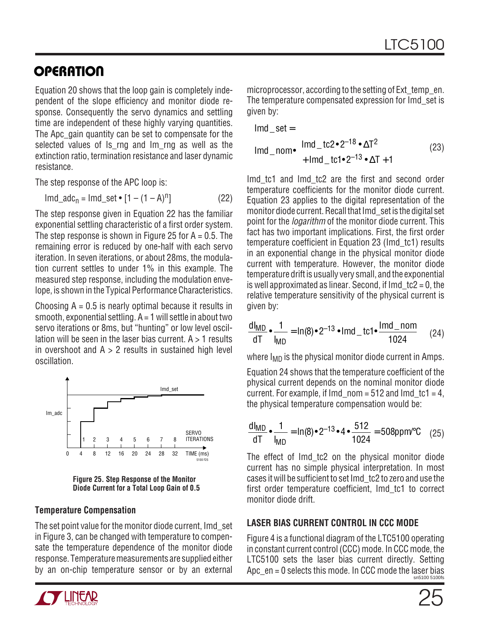Equation 20 shows that the loop gain is completely independent of the slope efficiency and monitor diode response. Consequently the servo dynamics and settling time are independent of these highly varying quantities. The Apc gain quantity can be set to compensate for the selected values of Is rng and Im rng as well as the extinction ratio, termination resistance and laser dynamic resistance.

The step response of the APC loop is:

 $\text{Im}d \text{ ad}c_n = \text{Im}d \text{ set} \cdot [1 - (1 - A)^n]$  (22)

The step response given in Equation 22 has the familiar exponential settling characteristic of a first order system. The step response is shown in Figure 25 for  $A = 0.5$ . The remaining error is reduced by one-half with each servo iteration. In seven iterations, or about 28ms, the modulation current settles to under 1% in this example. The measured step response, including the modulation envelope, is shown in the Typical Performance Characteristics.

Choosing  $A = 0.5$  is nearly optimal because it results in smooth, exponential settling.  $A = 1$  will settle in about two servo iterations or 8ms, but "hunting" or low level oscillation will be seen in the laser bias current.  $A > 1$  results in overshoot and  $A > 2$  results in sustained high level oscillation.



**Figure 25. Step Response of the Monitor Diode Current for a Total Loop Gain of 0.5**

#### **Temperature Compensation**

The set point value for the monitor diode current, Imd\_set in Figure 3, can be changed with temperature to compensate the temperature dependence of the monitor diode response. Temperature measurements are supplied either by an on-chip temperature sensor or by an external



$$
lmd\_set =
$$
  
lmd<sub>-</sub>nom $\bullet$  $\begin{pmatrix} lmd\_tc2 \bullet 2^{-18} \bullet \Delta T^2 \\ + lmd\_tc1 \bullet 2^{-13} \bullet \Delta T + 1 \end{pmatrix}$  (23)

Imd\_tc1 and Imd\_tc2 are the first and second order temperature coefficients for the monitor diode current. Equation 23 applies to the digital representation of the monitor diode current. Recall that Imd\_set is the digital set point for the *logarithm* of the monitor diode current. This fact has two important implications. First, the first order temperature coefficient in Equation 23 (Imd\_tc1) results in an exponential change in the physical monitor diode current with temperature. However, the monitor diode temperature drift is usually very small, and the exponential is well approximated as linear. Second, if  $Im d$  tc2 = 0, the relative temperature sensitivity of the physical current is given by:

$$
\frac{dI_{MD}}{dT} \cdot \frac{1}{I_{MD}} = \ln(8) \cdot 2^{-13} \cdot \text{Imd}_t ct \cdot \frac{I_{md}}{1024} \quad (24)
$$

where  $I_{MD}$  is the physical monitor diode current in Amps.

Equation 24 shows that the temperature coefficient of the physical current depends on the nominal monitor diode current. For example, if Imd  $nom = 512$  and Imd  $tc1 = 4$ , the physical temperature compensation would be:

$$
\frac{dI_{MD}}{dT} \cdot \frac{1}{I_{MD}} = \ln(8) \cdot 2^{-13} \cdot 4 \cdot \frac{512}{1024} = 508 \text{ppm}^{\circ}\text{C} \quad (25)
$$

The effect of Imd\_tc2 on the physical monitor diode current has no simple physical interpretation. In most cases it will be sufficient to set Imd\_tc2 to zero and use the first order temperature coefficient, Imd\_tc1 to correct monitor diode drift.

#### **LASER BIAS CURRENT CONTROL IN CCC MODE**

sn5100 5100fs Figure 4 is a functional diagram of the LTC5100 operating in constant current control (CCC) mode. In CCC mode, the LTC5100 sets the laser bias current directly. Setting Apc  $en = 0$  selects this mode. In CCC mode the laser bias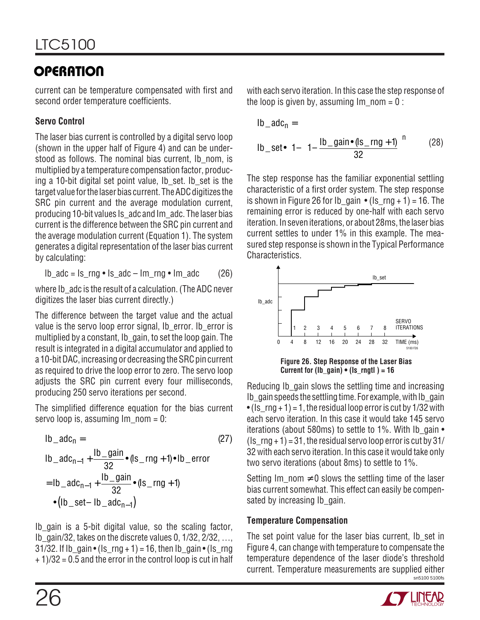current can be temperature compensated with first and second order temperature coefficients.

### **Servo Control**

The laser bias current is controlled by a digital servo loop (shown in the upper half of Figure 4) and can be understood as follows. The nominal bias current, Ib nom, is multiplied by a temperature compensation factor, producing a 10-bit digital set point value, Ib set. Ib set is the target value for the laser bias current. The ADC digitizes the SRC pin current and the average modulation current, producing 10-bit values Is\_adc and Im\_adc. The laser bias current is the difference between the SRC pin current and the average modulation current (Equation 1). The system generates a digital representation of the laser bias current by calculating:

$$
lb\_adc = ls\_rng \bullet ls\_adc - lm\_rng \bullet lm\_adc
$$
 (26)

where Ib adc is the result of a calculation. (The ADC never digitizes the laser bias current directly.)

The difference between the target value and the actual value is the servo loop error signal, Ib error. Ib error is multiplied by a constant, Ib\_gain, to set the loop gain. The result is integrated in a digital accumulator and applied to a 10-bit DAC, increasing or decreasing the SRC pin current as required to drive the loop error to zero. The servo loop adjusts the SRC pin current every four milliseconds, producing 250 servo iterations per second.

The simplified difference equation for the bias current servo loop is, assuming  $Im$  nom = 0:

lb<sub>-</sub>adc<sub>n</sub> = (27)  
\nlb<sub>-</sub>adc<sub>n-1</sub> + 
$$
\frac{lb_{gain}}{32}
$$
 (ls<sub>-</sub>rng + 1)•lb<sub>-</sub>error  
\n= lb<sub>-</sub>adc<sub>n-1</sub> +  $\frac{lb_{gain}}{32}$  (ls<sub>-</sub>rng + 1)  
\n• (lb<sub>-</sub>set- lb<sub>-</sub>adc<sub>n-1</sub>)

Ib\_gain is a 5-bit digital value, so the scaling factor, Ib\_gain/32, takes on the discrete values 0, 1/32, 2/32, …, 31/32. If Ib\_gain • (Is  $rng + 1$ ) = 16, then Ib\_gain • (Is rng + 1)/32 = 0.5 and the error in the control loop is cut in half with each servo iteration. In this case the step response of the loop is given by, assuming  $Im$  nom = 0 :

$$
lb\_adc_n =
$$
  
lb\\_set•
$$
\left[1 - \left(1 - \frac{lb\_gain \cdot (ls\_rng + 1)}{32}\right)^n\right]
$$
 (28)

The step response has the familiar exponential settling characteristic of a first order system. The step response is shown in Figure 26 for Ib gain  $\cdot$  (Is rng + 1) = 16. The remaining error is reduced by one-half with each servo iteration. In seven iterations, or about 28ms, the laser bias current settles to under 1% in this example. The measured step response is shown in the Typical Performance Characteristics.



Reducing Ib gain slows the settling time and increasing Ib gain speeds the settling time. For example, with Ib gain • (Is  $rng + 1$ ) = 1, the residual loop error is cut by 1/32 with each servo iteration. In this case it would take 145 servo iterations (about 580ms) to settle to 1%. With Ib\_gain • (Is  $rng + 1$ ) = 31, the residual servo loop error is cut by 31/ 32 with each servo iteration. In this case it would take only two servo iterations (about 8ms) to settle to 1%.

Setting Im nom  $\neq 0$  slows the settling time of the laser bias current somewhat. This effect can easily be compensated by increasing Ib gain.

#### **Temperature Compensation**

sn5100 5100fs The set point value for the laser bias current, Ib set in Figure 4, can change with temperature to compensate the temperature dependence of the laser diode's threshold current. Temperature measurements are supplied either

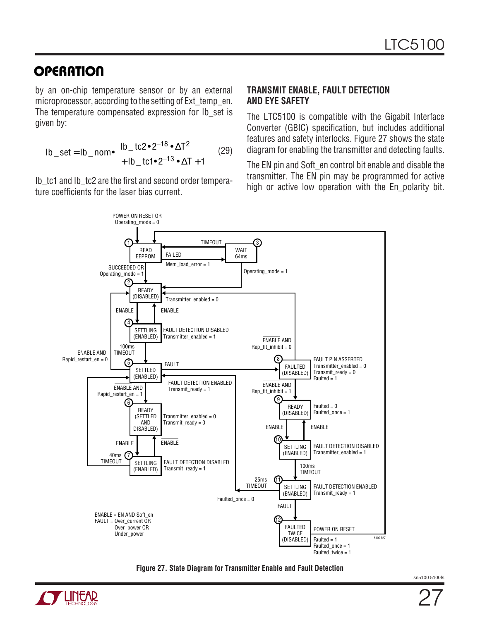by an on-chip temperature sensor or by an external microprocessor, according to the setting of Ext temp\_en. The temperature compensated expression for Ib\_set is given by:

$$
lb\_set = lb\_nom \cdot \begin{pmatrix} lb\_tc2 \cdot 2^{-18} \cdot \Delta T^2 \\ + lb\_tc1 \cdot 2^{-13} \cdot \Delta T + 1 \end{pmatrix}
$$
 (29)

Ib tc1 and Ib tc2 are the first and second order temperature coefficients for the laser bias current.

#### **TRANSMIT ENABLE, FAULT DETECTION AND EYE SAFETY**

The LTC5100 is compatible with the Gigabit Interface Converter (GBIC) specification, but includes additional features and safety interlocks. Figure 27 shows the state diagram for enabling the transmitter and detecting faults.

The EN pin and Soft en control bit enable and disable the transmitter. The EN pin may be programmed for active high or active low operation with the En\_polarity bit.



**Figure 27. State Diagram for Transmitter Enable and Fault Detection**

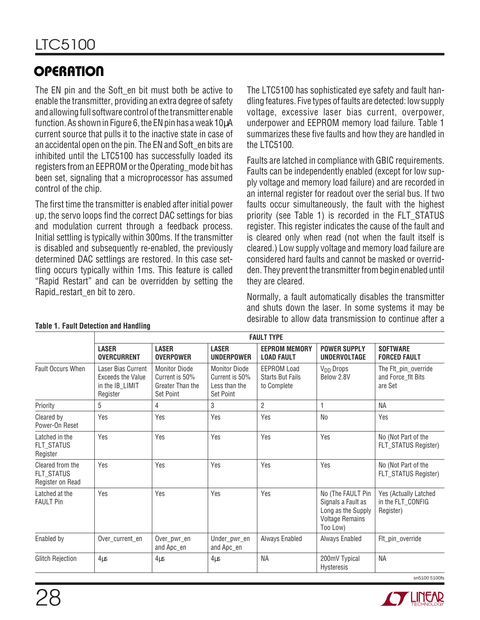The EN pin and the Soft en bit must both be active to enable the transmitter, providing an extra degree of safety and allowing full software control of the transmitter enable function. As shown in Figure 6, the EN pin has a weak 10µA current source that pulls it to the inactive state in case of an accidental open on the pin. The EN and Soft en bits are inhibited until the LTC5100 has successfully loaded its registers from an EEPROM or the Operating\_mode bit has been set, signaling that a microprocessor has assumed control of the chip.

The first time the transmitter is enabled after initial power up, the servo loops find the correct DAC settings for bias and modulation current through a feedback process. Initial settling is typically within 300ms. If the transmitter is disabled and subsequently re-enabled, the previously determined DAC settlings are restored. In this case settling occurs typically within 1ms. This feature is called "Rapid Restart" and can be overridden by setting the Rapid–restart\_en bit to zero.

The LTC5100 has sophisticated eye safety and fault handling features. Five types of faults are detected: low supply voltage, excessive laser bias current, overpower, underpower and EEPROM memory load failure. Table 1 summarizes these five faults and how they are handled in the LTC5100.

Faults are latched in compliance with GBIC requirements. Faults can be independently enabled (except for low supply voltage and memory load failure) and are recorded in an internal register for readout over the serial bus. If two faults occur simultaneously, the fault with the highest priority (see Table 1) is recorded in the FLT\_STATUS register. This register indicates the cause of the fault and is cleared only when read (not when the fault itself is cleared.) Low supply voltage and memory load failure are considered hard faults and cannot be masked or overridden. They prevent the transmitter from begin enabled until they are cleared.

Normally, a fault automatically disables the transmitter and shuts down the laser. In some systems it may be desirable to allow data transmission to continue after a

|                                                    | <b>FAULT TYPE</b>                                                             |                                                                         |                                                                      |                                                              |                                                                                                     |                                                         |  |  |  |  |
|----------------------------------------------------|-------------------------------------------------------------------------------|-------------------------------------------------------------------------|----------------------------------------------------------------------|--------------------------------------------------------------|-----------------------------------------------------------------------------------------------------|---------------------------------------------------------|--|--|--|--|
|                                                    | <b>LASER</b><br><b>OVERCURRENT</b>                                            | <b>LASER</b><br><b>OVERPOWER</b>                                        | <b>LASER</b><br><b>UNDERPOWER</b>                                    | <b>EEPROM MEMORY</b><br><b>LOAD FAULT</b>                    | <b>POWER SUPPLY</b><br>UNDERVOLTAGE                                                                 | <b>SOFTWARE</b><br><b>FORCED FAULT</b>                  |  |  |  |  |
| <b>Fault Occurs When</b>                           | Laser Bias Current<br><b>Exceeds the Value</b><br>in the IB_LIMIT<br>Register | <b>Monitor Diode</b><br>Current is 50%<br>Greater Than the<br>Set Point | <b>Monitor Diode</b><br>Current is 50%<br>Less than the<br>Set Point | <b>EEPROM Load</b><br><b>Starts But Fails</b><br>to Complete | V <sub>DD</sub> Drops<br>Below 2.8V                                                                 | The Flt_pin_override<br>and Force_flt Bits<br>are Set   |  |  |  |  |
| Priority                                           | 5                                                                             | 4                                                                       | 3                                                                    | $\overline{2}$                                               | 1                                                                                                   | NА                                                      |  |  |  |  |
| Cleared by<br>Power-On Reset                       | Yes                                                                           | Yes                                                                     | Yes                                                                  | Yes                                                          | N <sub>0</sub>                                                                                      | Yes                                                     |  |  |  |  |
| Latched in the<br>FLT_STATUS<br>Register           | Yes                                                                           | Yes                                                                     | Yes                                                                  | Yes                                                          | Yes                                                                                                 | No (Not Part of the<br>FLT_STATUS Register)             |  |  |  |  |
| Cleared from the<br>FLT_STATUS<br>Register on Read | Yes                                                                           | Yes                                                                     | Yes                                                                  | Yes                                                          | Yes                                                                                                 | No (Not Part of the<br>FLT_STATUS Register)             |  |  |  |  |
| Latched at the<br><b>FAULT Pin</b>                 | Yes                                                                           | Yes                                                                     | Yes                                                                  | Yes                                                          | No (The FAULT Pin<br>Signals a Fault as<br>Long as the Supply<br><b>Voltage Remains</b><br>Too Low) | Yes (Actually Latched<br>in the FLT_CONFIG<br>Register) |  |  |  |  |
| Enabled by                                         | Over_current_en                                                               | Over pwr en<br>and Apc_en                                               | Under_pwr_en<br>and Apc_en                                           | Always Enabled                                               | Always Enabled                                                                                      | Flt_pin_override                                        |  |  |  |  |
| <b>Glitch Rejection</b>                            | $4\mu s$                                                                      | $4\mu s$                                                                | $4\mu s$                                                             | <b>NA</b>                                                    | 200mV Typical<br>Hysteresis                                                                         | NA                                                      |  |  |  |  |

#### **Table 1. Fault Detection and Handling**

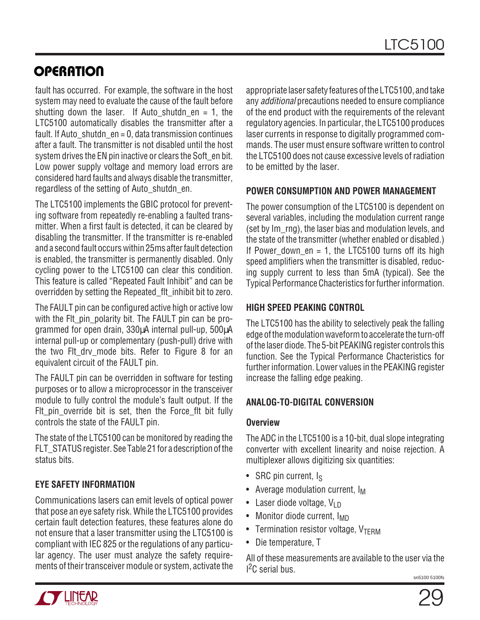fault has occurred. For example, the software in the host system may need to evaluate the cause of the fault before shutting down the laser. If Auto shutdn  $en = 1$ , the LTC5100 automatically disables the transmitter after a fault. If Auto shutdn en = 0, data transmission continues after a fault. The transmitter is not disabled until the host system drives the EN pin inactive or clears the Soft en bit. Low power supply voltage and memory load errors are considered hard faults and always disable the transmitter, regardless of the setting of Auto\_shutdn\_en.

The LTC5100 implements the GBIC protocol for preventing software from repeatedly re-enabling a faulted transmitter. When a first fault is detected, it can be cleared by disabling the transmitter. If the transmitter is re-enabled and a second fault occurs within 25ms after fault detection is enabled, the transmitter is permanently disabled. Only cycling power to the LTC5100 can clear this condition. This feature is called "Repeated Fault Inhibit" and can be overridden by setting the Repeated\_flt\_inhibit bit to zero.

The FAULT pin can be configured active high or active low with the FIt pin polarity bit. The FAULT pin can be programmed for open drain, 330µA internal pull-up, 500µA internal pull-up or complementary (push-pull) drive with the two Fit dry mode bits. Refer to Figure 8 for an equivalent circuit of the FAULT pin.

The FAULT pin can be overridden in software for testing purposes or to allow a microprocessor in the transceiver module to fully control the module's fault output. If the Fit pin override bit is set, then the Force fit bit fully controls the state of the FAULT pin.

The state of the LTC5100 can be monitored by reading the FLT STATUS register. See Table 21 for a description of the status bits.

#### **EYE SAFETY INFORMATION**

Communications lasers can emit levels of optical power that pose an eye safety risk. While the LTC5100 provides certain fault detection features, these features alone do not ensure that a laser transmitter using the LTC5100 is compliant with IEC 825 or the regulations of any particular agency. The user must analyze the safety requirements of their transceiver module or system, activate the appropriate laser safety features of the LTC5100, and take any additional precautions needed to ensure compliance of the end product with the requirements of the relevant regulatory agencies. In particular, the LTC5100 produces laser currents in response to digitally programmed commands. The user must ensure software written to control the LTC5100 does not cause excessive levels of radiation to be emitted by the laser.

#### **POWER CONSUMPTION AND POWER MANAGEMENT**

The power consumption of the LTC5100 is dependent on several variables, including the modulation current range (set by Im rng), the laser bias and modulation levels, and the state of the transmitter (whether enabled or disabled.) If Power down  $en = 1$ , the LTC5100 turns off its high speed amplifiers when the transmitter is disabled, reducing supply current to less than 5mA (typical). See the Typical Performance Chacteristics for further information.

#### **HIGH SPEED PEAKING CONTROL**

The LTC5100 has the ability to selectively peak the falling edge of the modulation waveform to accelerate the turn-off of the laser diode. The 5-bit PEAKING register controls this function. See the Typical Performance Chacteristics for further information. Lower values in the PEAKING register increase the falling edge peaking.

#### **ANALOG-TO-DIGITAL CONVERSION**

#### **Overview**

The ADC in the LTC5100 is a 10-bit, dual slope integrating converter with excellent linearity and noise rejection. A multiplexer allows digitizing six quantities:

- SRC pin current,  $I_S$
- Average modulation current,  $I_M$
- Laser diode voltage,  $V_{\text{LD}}$
- Monitor diode current, I<sub>MD</sub>
- Termination resistor voltage,  $V_{\text{TFRM}}$
- Die temperature, T

All of these measurements are available to the user via the I<sup>2</sup>C serial bus.

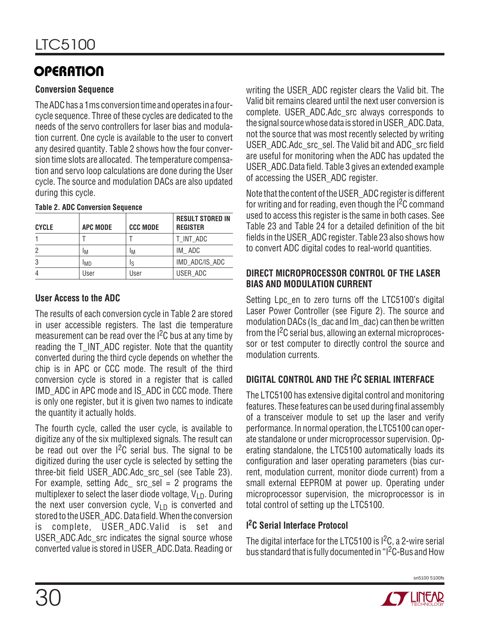#### **Conversion Sequence**

The ADC has a 1ms conversion time and operates in a fourcycle sequence. Three of these cycles are dedicated to the needs of the servo controllers for laser bias and modulation current. One cycle is available to the user to convert any desired quantity. Table 2 shows how the four conversion time slots are allocated. The temperature compensation and servo loop calculations are done during the User cycle. The source and modulation DACs are also updated during this cycle.

| <b>CYCLE</b> | <b>APC MODE</b> | <b>CCC MODE</b> | <b>RESULT STORED IN</b><br><b>REGISTER</b> |
|--------------|-----------------|-----------------|--------------------------------------------|
|              |                 |                 | T_INT_ADC                                  |
| 2            | ١M              | ١M              | IM ADC                                     |
| 3            | I <sub>MD</sub> | ΙS              | IMD ADC/IS ADC                             |
|              | User            | User            | USER ADC                                   |

#### **Table 2. ADC Conversion Sequence**

#### **User Access to the ADC**

The results of each conversion cycle in Table 2 are stored in user accessible registers. The last die temperature measurement can be read over the  $1<sup>2</sup>C$  bus at any time by reading the T\_INT\_ADC register. Note that the quantity converted during the third cycle depends on whether the chip is in APC or CCC mode. The result of the third conversion cycle is stored in a register that is called IMD ADC in APC mode and IS ADC in CCC mode. There is only one register, but it is given two names to indicate the quantity it actually holds.

The fourth cycle, called the user cycle, is available to digitize any of the six multiplexed signals. The result can be read out over the  $1<sup>2</sup>C$  serial bus. The signal to be digitized during the user cycle is selected by setting the three-bit field USER\_ADC.Adc\_src\_sel (see Table 23). For example, setting  $Adc$  arc sel = 2 programs the multiplexer to select the laser diode voltage,  $V_{\text{LD}}$ . During the next user conversion cycle,  $V_{LD}$  is converted and stored to the USER\_ADC. Data field. When the conversion is complete, USER\_ADC.Valid is set and USER\_ADC.Adc\_src indicates the signal source whose converted value is stored in USER\_ADC.Data. Reading or writing the USER\_ADC register clears the Valid bit. The Valid bit remains cleared until the next user conversion is complete. USER\_ADC.Adc\_src always corresponds to the signal source whose data is stored in USER\_ADC.Data, not the source that was most recently selected by writing USER\_ADC.Adc\_src\_sel. The Valid bit and ADC\_src field are useful for monitoring when the ADC has updated the USER\_ADC.Data field. Table 3 gives an extended example of accessing the USER\_ADC register.

Note that the content of the USER\_ADC register is different for writing and for reading, even though the I<sup>2</sup>C command used to access this register is the same in both cases. See Table 23 and Table 24 for a detailed definition of the bit fields in the USER\_ADC register. Table 23 also shows how to convert ADC digital codes to real-world quantities.

#### **DIRECT MICROPROCESSOR CONTROL OF THE LASER BIAS AND MODULATION CURRENT**

Setting Lpc en to zero turns off the LTC5100's digital Laser Power Controller (see Figure 2). The source and modulation DACs (Is dac and Im dac) can then be written from the I<sup>2</sup>C serial bus, allowing an external microprocessor or test computer to directly control the source and modulation currents.

#### **DIGITAL CONTROL AND THE I2C SERIAL INTERFACE**

The LTC5100 has extensive digital control and monitoring features. These features can be used during final assembly of a transceiver module to set up the laser and verify performance. In normal operation, the LTC5100 can operate standalone or under microprocessor supervision. Operating standalone, the LTC5100 automatically loads its configuration and laser operating parameters (bias current, modulation current, monitor diode current) from a small external EEPROM at power up. Operating under microprocessor supervision, the microprocessor is in total control of setting up the LTC5100.

#### **I 2C Serial Interface Protocol**

The digital interface for the LTC5100 is I<sup>2</sup>C, a 2-wire serial bus standard that is fully documented in "I<sup>2</sup>C-Bus and How

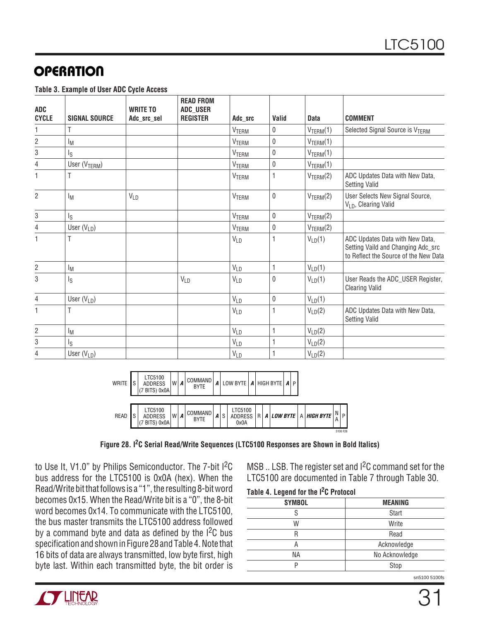**Table 3. Example of User ADC Cycle Access**

| <b>ADC</b><br><b>CYCLE</b> | <b>SIGNAL SOURCE</b>      | <b>WRITE TO</b><br>Adc_src_sel | <b>READ FROM</b><br><b>ADC_USER</b><br><b>REGISTER</b> | Adc src               | Valid        | <b>Data</b>           | <b>COMMENT</b>                                                                                                 |
|----------------------------|---------------------------|--------------------------------|--------------------------------------------------------|-----------------------|--------------|-----------------------|----------------------------------------------------------------------------------------------------------------|
| 1                          |                           |                                |                                                        | <b>VTERM</b>          | $\mathbf{0}$ | $V_{\text{TERM}}(1)$  | Selected Signal Source is V <sub>TERM</sub>                                                                    |
| $\overline{2}$             | Iм                        |                                |                                                        | VTERM                 | 0            | $V_{\text{TERM}}(1)$  |                                                                                                                |
| $\,3$                      | I <sub>S</sub>            |                                |                                                        | <b>VTERM</b>          | $\mathbf{0}$ | $V_{\text{TERM}}(1)$  |                                                                                                                |
| $\overline{4}$             | User (V <sub>TERM</sub> ) |                                |                                                        | VTERM                 | $\mathbf{0}$ | $V_{\text{TERM}}(1)$  |                                                                                                                |
| 1                          | Τ                         |                                |                                                        | <b>VTERM</b>          | 1            | V <sub>TERM</sub> (2) | ADC Updates Data with New Data,<br><b>Setting Valid</b>                                                        |
| $\overline{2}$             | $I_M$                     | <b>VLD</b>                     |                                                        | <b>VTERM</b>          | $\mathbf{0}$ | $V_{\text{TERM}}(2)$  | User Selects New Signal Source,<br>V <sub>LD</sub> , Clearing Valid                                            |
| $\,3$                      | Ιs                        |                                |                                                        | <b>VTERM</b>          | $\mathbf{0}$ | $V_{\text{TERM}}(2)$  |                                                                                                                |
| $\overline{4}$             | User $(V_{LD})$           |                                |                                                        | VTERM                 | $\mathbf{0}$ | $V_{\text{TERM}}(2)$  |                                                                                                                |
| 1                          | Τ                         |                                |                                                        | $V_{LD}$              | 1            | $V_{LD}(1)$           | ADC Updates Data with New Data,<br>Setting Vaild and Changing Adc_src<br>to Reflect the Source of the New Data |
| $\overline{2}$             | $I_M$                     |                                |                                                        | $V_{LD}$              | $\mathbf{1}$ | $V_{LD}(1)$           |                                                                                                                |
| 3                          | ls                        |                                | <b>VLD</b>                                             | $V_{LD}$              | $\mathbf 0$  | $V_{LD}(1)$           | User Reads the ADC_USER Register,<br><b>Clearing Valid</b>                                                     |
| 4                          | User $(V_{LD})$           |                                |                                                        | <b>VLD</b>            | 0            | $V_{LD}(1)$           |                                                                                                                |
| 1                          |                           |                                |                                                        | <b>VLD</b>            | $\mathbf{1}$ | $V_{LD}(2)$           | ADC Updates Data with New Data,<br><b>Setting Valid</b>                                                        |
| $\overline{c}$             | $I_M$                     |                                |                                                        | <b>V<sub>LD</sub></b> | 1            | $V_{LD}(2)$           |                                                                                                                |
| 3                          | l <sub>S</sub>            |                                |                                                        | $V_{LD}$              | $\mathbf{1}$ | $V_{LD}(2)$           |                                                                                                                |
| 4                          | User $(V_{LD})$           |                                |                                                        | $V_{LD}$              |              | $V_{LD}(2)$           |                                                                                                                |



**Figure 28. I2C Serial Read/Write Sequences (LTC5100 Responses are Shown in Bold Italics)**

to Use It, V1.0" by Philips Semiconductor. The 7-bit I<sup>2</sup>C bus address for the LTC5100 is 0x0A (hex). When the Read/Write bit that follows is a "1", the resulting 8-bit word becomes 0x15. When the Read/Write bit is a "0", the 8-bit word becomes 0x14. To communicate with the LTC5100, the bus master transmits the LTC5100 address followed by a command byte and data as defined by the  $1^2C$  bus specification and shown in Figure 28 and Table 4. Note that 16 bits of data are always transmitted, low byte first, high byte last. Within each transmitted byte, the bit order is

MSB .. LSB. The register set and I<sup>2</sup>C command set for the LTC5100 are documented in Table 7 through Table 30.

**Table 4. Legend for the I2C Protocol**

| <b>SYMBOL</b> | <b>MEANING</b> |
|---------------|----------------|
|               | <b>Start</b>   |
| W             | Write          |
| R             | Read           |
| А             | Acknowledge    |
| ΝA            | No Acknowledge |
| D             | Stop           |

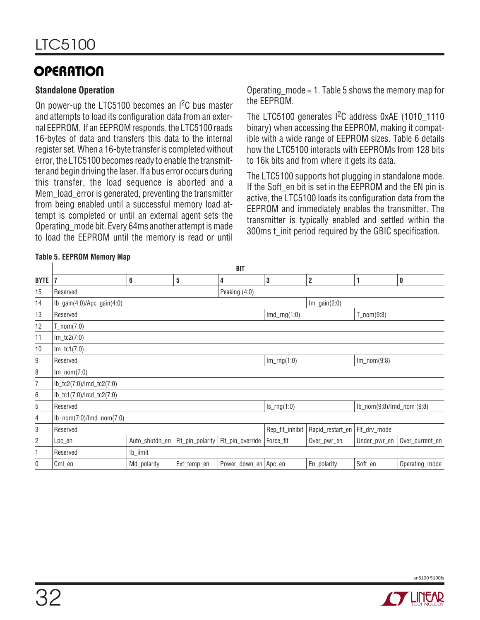#### **Standalone Operation**

On power-up the LTC5100 becomes an  ${}^{12}C$  bus master and attempts to load its configuration data from an external EEPROM. If an EEPROM responds, the LTC5100 reads 16-bytes of data and transfers this data to the internal register set. When a 16-byte transfer is completed without error, the LTC5100 becomes ready to enable the transmitter and begin driving the laser. If a bus error occurs during this transfer, the load sequence is aborted and a Mem load error is generated, preventing the transmitter from being enabled until a successful memory load attempt is completed or until an external agent sets the Operating\_mode bit. Every 64ms another attempt is made to load the EEPROM until the memory is read or until

Operating\_mode = 1. Table 5 shows the memory map for the EEPROM.

The LTC5100 generates  $1^2C$  address 0xAE (1010 1110 binary) when accessing the EEPROM, making it compatible with a wide range of EEPROM sizes. Table 6 details how the LTC5100 interacts with EEPROMs from 128 bits to 16k bits and from where it gets its data.

The LTC5100 supports hot plugging in standalone mode. If the Soft en bit is set in the EEPROM and the EN pin is active, the LTC5100 loads its configuration data from the EEPROM and immediately enables the transmitter. The transmitter is typically enabled and settled within the 300ms t\_init period required by the GBIC specification.

#### **Table 5. EEPROM Memory Map**

|                | <b>BIT</b>                     |                |                  |                        |                  |                         |                           |                 |  |
|----------------|--------------------------------|----------------|------------------|------------------------|------------------|-------------------------|---------------------------|-----------------|--|
| <b>BYTE</b>    | 17                             | 6              | 5                | 4                      | $\bf 3$          | $\overline{\mathbf{c}}$ | 1                         | $\pmb{0}$       |  |
| 15             | Reserved                       |                |                  | Peaking (4:0)          |                  |                         |                           |                 |  |
| 14             | $lb\_gain(4:0)/Apc\_gain(4:0)$ |                |                  |                        |                  | $Im\_gain(2:0)$         |                           |                 |  |
| 13             | Reserved                       |                |                  |                        | $Imd_{rrq}(1:0)$ |                         | $T_{non(9:8)}$            |                 |  |
| 12             | $T_{non}(7:0)$                 |                |                  |                        |                  |                         |                           |                 |  |
| 11             | $Im_tc2(7:0)$                  |                |                  |                        |                  |                         |                           |                 |  |
| 10             | $Im_tct(7:0)$                  |                |                  |                        |                  |                         |                           |                 |  |
| 9              | Reserved                       |                |                  |                        | $Im_rng(1:0)$    |                         | $Im\_nom(9:8)$            |                 |  |
| 8              | $Im\_nom(7:0)$                 |                |                  |                        |                  |                         |                           |                 |  |
| $\overline{7}$ | lb_tc2(7:0)/lmd_tc2(7:0)       |                |                  |                        |                  |                         |                           |                 |  |
| 6              | lb_tc1(7:0)/lmd_tc2(7:0)       |                |                  |                        |                  |                         |                           |                 |  |
| 5              | Reserved                       |                |                  |                        | $Is_rng(1:0)$    |                         | lb_nom(9:8)/lmd_nom (9:8) |                 |  |
| 4              | $lb_{non}(7:0)/lmd_{non}(7:0)$ |                |                  |                        |                  |                         |                           |                 |  |
| 3              | Reserved                       |                |                  |                        | Rep_flt_inhibit  | Rapid_restart_en        | Flt_drv_mode              |                 |  |
| $\overline{c}$ | Lpc_en                         | Auto_shutdn_en | Flt_pin_polarity | Flt_pin_override       | Force_flt        | Over_pwr_en             | Under_pwr_en              | Over_current_en |  |
| 1              | Reserved                       | Ib_limit       |                  |                        |                  |                         |                           |                 |  |
| 0              | Cml_en                         | Md_polarity    | Ext_temp_en      | Power_down_en   Apc_en |                  | En_polarity             | Soft_en                   | Operating_mode  |  |



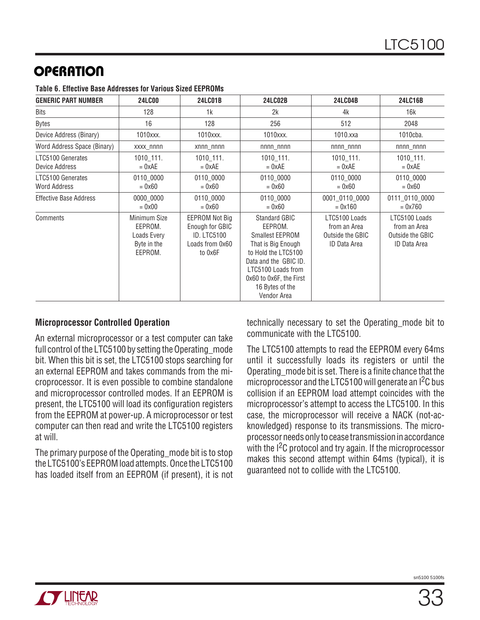| <b>GENERIC PART NUMBER</b>          | <b>24LC00</b>                                                    | <b>24LC01B</b>                                                                               | <b>24LC02B</b>                                                                                                                                                                                                     | <b>24LC04B</b>                                                           | 24LC16B                                                           |
|-------------------------------------|------------------------------------------------------------------|----------------------------------------------------------------------------------------------|--------------------------------------------------------------------------------------------------------------------------------------------------------------------------------------------------------------------|--------------------------------------------------------------------------|-------------------------------------------------------------------|
| Bits                                | 128                                                              | 1k                                                                                           | 2k                                                                                                                                                                                                                 | 4k                                                                       | 16k                                                               |
| <b>Bytes</b>                        | 16                                                               | 128                                                                                          | 256                                                                                                                                                                                                                | 512                                                                      | 2048                                                              |
| Device Address (Binary)             | 1010xxx.                                                         | 1010xxx.                                                                                     | 1010xxx.                                                                                                                                                                                                           | 1010.xxa                                                                 | 1010cba.                                                          |
| Word Address Space (Binary)         | xxxx_nnnn                                                        | xnnn_nnnn                                                                                    | $nnnn_nnnn$                                                                                                                                                                                                        | $nnnn_nnnn$                                                              | $nnnn_nnnn$                                                       |
| LTC5100 Generates<br>Device Address | 1010_111.<br>$= 0xAE$                                            | $1010$ 111.<br>$= 0xAE$                                                                      | 1010_111.<br>$= 0xAE$                                                                                                                                                                                              | $1010$ 111.<br>$= 0xAE$                                                  | 1010_111.<br>$= 0xAE$                                             |
| LTC5100 Generates<br>Word Address   | 0110_0000<br>$= 0x60$                                            | 0110_0000<br>$= 0 \times 60$                                                                 | 0110_0000<br>$= 0x60$                                                                                                                                                                                              | 0110_0000<br>$= 0x60$                                                    | 0110_0000<br>$= 0 \times 60$                                      |
| <b>Effective Base Address</b>       | 0000 0000<br>$= 0 \times 00$                                     | 0110 0000<br>$= 0x60$                                                                        | 0110 0000<br>$= 0x60$                                                                                                                                                                                              | 0001_0110_0000<br>$= 0x160$                                              | 0111_0110_0000<br>$= 0x760$                                       |
| Comments                            | Minimum Size<br>EEPROM.<br>Loads Every<br>Byte in the<br>EEPROM. | <b>EEPROM Not Big</b><br>Enough for GBIC<br><b>ID. LTC5100</b><br>Loads from 0x60<br>to 0x6F | <b>Standard GBIC</b><br>EEPROM.<br><b>Smallest EEPROM</b><br>That is Big Enough<br>to Hold the LTC5100<br>Data and the GBIC ID.<br>LTC5100 Loads from<br>0x60 to 0x6F, the First<br>16 Bytes of the<br>Vendor Area | LTC5100 Loads<br>from an Area<br>Outside the GBIC<br><b>ID Data Area</b> | LTC5100 Loads<br>from an Area<br>Outside the GBIC<br>ID Data Area |

**Table 6. Effective Base Addresses for Various Sized EEPROMs**

#### **Microprocessor Controlled Operation**

An external microprocessor or a test computer can take full control of the LTC5100 by setting the Operating mode bit. When this bit is set, the LTC5100 stops searching for an external EEPROM and takes commands from the microprocessor. It is even possible to combine standalone and microprocessor controlled modes. If an EEPROM is present, the LTC5100 will load its configuration registers from the EEPROM at power-up. A microprocessor or test computer can then read and write the LTC5100 registers at will.

The primary purpose of the Operating\_mode bit is to stop the LTC5100's EEPROM load attempts. Once the LTC5100 has loaded itself from an EEPROM (if present), it is not technically necessary to set the Operating\_mode bit to communicate with the LTC5100.

The LTC5100 attempts to read the EEPROM every 64ms until it successfully loads its registers or until the Operating\_mode bit is set. There is a finite chance that the microprocessor and the LTC5100 will generate an I<sup>2</sup>C bus collision if an EEPROM load attempt coincides with the microprocessor's attempt to access the LTC5100. In this case, the microprocessor will receive a NACK (not-acknowledged) response to its transmissions. The microprocessor needs only to cease transmission in accordance with the <sup>12</sup>C protocol and try again. If the microprocessor makes this second attempt within 64ms (typical), it is guaranteed not to collide with the LTC5100.

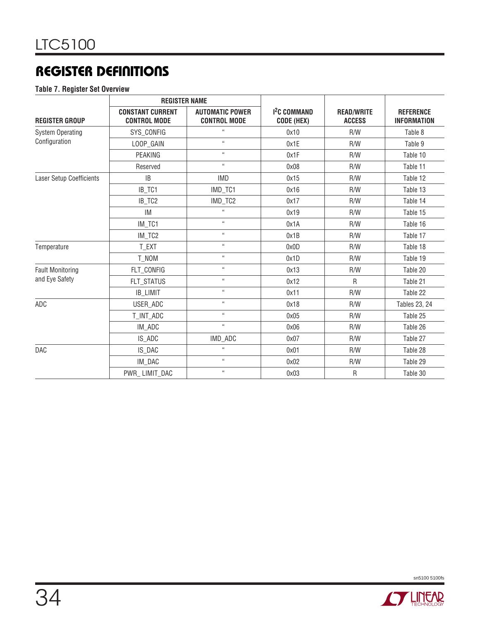**Table 7. Register Set Overview**

|                                 | <b>REGISTER NAME</b>                                                                            |                            |                                        |                                    |                                        |  |
|---------------------------------|-------------------------------------------------------------------------------------------------|----------------------------|----------------------------------------|------------------------------------|----------------------------------------|--|
| <b>REGISTER GROUP</b>           | <b>CONSTANT CURRENT</b><br><b>AUTOMATIC POWER</b><br><b>CONTROL MODE</b><br><b>CONTROL MODE</b> |                            | 1 <sup>2</sup> C COMMAND<br>CODE (HEX) | <b>READ/WRITE</b><br><b>ACCESS</b> | <b>REFERENCE</b><br><b>INFORMATION</b> |  |
| <b>System Operating</b>         | SYS_CONFIG                                                                                      | $\alpha$                   | 0x10                                   | R/W                                | Table 8                                |  |
| Configuration                   | LOOP_GAIN                                                                                       | $\alpha$                   | 0x1E                                   | R/W                                | Table 9                                |  |
|                                 | PEAKING                                                                                         | $\alpha$                   | 0x1F                                   | R/W                                | Table 10                               |  |
|                                 | Reserved                                                                                        | $\mathfrak{g}_4$           | 0x08                                   | R/W                                | Table 11                               |  |
| <b>Laser Setup Coefficients</b> | <b>IB</b>                                                                                       | <b>IMD</b>                 | 0x15                                   | R/W                                | Table 12                               |  |
|                                 | IB_TC1                                                                                          | IMD_TC1                    | 0x16                                   | R/W                                | Table 13                               |  |
|                                 | IB_TC2                                                                                          | IMD_TC2                    | 0x17                                   | R/W                                | Table 14                               |  |
|                                 | IM                                                                                              | $\alpha$                   | 0x19                                   | R/W                                | Table 15                               |  |
|                                 | IM_TC1                                                                                          | $\alpha$                   | 0x1A                                   | R/W                                | Table 16                               |  |
|                                 | IM_TC2                                                                                          | $\alpha$                   | 0x1B                                   | R/W                                | Table 17                               |  |
| Temperature                     | T_EXT                                                                                           | $\mathfrak{c}\mathfrak{c}$ | 0x0D                                   | R/W                                | Table 18                               |  |
|                                 | T_NOM                                                                                           | $\alpha$                   | 0x1D                                   | R/W                                | Table 19                               |  |
| <b>Fault Monitoring</b>         | FLT_CONFIG                                                                                      | $\mathfrak{c}\mathfrak{c}$ | 0x13                                   | R/W                                | Table 20                               |  |
| and Eye Safety                  | FLT_STATUS                                                                                      | $\alpha$                   | 0x12                                   | R                                  | Table 21                               |  |
|                                 | IB_LIMIT                                                                                        | $\mathfrak{c}\mathfrak{c}$ | 0x11                                   | R/W                                | Table 22                               |  |
| ADC                             | USER_ADC                                                                                        | $\alpha$                   | 0x18                                   | R/W                                | <b>Tables 23, 24</b>                   |  |
|                                 | T_INT_ADC                                                                                       | $\mathfrak{c}\mathfrak{c}$ | 0x05                                   | R/W                                | Table 25                               |  |
|                                 | IM_ADC                                                                                          | $\mathfrak{c}\mathfrak{c}$ | 0x06                                   | R/W                                | Table 26                               |  |
|                                 | IS_ADC                                                                                          | IMD_ADC                    | 0x07                                   | R/W                                | Table 27                               |  |
| <b>DAC</b>                      | IS_DAC                                                                                          | $\mathfrak{c}\mathfrak{c}$ | 0x01                                   | R/W                                | Table 28                               |  |
|                                 | IM_DAC                                                                                          | $\alpha$                   | 0x02                                   | R/W                                | Table 29                               |  |
|                                 | PWR_LIMIT_DAC                                                                                   | $\mathfrak{c}\mathfrak{c}$ | 0x03                                   | ${\sf R}$                          | Table 30                               |  |



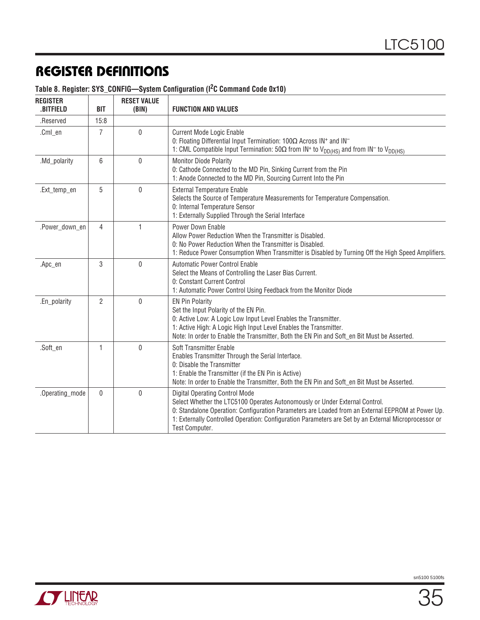| <b>REGISTER</b><br><b>BITFIELD</b> | <b>BIT</b>     | <b>RESET VALUE</b><br>(BIN) | <b>FUNCTION AND VALUES</b>                                                                                                                                                                                                                                                                                                                           |  |  |  |
|------------------------------------|----------------|-----------------------------|------------------------------------------------------------------------------------------------------------------------------------------------------------------------------------------------------------------------------------------------------------------------------------------------------------------------------------------------------|--|--|--|
| .Reserved                          | 15:8           |                             |                                                                                                                                                                                                                                                                                                                                                      |  |  |  |
| .Cml_en                            | $\overline{7}$ | 0                           | <b>Current Mode Logic Enable</b><br>0: Floating Differential Input Termination: 100Ω Across IN <sup>+</sup> and IN <sup>-</sup><br>1: CML Compatible Input Termination: 50 $\Omega$ from IN <sup>+</sup> to V <sub>DD(HS)</sub> and from IN <sup>-</sup> to V <sub>DD(HS)</sub>                                                                      |  |  |  |
| .Md_polarity                       | 6              | 0                           | Monitor Diode Polarity<br>0: Cathode Connected to the MD Pin, Sinking Current from the Pin<br>1: Anode Connected to the MD Pin, Sourcing Current Into the Pin                                                                                                                                                                                        |  |  |  |
| .Ext_temp_en                       | 5              | 0                           | <b>External Temperature Enable</b><br>Selects the Source of Temperature Measurements for Temperature Compensation.<br>0: Internal Temperature Sensor<br>1: Externally Supplied Through the Serial Interface                                                                                                                                          |  |  |  |
| .Power_down_en                     | $\overline{4}$ | 1                           | Power Down Enable<br>Allow Power Reduction When the Transmitter is Disabled.<br>0: No Power Reduction When the Transmitter is Disabled.<br>1: Reduce Power Consumption When Transmitter is Disabled by Turning Off the High Speed Amplifiers.                                                                                                        |  |  |  |
| .Apc_en                            | 3              | 0                           | <b>Automatic Power Control Enable</b><br>Select the Means of Controlling the Laser Bias Current.<br>0: Constant Current Control<br>1: Automatic Power Control Using Feedback from the Monitor Diode                                                                                                                                                  |  |  |  |
| .En_polarity                       | $\overline{2}$ | 0                           | <b>EN Pin Polarity</b><br>Set the Input Polarity of the EN Pin.<br>0: Active Low: A Logic Low Input Level Enables the Transmitter.<br>1: Active High: A Logic High Input Level Enables the Transmitter.<br>Note: In order to Enable the Transmitter, Both the EN Pin and Soft_en Bit Must be Asserted.                                               |  |  |  |
| .Soft_en                           | $\mathbf{1}$   | 0                           | Soft Transmitter Enable<br>Enables Transmitter Through the Serial Interface.<br>0: Disable the Transmitter<br>1: Enable the Transmitter (if the EN Pin is Active)<br>Note: In order to Enable the Transmitter, Both the EN Pin and Soft_en Bit Must be Asserted.                                                                                     |  |  |  |
| .Operating_mode                    | $\mathbf 0$    | 0                           | <b>Digital Operating Control Mode</b><br>Select Whether the LTC5100 Operates Autonomously or Under External Control.<br>0: Standalone Operation: Configuration Parameters are Loaded from an External EEPROM at Power Up.<br>1: Externally Controlled Operation: Configuration Parameters are Set by an External Microprocessor or<br>Test Computer. |  |  |  |

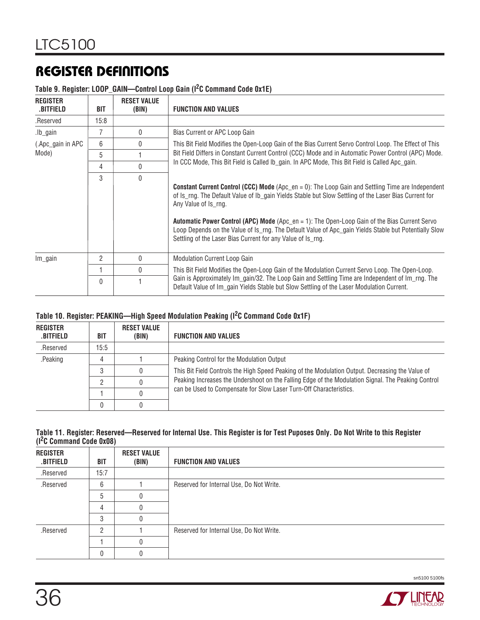#### **Table 9. Register: LOOP\_GAIN—Control Loop Gain (I2C Command Code 0x1E)**

| <b>REGISTER</b><br>.BITFIELD | BIT  | <b>RESET VALUE</b><br>(BIN) | <b>FUNCTION AND VALUES</b>                                                                                                                                                                                                                                                                                                                                                                                                                                                                                         |
|------------------------------|------|-----------------------------|--------------------------------------------------------------------------------------------------------------------------------------------------------------------------------------------------------------------------------------------------------------------------------------------------------------------------------------------------------------------------------------------------------------------------------------------------------------------------------------------------------------------|
| .Reserved                    | 15:8 |                             |                                                                                                                                                                                                                                                                                                                                                                                                                                                                                                                    |
| .lb_gain                     |      | 0                           | Bias Current or APC Loop Gain                                                                                                                                                                                                                                                                                                                                                                                                                                                                                      |
| (.Apc_gain in APC            | 6    | 0                           | This Bit Field Modifies the Open-Loop Gain of the Bias Current Servo Control Loop. The Effect of This                                                                                                                                                                                                                                                                                                                                                                                                              |
| Mode)                        | 5    |                             | Bit Field Differs in Constant Current Control (CCC) Mode and in Automatic Power Control (APC) Mode.                                                                                                                                                                                                                                                                                                                                                                                                                |
|                              | 4    | 0                           | In CCC Mode, This Bit Field is Called Ib_gain. In APC Mode, This Bit Field is Called Apc_gain.                                                                                                                                                                                                                                                                                                                                                                                                                     |
|                              | 3    | $\Omega$                    | <b>Constant Current Control (CCC) Mode</b> (Apc_en = 0): The Loop Gain and Settling Time are Independent<br>of Is_rng. The Default Value of Ib_gain Yields Stable but Slow Settling of the Laser Bias Current for<br>Any Value of Is_rng.<br>Automatic Power Control (APC) Mode (Apc_en = 1): The Open-Loop Gain of the Bias Current Servo<br>Loop Depends on the Value of Is_rng. The Default Value of Apc_gain Yields Stable but Potentially Slow<br>Settling of the Laser Bias Current for any Value of Is_rng. |
| $Im$ <i>gain</i>             | 2    | 0                           | <b>Modulation Current Loop Gain</b>                                                                                                                                                                                                                                                                                                                                                                                                                                                                                |
|                              |      | 0                           | This Bit Field Modifies the Open-Loop Gain of the Modulation Current Servo Loop. The Open-Loop.                                                                                                                                                                                                                                                                                                                                                                                                                    |
|                              | 0    |                             | Gain is Approximately Im_gain/32. The Loop Gain and Settling Time are Independent of Im_rng. The<br>Default Value of Im gain Yields Stable but Slow Settling of the Laser Modulation Current.                                                                                                                                                                                                                                                                                                                      |

#### **Table 10. Register: PEAKING—High Speed Modulation Peaking (I2C Command Code 0x1F)**

| <b>REGISTER</b><br>.BITFIELD | BIT  | <b>RESET VALUE</b><br>(BIN) | <b>FUNCTION AND VALUES</b>                                                                         |
|------------------------------|------|-----------------------------|----------------------------------------------------------------------------------------------------|
| .Reserved                    | 15:5 |                             |                                                                                                    |
| .Peaking                     |      |                             | Peaking Control for the Modulation Output                                                          |
|                              |      |                             | This Bit Field Controls the High Speed Peaking of the Modulation Output. Decreasing the Value of   |
|                              |      |                             | Peaking Increases the Undershoot on the Falling Edge of the Modulation Signal. The Peaking Control |
|                              |      |                             | can be Used to Compensate for Slow Laser Turn-Off Characteristics.                                 |
|                              |      |                             |                                                                                                    |

#### **Table 11. Register: Reserved—Reserved for Internal Use. This Register is for Test Puposes Only. Do Not Write to this Register (I2C Command Code 0x08)**

| <b>REGISTER</b><br>.BITFIELD | <b>BIT</b> | <b>RESET VALUE</b><br>(BIN) | <b>FUNCTION AND VALUES</b>               |
|------------------------------|------------|-----------------------------|------------------------------------------|
| .Reserved                    | 15:7       |                             |                                          |
| .Reserved                    | 6          |                             | Reserved for Internal Use, Do Not Write. |
|                              | 5          |                             |                                          |
|                              | 4          |                             |                                          |
|                              | З          |                             |                                          |
| .Reserved                    | ŋ          |                             | Reserved for Internal Use, Do Not Write. |
|                              |            |                             |                                          |
|                              | Ω          |                             |                                          |

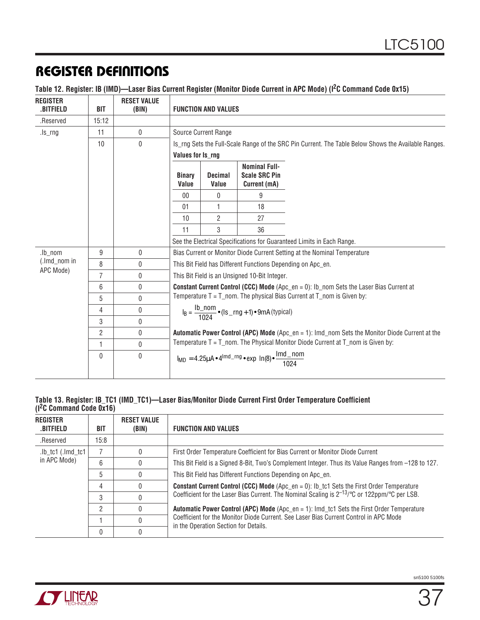| Table 12. Register: IB (IMD)-Laser Bias Current Register (Monitor Diode Current in APC Mode) (I <sup>2</sup> C Command Code 0x15) |
|-----------------------------------------------------------------------------------------------------------------------------------|
|-----------------------------------------------------------------------------------------------------------------------------------|

| <b>REGISTER</b><br>.BITFIELD | <b>BIT</b> | <b>RESET VALUE</b><br>(BIN) | <b>FUNCTION AND VALUES</b>                                                                           |                         |                                                              |                                                                                                          |  |  |  |
|------------------------------|------------|-----------------------------|------------------------------------------------------------------------------------------------------|-------------------------|--------------------------------------------------------------|----------------------------------------------------------------------------------------------------------|--|--|--|
| .Reserved                    | 15:12      |                             |                                                                                                      |                         |                                                              |                                                                                                          |  |  |  |
| $ls$ _rng                    | 11         | 0                           | Source Current Range                                                                                 |                         |                                                              |                                                                                                          |  |  |  |
|                              | 10         | $\mathbf{0}$                |                                                                                                      |                         |                                                              | Is_rng Sets the Full-Scale Range of the SRC Pin Current. The Table Below Shows the Available Ranges.     |  |  |  |
|                              |            |                             | Values for Is_rng                                                                                    |                         |                                                              |                                                                                                          |  |  |  |
|                              |            |                             | <b>Binary</b><br>Value                                                                               | <b>Decimal</b><br>Value | <b>Nominal Full-</b><br><b>Scale SRC Pin</b><br>Current (mA) |                                                                                                          |  |  |  |
|                              |            |                             | $00\,$                                                                                               | 0                       | 9                                                            |                                                                                                          |  |  |  |
|                              |            |                             | 01                                                                                                   | 1                       | 18                                                           |                                                                                                          |  |  |  |
|                              |            |                             | 10                                                                                                   | 2                       | 27                                                           |                                                                                                          |  |  |  |
|                              |            |                             | 11                                                                                                   | 3                       | 36                                                           |                                                                                                          |  |  |  |
|                              |            |                             |                                                                                                      |                         |                                                              | See the Electrical Specifications for Guaranteed Limits in Each Range.                                   |  |  |  |
| .lb nom                      | 9          | 0                           | Bias Current or Monitor Diode Current Setting at the Nominal Temperature                             |                         |                                                              |                                                                                                          |  |  |  |
| (.lmd_nom in<br>APC Mode)    | 8          | 0                           | This Bit Field has Different Functions Depending on Apc_en.                                          |                         |                                                              |                                                                                                          |  |  |  |
|                              | 7          | 0                           | This Bit Field is an Unsigned 10-Bit Integer.                                                        |                         |                                                              |                                                                                                          |  |  |  |
|                              | 6          | $\mathbf{0}$                | <b>Constant Current Control (CCC) Mode</b> (Apc_en = 0): Ib_nom Sets the Laser Bias Current at       |                         |                                                              |                                                                                                          |  |  |  |
|                              | 5          | 0                           | Temperature $T = T$ nom. The physical Bias Current at $T$ nom is Given by:                           |                         |                                                              |                                                                                                          |  |  |  |
|                              | 4          | 0                           | $I_B = \frac{Ib\_nom}{1024} \cdot (Is\_rng + 1) \cdot 9mA$ (typical)                                 |                         |                                                              |                                                                                                          |  |  |  |
|                              | 3          | 0                           |                                                                                                      |                         |                                                              |                                                                                                          |  |  |  |
|                              | 2          | 0                           |                                                                                                      |                         |                                                              | <b>Automatic Power Control (APC) Mode</b> (Apc $en = 1$ ): Imd nom Sets the Monitor Diode Current at the |  |  |  |
|                              | 1          | $\mathbf{0}$                |                                                                                                      |                         |                                                              | Temperature $T = T$ nom. The Physical Monitor Diode Current at $T$ nom is Given by:                      |  |  |  |
|                              | 0          | $\mathbf{0}$                | $I_{MD} = 4.25 \mu A \cdot 4^{lmd\_rng} \cdot \exp \left[ ln(8) \cdot \frac{lmd\_nom}{1024} \right]$ |                         |                                                              |                                                                                                          |  |  |  |

#### **Table 13. Register: IB\_TC1 (IMD\_TC1)—Laser Bias/Monitor Diode Current First Order Temperature Coefficient (I2C Command Code 0x16)**

| <b>REGISTER</b><br>.BITFIELD          | BIT  | <b>RESET VALUE</b><br>(BIN)                                                                         | <b>FUNCTION AND VALUES</b>                                                                                                     |
|---------------------------------------|------|-----------------------------------------------------------------------------------------------------|--------------------------------------------------------------------------------------------------------------------------------|
| .Reserved                             | 15:8 |                                                                                                     |                                                                                                                                |
| .lb tc1 (.lmd tc1)                    |      |                                                                                                     | First Order Temperature Coefficient for Bias Current or Monitor Diode Current                                                  |
| in APC Mode)<br>6<br>5<br>4<br>3<br>2 |      | This Bit Field is a Signed 8-Bit, Two's Complement Integer. Thus its Value Ranges from -128 to 127. |                                                                                                                                |
|                                       |      |                                                                                                     | This Bit Field has Different Functions Depending on Apc en.                                                                    |
|                                       |      |                                                                                                     | <b>Constant Current Control (CCC) Mode</b> (Apc_en = 0): Ib_tc1 Sets the First Order Temperature                               |
|                                       |      |                                                                                                     | Coefficient for the Laser Bias Current. The Nominal Scaling is $2^{-13/6}$ C or 122ppm/ $^{\circ}$ C per LSB.                  |
|                                       |      |                                                                                                     | <b>Automatic Power Control (APC) Mode</b> (Apc_en = 1): Imd_tc1 Sets the First Order Temperature                               |
|                                       |      |                                                                                                     | Coefficient for the Monitor Diode Current, See Laser Bias Current Control in APC Mode<br>in the Operation Section for Details. |
|                                       | 0    |                                                                                                     |                                                                                                                                |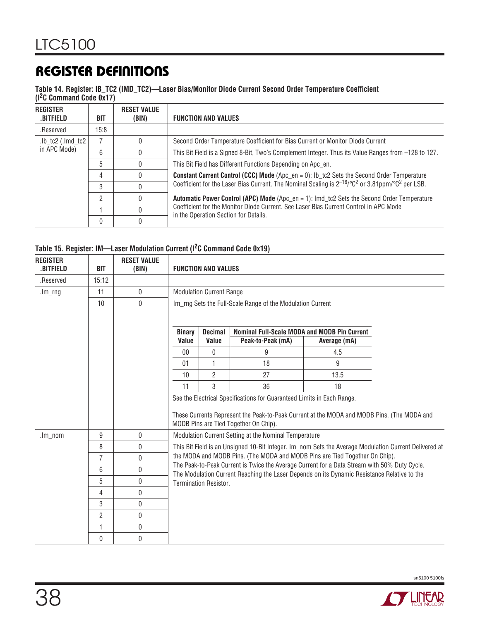#### **Table 14. Register: IB\_TC2 (IMD\_TC2)—Laser Bias/Monitor Diode Current Second Order Temperature Coefficient (I2C Command Code 0x17)**

| <b>REGISTER</b><br>.BITFIELD | BIT  | <b>RESET VALUE</b><br>(BIN) | <b>FUNCTION AND VALUES</b>                                                                                                    |
|------------------------------|------|-----------------------------|-------------------------------------------------------------------------------------------------------------------------------|
| .Reserved                    | 15:8 |                             |                                                                                                                               |
| $lb\_tc2$ (.lmd_tc2)         |      |                             | Second Order Temperature Coefficient for Bias Current or Monitor Diode Current                                                |
| in APC Mode)                 | 6    |                             | This Bit Field is a Signed 8-Bit, Two's Complement Integer. Thus its Value Ranges from -128 to 127.                           |
|                              | 5    |                             | This Bit Field has Different Functions Depending on Apc en.                                                                   |
|                              | 4    |                             | <b>Constant Current Control (CCC) Mode</b> (Apc_en = 0): Ib_tc2 Sets the Second Order Temperature                             |
|                              | 3    |                             | Coefficient for the Laser Bias Current. The Nominal Scaling is $2^{-18}$ /°C <sup>2</sup> or 3.81ppm/°C <sup>2</sup> per LSB. |
|                              | ŋ    |                             | <b>Automatic Power Control (APC) Mode</b> (Apc_en = 1): Imd_tc2 Sets the Second Order Temperature                             |
|                              |      |                             | Coefficient for the Monitor Diode Current, See Laser Bias Current Control in APC Mode                                         |
|                              | 0    |                             | in the Operation Section for Details.                                                                                         |

#### **Table 15. Register: IM—Laser Modulation Current (I2C Command Code 0x19)**

| <b>REGISTER</b><br>.BITFIELD | <b>BIT</b>     | <b>RESET VALUE</b><br>(BIN) | <b>FUNCTION AND VALUES</b>                                                                                                                                                                                                                                                                                                                                                                                          |                |                                                            |              |  |  |  |  |
|------------------------------|----------------|-----------------------------|---------------------------------------------------------------------------------------------------------------------------------------------------------------------------------------------------------------------------------------------------------------------------------------------------------------------------------------------------------------------------------------------------------------------|----------------|------------------------------------------------------------|--------------|--|--|--|--|
| .Reserved                    | 15:12          |                             |                                                                                                                                                                                                                                                                                                                                                                                                                     |                |                                                            |              |  |  |  |  |
| $lm$ _rng                    | 11             | 0                           | <b>Modulation Current Range</b>                                                                                                                                                                                                                                                                                                                                                                                     |                |                                                            |              |  |  |  |  |
|                              | 10             | $\mathbf 0$                 |                                                                                                                                                                                                                                                                                                                                                                                                                     |                | Im_rng Sets the Full-Scale Range of the Modulation Current |              |  |  |  |  |
|                              |                |                             | <b>Binary</b>                                                                                                                                                                                                                                                                                                                                                                                                       | <b>Decimal</b> | Nominal Full-Scale MODA and MODB Pin Current               |              |  |  |  |  |
|                              |                |                             | Value                                                                                                                                                                                                                                                                                                                                                                                                               | Value          | Peak-to-Peak (mA)                                          | Average (mA) |  |  |  |  |
|                              |                |                             | $00\,$                                                                                                                                                                                                                                                                                                                                                                                                              | 0              | 9                                                          | 4.5          |  |  |  |  |
|                              |                |                             | 01                                                                                                                                                                                                                                                                                                                                                                                                                  | 1              | 18                                                         | 9            |  |  |  |  |
|                              |                |                             | 10                                                                                                                                                                                                                                                                                                                                                                                                                  | $\overline{2}$ | 27                                                         | 13.5         |  |  |  |  |
|                              |                |                             | 11                                                                                                                                                                                                                                                                                                                                                                                                                  | 3              | 36                                                         | 18           |  |  |  |  |
|                              |                |                             | See the Electrical Specifications for Guaranteed Limits in Each Range.                                                                                                                                                                                                                                                                                                                                              |                |                                                            |              |  |  |  |  |
|                              |                |                             | These Currents Represent the Peak-to-Peak Current at the MODA and MODB Pins. (The MODA and<br>MODB Pins are Tied Together On Chip).                                                                                                                                                                                                                                                                                 |                |                                                            |              |  |  |  |  |
| $.lm\_nom$                   | 9              | 0                           |                                                                                                                                                                                                                                                                                                                                                                                                                     |                | Modulation Current Setting at the Nominal Temperature      |              |  |  |  |  |
|                              | 8              | 0                           | This Bit Field is an Unsigned 10-Bit Integer. Im_nom Sets the Average Modulation Current Delivered at<br>the MODA and MODB Pins. (The MODA and MODB Pins are Tied Together On Chip).<br>The Peak-to-Peak Current is Twice the Average Current for a Data Stream with 50% Duty Cycle.<br>The Modulation Current Reaching the Laser Depends on its Dynamic Resistance Relative to the<br><b>Termination Resistor.</b> |                |                                                            |              |  |  |  |  |
|                              | 7              | $\mathbf{0}$                |                                                                                                                                                                                                                                                                                                                                                                                                                     |                |                                                            |              |  |  |  |  |
|                              | 6              | 0                           |                                                                                                                                                                                                                                                                                                                                                                                                                     |                |                                                            |              |  |  |  |  |
|                              | 5              | 0                           |                                                                                                                                                                                                                                                                                                                                                                                                                     |                |                                                            |              |  |  |  |  |
|                              | $\overline{4}$ | 0                           |                                                                                                                                                                                                                                                                                                                                                                                                                     |                |                                                            |              |  |  |  |  |
|                              | 3              | 0                           |                                                                                                                                                                                                                                                                                                                                                                                                                     |                |                                                            |              |  |  |  |  |
|                              | 2              | $\mathbf{0}$                |                                                                                                                                                                                                                                                                                                                                                                                                                     |                |                                                            |              |  |  |  |  |
|                              | 1              | 0                           |                                                                                                                                                                                                                                                                                                                                                                                                                     |                |                                                            |              |  |  |  |  |
|                              | 0              | 0                           |                                                                                                                                                                                                                                                                                                                                                                                                                     |                |                                                            |              |  |  |  |  |

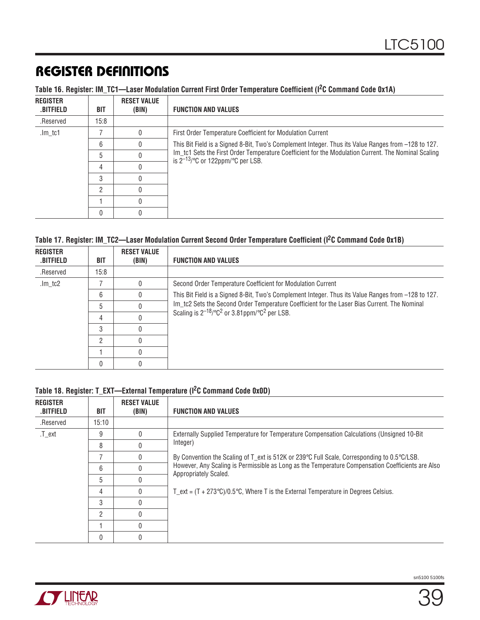|  |  |  |  | Table 16. Register: IM_TC1-Laser Modulation Current First Order Temperature Coefficient (I <sup>2</sup> C Command Code 0x1A) |
|--|--|--|--|------------------------------------------------------------------------------------------------------------------------------|
|--|--|--|--|------------------------------------------------------------------------------------------------------------------------------|

| <b>REGISTER</b><br>.BITFIELD | BIT  | <b>RESET VALUE</b><br>(BIN) | <b>FUNCTION AND VALUES</b>                                                                                                                    |
|------------------------------|------|-----------------------------|-----------------------------------------------------------------------------------------------------------------------------------------------|
| .Reserved                    | 15:8 |                             |                                                                                                                                               |
| .lm_tc1                      |      |                             | First Order Temperature Coefficient for Modulation Current                                                                                    |
|                              | 6    |                             | .127 This Bit Field is a Signed 8-Bit, Two's Complement Integer. Thus its Value Ranges from –128 to                                           |
|                              | 5    |                             | Im_tc1 Sets the First Order Temperature Coefficient for the Modulation Current. The Nominal Scaling<br>is $2^{-13}$ /°C or 122ppm/°C per LSB. |
|                              | 4    |                             |                                                                                                                                               |
|                              | 3    |                             |                                                                                                                                               |
|                              | റ    |                             |                                                                                                                                               |
|                              |      |                             |                                                                                                                                               |
|                              | 0    |                             |                                                                                                                                               |

### **Table 17. Register: IM\_TC2—Laser Modulation Current Second Order Temperature Coefficient (I2C Command Code 0x1B)**

| <b>REGISTER</b><br>.BITFIELD | BIT  | <b>RESET VALUE</b><br>(BIN) | <b>FUNCTION AND VALUES</b>                                                                          |
|------------------------------|------|-----------------------------|-----------------------------------------------------------------------------------------------------|
| .Reserved                    | 15:8 |                             |                                                                                                     |
| .lm_tc2                      |      | 0                           | Second Order Temperature Coefficient for Modulation Current                                         |
|                              | 6    |                             | This Bit Field is a Signed 8-Bit, Two's Complement Integer. Thus its Value Ranges from -128 to 127. |
|                              | 5    |                             | Im_tc2 Sets the Second Order Temperature Coefficient for the Laser Bias Current. The Nominal        |
|                              | 4    |                             | Scaling is $2^{-18}$ / $\degree$ C <sup>2</sup> or 3.81ppm/ $\degree$ C <sup>2</sup> per LSB.       |
|                              | 3    |                             |                                                                                                     |
|                              | C.   |                             |                                                                                                     |
|                              |      |                             |                                                                                                     |
|                              |      |                             |                                                                                                     |

### **Table 18. Register: T\_EXT—External Temperature (I2C Command Code 0x0D)**

| <b>REGISTER</b><br>.BITFIELD | BIT   | <b>RESET VALUE</b><br>(BIN) | <b>FUNCTION AND VALUES</b>                                                                                                 |
|------------------------------|-------|-----------------------------|----------------------------------------------------------------------------------------------------------------------------|
| .Reserved                    | 15:10 |                             |                                                                                                                            |
| .T_ext                       | 9     |                             | Externally Supplied Temperature for Temperature Compensation Calculations (Unsigned 10-Bit                                 |
|                              | 8     |                             | Integer)                                                                                                                   |
|                              |       | $\Omega$                    | By Convention the Scaling of T_ext is 512K or 239°C Full Scale, Corresponding to 0.5°C/LSB.                                |
|                              | 6     |                             | However, Any Scaling is Permissible as Long as the Temperature Compensation Coefficients are Also<br>Appropriately Scaled. |
|                              | 5     |                             |                                                                                                                            |
|                              | 4     |                             | T_ext = $(T + 273^{\circ}C)/0.5^{\circ}C$ , Where T is the External Temperature in Degrees Celsius.                        |
|                              | 3     |                             |                                                                                                                            |
|                              | 2     |                             |                                                                                                                            |
|                              |       |                             |                                                                                                                            |
|                              | 0     |                             |                                                                                                                            |

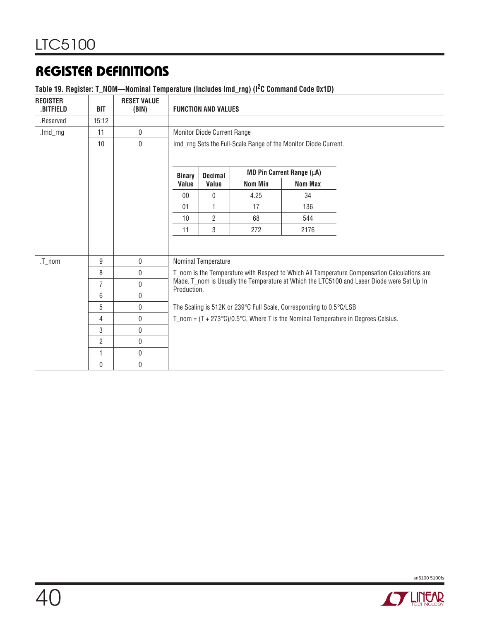#### **Table 19. Register: T\_NOM—Nominal Temperature (Includes Imd\_rng) (I2C Command Code 0x1D)**

| <b>REGISTER</b><br><b>.BITFIELD</b>                                                  | <b>BIT</b>     | <b>RESET VALUE</b><br>(BIN) | <b>FUNCTION AND VALUES</b>                                                                                |                                                                                              |                |                                                                     |                                                                                                    |  |  |
|--------------------------------------------------------------------------------------|----------------|-----------------------------|-----------------------------------------------------------------------------------------------------------|----------------------------------------------------------------------------------------------|----------------|---------------------------------------------------------------------|----------------------------------------------------------------------------------------------------|--|--|
| .Reserved                                                                            | 15:12          |                             |                                                                                                           |                                                                                              |                |                                                                     |                                                                                                    |  |  |
| .lmd_rng                                                                             | 11             | $\mathbf 0$                 | Monitor Diode Current Range                                                                               |                                                                                              |                |                                                                     |                                                                                                    |  |  |
| $\mathbf 0$<br>10<br>Imd_rng Sets the Full-Scale Range of the Monitor Diode Current. |                |                             |                                                                                                           |                                                                                              |                |                                                                     |                                                                                                    |  |  |
|                                                                                      |                |                             | <b>Binary</b>                                                                                             | <b>Decimal</b>                                                                               |                | MD Pin Current Range (µA)                                           |                                                                                                    |  |  |
|                                                                                      |                |                             | Value                                                                                                     | Value                                                                                        | <b>Nom Min</b> | <b>Nom Max</b>                                                      |                                                                                                    |  |  |
|                                                                                      |                |                             | $00\,$                                                                                                    | $\mathbf{0}$                                                                                 | 4.25           | 34                                                                  |                                                                                                    |  |  |
|                                                                                      |                |                             | 01                                                                                                        | $\mathbf{1}$                                                                                 | 17             | 136                                                                 |                                                                                                    |  |  |
|                                                                                      |                |                             | 10                                                                                                        | $\overline{2}$                                                                               | 68             | 544                                                                 |                                                                                                    |  |  |
|                                                                                      |                |                             | 11                                                                                                        | $\mathbf 3$                                                                                  | 272            | 2176                                                                |                                                                                                    |  |  |
|                                                                                      |                |                             |                                                                                                           |                                                                                              |                |                                                                     |                                                                                                    |  |  |
| $.T_$ nom                                                                            | 9              | $\pmb{0}$                   | Nominal Temperature                                                                                       |                                                                                              |                |                                                                     |                                                                                                    |  |  |
|                                                                                      | 8              | $\pmb{0}$                   |                                                                                                           | T_nom is the Temperature with Respect to Which All Temperature Compensation Calculations are |                |                                                                     |                                                                                                    |  |  |
|                                                                                      | $\overline{7}$ | 0                           | Made. T_nom is Usually the Temperature at Which the LTC5100 and Laser Diode were Set Up In<br>Production. |                                                                                              |                |                                                                     |                                                                                                    |  |  |
|                                                                                      | 6              | 0                           |                                                                                                           |                                                                                              |                |                                                                     |                                                                                                    |  |  |
|                                                                                      | 5              | 0                           |                                                                                                           |                                                                                              |                | The Scaling is 512K or 239°C Full Scale, Corresponding to 0.5°C/LSB |                                                                                                    |  |  |
|                                                                                      | 4              | $\mathbf 0$                 |                                                                                                           |                                                                                              |                |                                                                     | T_nom = $(T + 273^{\circ}C)/0.5^{\circ}C$ , Where T is the Nominal Temperature in Degrees Celsius. |  |  |
|                                                                                      | 3              | 0                           |                                                                                                           |                                                                                              |                |                                                                     |                                                                                                    |  |  |
|                                                                                      | $\overline{2}$ | 0                           |                                                                                                           |                                                                                              |                |                                                                     |                                                                                                    |  |  |
|                                                                                      | 1              | 0                           |                                                                                                           |                                                                                              |                |                                                                     |                                                                                                    |  |  |
|                                                                                      | 0              | 0                           |                                                                                                           |                                                                                              |                |                                                                     |                                                                                                    |  |  |



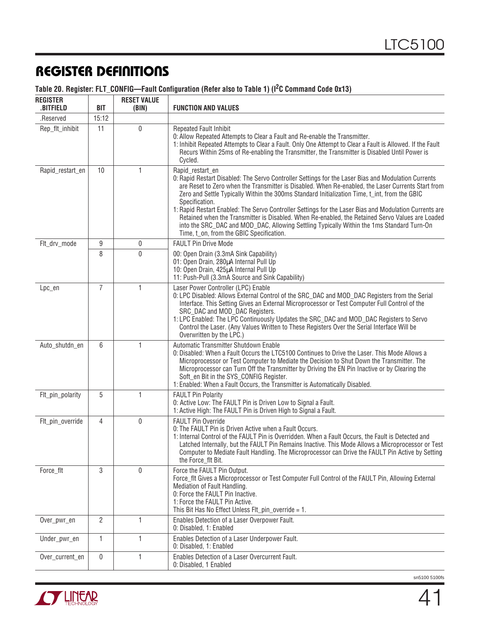| Table 20. Register: FLT_CONFIG-Fault Configuration (Refer also to Table 1) (I <sup>2</sup> C Command Code 0x13) |  |  |
|-----------------------------------------------------------------------------------------------------------------|--|--|
|-----------------------------------------------------------------------------------------------------------------|--|--|

| <b>REGISTER</b><br>.BITFIELD | <b>BIT</b>     | <b>RESET VALUE</b><br>(BIN) | <b>FUNCTION AND VALUES</b>                                                                                                                                                                                                                                                                                                                                                                                                                                                                                                                                                                                                                                                                              |  |  |  |
|------------------------------|----------------|-----------------------------|---------------------------------------------------------------------------------------------------------------------------------------------------------------------------------------------------------------------------------------------------------------------------------------------------------------------------------------------------------------------------------------------------------------------------------------------------------------------------------------------------------------------------------------------------------------------------------------------------------------------------------------------------------------------------------------------------------|--|--|--|
| .Reserved                    | 15:12          |                             |                                                                                                                                                                                                                                                                                                                                                                                                                                                                                                                                                                                                                                                                                                         |  |  |  |
| Rep_flt_inhibit              | 11             | $\mathbf 0$                 | <b>Repeated Fault Inhibit</b><br>0: Allow Repeated Attempts to Clear a Fault and Re-enable the Transmitter.<br>1: Inhibit Repeated Attempts to Clear a Fault. Only One Attempt to Clear a Fault is Allowed. If the Fault<br>Recurs Within 25ms of Re-enabling the Transmitter, the Transmitter is Disabled Until Power is<br>Cycled.                                                                                                                                                                                                                                                                                                                                                                    |  |  |  |
| Rapid_restart_en             | 10             | 1                           | Rapid_restart_en<br>0: Rapid Restart Disabled: The Servo Controller Settings for the Laser Bias and Modulation Currents<br>are Reset to Zero when the Transmitter is Disabled. When Re-enabled, the Laser Currents Start from<br>Zero and Settle Typically Within the 300ms Standard Initialization Time, t_int, from the GBIC<br>Specification.<br>1: Rapid Restart Enabled: The Servo Controller Settings for the Laser Bias and Modulation Currents are<br>Retained when the Transmitter is Disabled. When Re-enabled, the Retained Servo Values are Loaded<br>into the SRC_DAC and MOD_DAC, Allowing Settling Typically Within the 1ms Standard Turn-On<br>Time, t_on, from the GBIC Specification. |  |  |  |
| Flt_drv_mode                 | 9              | 0                           | <b>FAULT Pin Drive Mode</b>                                                                                                                                                                                                                                                                                                                                                                                                                                                                                                                                                                                                                                                                             |  |  |  |
|                              | 8              | $\mathbf 0$                 | 00: Open Drain (3.3mA Sink Capability)<br>01: Open Drain, 280µA Internal Pull Up<br>10: Open Drain, 425µA Internal Pull Up<br>11: Push-Pull (3.3mA Source and Sink Capability)                                                                                                                                                                                                                                                                                                                                                                                                                                                                                                                          |  |  |  |
| Lpc_en                       | $\overline{7}$ | 1                           | Laser Power Controller (LPC) Enable<br>0: LPC Disabled: Allows External Control of the SRC_DAC and MOD_DAC Registers from the Serial<br>Interface. This Setting Gives an External Microprocessor or Test Computer Full Control of the<br>SRC_DAC and MOD_DAC Registers.<br>1: LPC Enabled: The LPC Continuously Updates the SRC_DAC and MOD_DAC Registers to Servo<br>Control the Laser. (Any Values Written to These Registers Over the Serial Interface Will be<br>Overwritten by the LPC.)                                                                                                                                                                                                           |  |  |  |
| Auto_shutdn_en               | 6              | 1                           | Automatic Transmitter Shutdown Enable<br>0: Disabled: When a Fault Occurs the LTC5100 Continues to Drive the Laser. This Mode Allows a<br>Microprocessor or Test Computer to Mediate the Decision to Shut Down the Transmitter. The<br>Microprocessor can Turn Off the Transmitter by Driving the EN Pin Inactive or by Clearing the<br>Soft_en Bit in the SYS_CONFIG Register.<br>1: Enabled: When a Fault Occurs, the Transmitter is Automatically Disabled.                                                                                                                                                                                                                                          |  |  |  |
| Flt_pin_polarity             | 5              | 1                           | <b>FAULT Pin Polarity</b><br>0: Active Low: The FAULT Pin is Driven Low to Signal a Fault.<br>1: Active High: The FAULT Pin is Driven High to Signal a Fault.                                                                                                                                                                                                                                                                                                                                                                                                                                                                                                                                           |  |  |  |
| Flt_pin_override             | 4              | $\mathbf 0$                 | <b>FAULT Pin Override</b><br>0: The FAULT Pin is Driven Active when a Fault Occurs.<br>1: Internal Control of the FAULT Pin is Overridden. When a Fault Occurs, the Fault is Detected and<br>Latched Internally, but the FAULT Pin Remains Inactive. This Mode Allows a Microprocessor or Test<br>Computer to Mediate Fault Handling. The Microprocessor can Drive the FAULT Pin Active by Setting<br>the Force_flt Bit.                                                                                                                                                                                                                                                                                |  |  |  |
| Force_flt                    | 3              | $\mathbf 0$                 | Force the FAULT Pin Output.<br>Force_flt Gives a Microprocessor or Test Computer Full Control of the FAULT Pin, Allowing External<br>Mediation of Fault Handling.<br>0: Force the FAULT Pin Inactive.<br>1: Force the FAULT Pin Active.<br>This Bit Has No Effect Unless FIt_pin_override = 1.                                                                                                                                                                                                                                                                                                                                                                                                          |  |  |  |
| Over_pwr_en                  | $\overline{2}$ | 1                           | Enables Detection of a Laser Overpower Fault.<br>0: Disabled, 1: Enabled                                                                                                                                                                                                                                                                                                                                                                                                                                                                                                                                                                                                                                |  |  |  |
| Under_pwr_en                 | 1              | 1                           | Enables Detection of a Laser Underpower Fault.<br>0: Disabled, 1: Enabled                                                                                                                                                                                                                                                                                                                                                                                                                                                                                                                                                                                                                               |  |  |  |
| Over_current_en              | 0              | 1                           | Enables Detection of a Laser Overcurrent Fault.<br>0: Disabled, 1 Enabled                                                                                                                                                                                                                                                                                                                                                                                                                                                                                                                                                                                                                               |  |  |  |

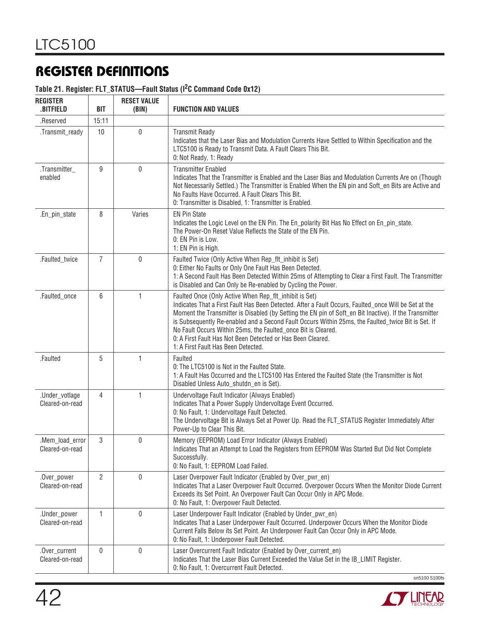#### **Table 21. Register: FLT\_STATUS—Fault Status (I2C Command Code 0x12)**

| <b>REGISTER</b><br><b>BITFIELD</b> | <b>BIT</b>     | <b>RESET VALUE</b><br>(BIN) | <b>FUNCTION AND VALUES</b>                                                                                                                                                                                                                                                                                                                                                                                                                                                                                                                             |
|------------------------------------|----------------|-----------------------------|--------------------------------------------------------------------------------------------------------------------------------------------------------------------------------------------------------------------------------------------------------------------------------------------------------------------------------------------------------------------------------------------------------------------------------------------------------------------------------------------------------------------------------------------------------|
| .Reserved                          | 15:11          |                             |                                                                                                                                                                                                                                                                                                                                                                                                                                                                                                                                                        |
| .Transmit_ready                    | 10             | $\mathbf 0$                 | <b>Transmit Ready</b><br>Indicates that the Laser Bias and Modulation Currents Have Settled to Within Specification and the<br>LTC5100 is Ready to Transmit Data. A Fault Clears This Bit.<br>0: Not Ready, 1: Ready                                                                                                                                                                                                                                                                                                                                   |
| .Transmitter_<br>enabled           | 9              | $\mathbf 0$                 | <b>Transmitter Enabled</b><br>Indicates That the Transmitter is Enabled and the Laser Bias and Modulation Currents Are on (Though<br>Not Necessarily Settled.) The Transmitter is Enabled When the EN pin and Soft_en Bits are Active and<br>No Faults Have Occurred. A Fault Clears This Bit.<br>0: Transmitter is Disabled, 1: Transmitter is Enabled.                                                                                                                                                                                               |
| .En_pin_state                      | 8              | Varies                      | <b>EN Pin State</b><br>Indicates the Logic Level on the EN Pin. The En_polarity Bit Has No Effect on En_pin_state.<br>The Power-On Reset Value Reflects the State of the EN Pin.<br>0: EN Pin is Low.<br>1: EN Pin is High.                                                                                                                                                                                                                                                                                                                            |
| .Faulted_twice                     | $\overline{7}$ | 0                           | Faulted Twice (Only Active When Rep_flt_inhibit is Set)<br>0: Either No Faults or Only One Fault Has Been Detected.<br>1: A Second Fault Has Been Detected Within 25ms of Attempting to Clear a First Fault. The Transmitter<br>is Disabled and Can Only be Re-enabled by Cycling the Power.                                                                                                                                                                                                                                                           |
| .Faulted_once                      | 6              | 1                           | Faulted Once (Only Active When Rep_flt_inhibit is Set)<br>Indicates That a First Fault Has Been Detected. After a Fault Occurs, Faulted_once Will be Set at the<br>Moment the Transmitter is Disabled (by Setting the EN pin of Soft_en Bit Inactive). If the Transmitter<br>is Subsequently Re-enabled and a Second Fault Occurs Within 25ms, the Faulted_twice Bit is Set. If<br>No Fault Occurs Within 25ms, the Faulted_once Bit is Cleared.<br>0: A First Fault Has Not Been Detected or Has Been Cleared.<br>1: A First Fault Has Been Detected. |
| .Faulted                           | 5              | 1                           | Faulted<br>0: The LTC5100 is Not in the Faulted State.<br>1: A Fault Has Occurred and the LTC5100 Has Entered the Faulted State (the Transmitter is Not<br>Disabled Unless Auto_shutdn_en is Set).                                                                                                                                                                                                                                                                                                                                                     |
| .Under_votlage<br>Cleared-on-read  | 4              | 1                           | Undervoltage Fault Indicator (Always Enabled)<br>Indicates That a Power Supply Undervoltage Event Occurred.<br>0: No Fault, 1: Undervoltage Fault Detected.<br>The Undervoltage Bit is Always Set at Power Up. Read the FLT_STATUS Register Immediately After<br>Power-Up to Clear This Bit.                                                                                                                                                                                                                                                           |
| .Mem_load_error<br>Cleared-on-read | 3              | $\mathbf{0}$                | Memory (EEPROM) Load Error Indicator (Always Enabled)<br>Indicates That an Attempt to Load the Registers from EEPROM Was Started But Did Not Complete<br>Successfully.<br>0: No Fault, 1: EEPROM Load Failed.                                                                                                                                                                                                                                                                                                                                          |
| .Over_power<br>Cleared-on-read     | $\overline{2}$ | 0                           | Laser Overpower Fault Indicator (Enabled by Over_pwr_en)<br>Indicates That a Laser Overpower Fault Occurred. Overpower Occurs When the Monitor Diode Current<br>Exceeds its Set Point. An Overpower Fault Can Occur Only in APC Mode.<br>0: No Fault, 1: Overpower Fault Detected.                                                                                                                                                                                                                                                                     |
| .Under_power<br>Cleared-on-read    | 1              | 0                           | Laser Underpower Fault Indicator (Enabled by Under_pwr_en)<br>Indicates That a Laser Underpower Fault Occurred. Underpower Occurs When the Monitor Diode<br>Current Falls Below its Set Point. An Underpower Fault Can Occur Only in APC Mode.<br>0: No Fault, 1: Underpower Fault Detected.                                                                                                                                                                                                                                                           |
| .Over_current<br>Cleared-on-read   | 0              | 0                           | Laser Overcurrent Fault Indicator (Enabled by Over_current_en)<br>Indicates That the Laser Bias Current Exceeded the Value Set in the IB_LIMIT Register.<br>0: No Fault, 1: Overcurrent Fault Detected.<br>sn5100 5100fs                                                                                                                                                                                                                                                                                                                               |

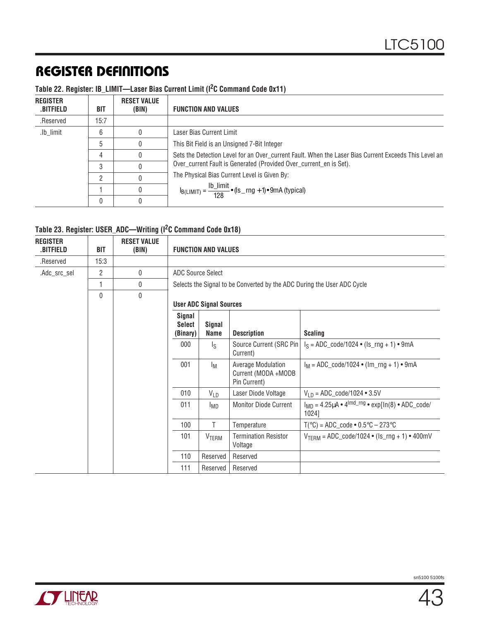### **Table 22. Register: IB\_LIMIT—Laser Bias Current Limit (I2C Command Code 0x11)**

| <b>REGISTER</b><br>.BITFIELD | BIT  | <b>RESET VALUE</b><br>(BIN) | <b>FUNCTION AND VALUES</b>                                                                            |
|------------------------------|------|-----------------------------|-------------------------------------------------------------------------------------------------------|
| .Reserved                    | 15:7 |                             |                                                                                                       |
| .lb_limit                    | 6    |                             | Laser Bias Current Limit                                                                              |
|                              | 5    |                             | This Bit Field is an Unsigned 7-Bit Integer                                                           |
|                              | 4    |                             | Sets the Detection Level for an Over_current Fault. When the Laser Bias Current Exceeds This Level an |
|                              | 3    |                             | Over_current Fault is Generated (Provided Over_current_en is Set).                                    |
|                              | റ    |                             | The Physical Bias Current Level is Given By:                                                          |
|                              |      |                             | $I_{B(LIMIT)} = \frac{I b\_limit}{128}$ • (Is _ rng + 1) • 9mA (typical)                              |
|                              | 0    |                             |                                                                                                       |

#### **Table 23. Register: USER\_ADC—Writing (I2C Command Code 0x18)**

| <b>REGISTER</b><br>.BITFIELD | <b>BIT</b> | <b>RESET VALUE</b><br>(BIN) |                                     | <b>FUNCTION AND VALUES</b>                                              |                                                                  |                                                                                     |  |  |  |
|------------------------------|------------|-----------------------------|-------------------------------------|-------------------------------------------------------------------------|------------------------------------------------------------------|-------------------------------------------------------------------------------------|--|--|--|
| .Reserved                    | 15:3       |                             |                                     |                                                                         |                                                                  |                                                                                     |  |  |  |
| .Adc_src_sel                 | 2          | 0                           |                                     | <b>ADC Source Select</b>                                                |                                                                  |                                                                                     |  |  |  |
|                              | 1          | 0                           |                                     | Selects the Signal to be Converted by the ADC During the User ADC Cycle |                                                                  |                                                                                     |  |  |  |
|                              | 0          | $\mathbf{0}$                |                                     |                                                                         |                                                                  |                                                                                     |  |  |  |
|                              |            |                             |                                     | <b>User ADC Signal Sources</b>                                          |                                                                  |                                                                                     |  |  |  |
|                              |            |                             | Signal<br><b>Select</b><br>(Binary) | <b>Signal</b><br>Name                                                   | <b>Description</b>                                               | <b>Scaling</b>                                                                      |  |  |  |
|                              |            |                             | 000                                 | $\mathsf{I}_\mathsf{S}$                                                 | Source Current (SRC Pin<br>Current)                              | $I_S = ADC_{code}/1024 \cdot (Is_{ring} + 1) \cdot 9mA$                             |  |  |  |
|                              |            |                             | 001                                 | Iм                                                                      | <b>Average Modulation</b><br>Current (MODA +MODB<br>Pin Current) | $I_M = ADC \cdot code / 1024 \cdot (Im \cdot rng + 1) \cdot 9mA$                    |  |  |  |
|                              |            |                             | 010                                 | $V_{LD}$                                                                | Laser Diode Voltage                                              | $V_{1D} = ADC_{code}/1024 \cdot 3.5V$                                               |  |  |  |
|                              |            |                             | 011                                 | <b>IMD</b>                                                              | <b>Monitor Diode Current</b>                                     | $I_{MD} = 4.25 \mu A \cdot 4^{lmd\_rng} \cdot \exp[ln(8) \cdot ADC\_code/$<br>1024] |  |  |  |
|                              |            |                             | 100                                 | T                                                                       | Temperature                                                      | $T(^{\circ}C)$ = ADC_code • 0.5 $^{\circ}C$ – 273 $^{\circ}C$                       |  |  |  |
|                              |            |                             | 101                                 | VTERM                                                                   | <b>Termination Resistor</b><br>Voltage                           | $V_{TFBM} = ADC_{code}/1024 \cdot (Is_{rr}g + 1) \cdot 400mV$                       |  |  |  |
|                              |            |                             | 110                                 | Reserved                                                                | Reserved                                                         |                                                                                     |  |  |  |
|                              |            |                             | 111                                 | Reserved                                                                | Reserved                                                         |                                                                                     |  |  |  |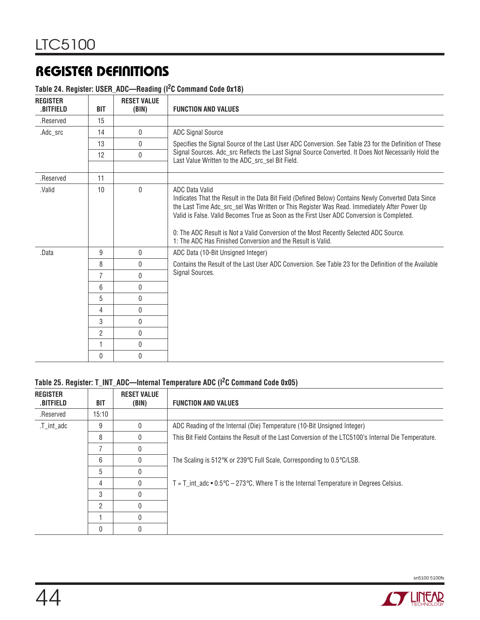#### **Table 24. Register: USER\_ADC—Reading (I2C Command Code 0x18)**

| <b>REGISTER</b><br>.BITFIELD | <b>BIT</b>     | <b>RESET VALUE</b><br>(BIN) | <b>FUNCTION AND VALUES</b>                                                                                                                                                                                                                                                                                                                                                                                                                                                       |
|------------------------------|----------------|-----------------------------|----------------------------------------------------------------------------------------------------------------------------------------------------------------------------------------------------------------------------------------------------------------------------------------------------------------------------------------------------------------------------------------------------------------------------------------------------------------------------------|
| .Reserved                    | 15             |                             |                                                                                                                                                                                                                                                                                                                                                                                                                                                                                  |
| .Adc_src                     | 14             | $\mathbf{0}$                | <b>ADC Signal Source</b>                                                                                                                                                                                                                                                                                                                                                                                                                                                         |
|                              | 13             | $\mathbf{0}$                | Specifies the Signal Source of the Last User ADC Conversion. See Table 23 for the Definition of These                                                                                                                                                                                                                                                                                                                                                                            |
|                              | 12             | $\mathbf{0}$                | Signal Sources. Adc_src Reflects the Last Signal Source Converted. It Does Not Necessarily Hold the<br>Last Value Written to the ADC_src_sel Bit Field.                                                                                                                                                                                                                                                                                                                          |
| .Reserved                    | 11             |                             |                                                                                                                                                                                                                                                                                                                                                                                                                                                                                  |
| .Valid                       | 10             | $\Omega$                    | <b>ADC Data Valid</b><br>Indicates That the Result in the Data Bit Field (Defined Below) Contains Newly Converted Data Since<br>the Last Time Adc_src_sel Was Written or This Register Was Read. Immediately After Power Up<br>Valid is False. Valid Becomes True as Soon as the First User ADC Conversion is Completed.<br>0: The ADC Result is Not a Valid Conversion of the Most Recently Selected ADC Source.<br>1: The ADC Has Finished Conversion and the Result is Valid. |
| .Data                        | 9              | $\mathbf 0$                 | ADC Data (10-Bit Unsigned Integer)                                                                                                                                                                                                                                                                                                                                                                                                                                               |
|                              | 8              | $\mathbf{0}$                | Contains the Result of the Last User ADC Conversion. See Table 23 for the Definition of the Available                                                                                                                                                                                                                                                                                                                                                                            |
|                              | $\overline{7}$ | $\Omega$                    | Signal Sources.                                                                                                                                                                                                                                                                                                                                                                                                                                                                  |
|                              | 6              | $\mathbf{0}$                |                                                                                                                                                                                                                                                                                                                                                                                                                                                                                  |
|                              | 5              | 0                           |                                                                                                                                                                                                                                                                                                                                                                                                                                                                                  |
|                              | 4              | 0                           |                                                                                                                                                                                                                                                                                                                                                                                                                                                                                  |
|                              | 3              | $\mathbf{0}$                |                                                                                                                                                                                                                                                                                                                                                                                                                                                                                  |
|                              | $\overline{2}$ | $\mathbf{0}$                |                                                                                                                                                                                                                                                                                                                                                                                                                                                                                  |
|                              | 1              | $\mathbf{0}$                |                                                                                                                                                                                                                                                                                                                                                                                                                                                                                  |
|                              | $\Omega$       | 0                           |                                                                                                                                                                                                                                                                                                                                                                                                                                                                                  |

#### **Table 25. Register: T\_INT\_ADC—Internal Temperature ADC (I2C Command Code 0x05)**

| <b>REGISTER</b><br><b>.BITFIELD</b> | BIT   | <b>RESET VALUE</b><br>(BIN) | <b>FUNCTION AND VALUES</b>                                                                           |
|-------------------------------------|-------|-----------------------------|------------------------------------------------------------------------------------------------------|
| .Reserved                           | 15:10 |                             |                                                                                                      |
| .T int adc                          | 9     | 0                           | ADC Reading of the Internal (Die) Temperature (10-Bit Unsigned Integer)                              |
|                                     | 8     |                             | This Bit Field Contains the Result of the Last Conversion of the LTC5100's Internal Die Temperature. |
|                                     |       |                             |                                                                                                      |
|                                     | 6     | O                           | The Scaling is 512°K or 239°C Full Scale, Corresponding to $0.5^{\circ}$ C/LSB.                      |
|                                     | 5     |                             |                                                                                                      |
|                                     | 4     |                             | $T = T$ int adc $\bullet$ 0.5°C – 273°C, Where T is the Internal Temperature in Degrees Celsius.     |
|                                     | 3     |                             |                                                                                                      |
|                                     | 2     |                             |                                                                                                      |
|                                     |       |                             |                                                                                                      |
|                                     | 0     |                             |                                                                                                      |

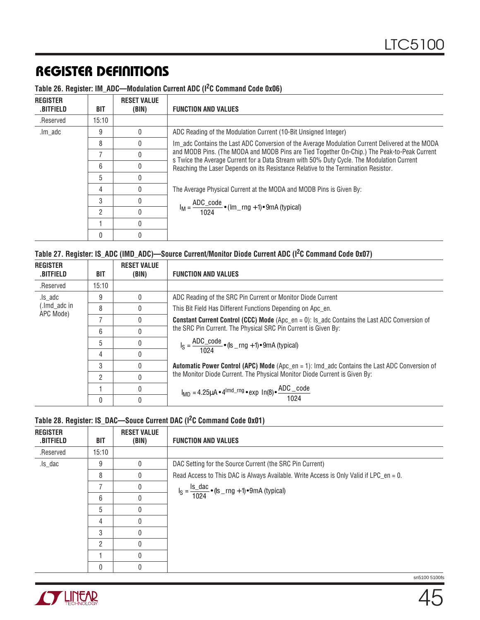| <b>REGISTER</b><br>.BITFIELD | BIT            | <b>RESET VALUE</b><br>(BIN) | <b>FUNCTION AND VALUES</b>                                                                                                                                                                                                                                                                                                                                                        |
|------------------------------|----------------|-----------------------------|-----------------------------------------------------------------------------------------------------------------------------------------------------------------------------------------------------------------------------------------------------------------------------------------------------------------------------------------------------------------------------------|
| .Reserved                    | 15:10          |                             |                                                                                                                                                                                                                                                                                                                                                                                   |
| .lm adc                      | 9              |                             | ADC Reading of the Modulation Current (10-Bit Unsigned Integer)                                                                                                                                                                                                                                                                                                                   |
|                              | 8              |                             | Im_adc Contains the Last ADC Conversion of the Average Modulation Current Delivered at the MODA<br>and MODB Pins. (The MODA and MODB Pins are Tied Together On-Chip.) The Peak-to-Peak Current<br>s Twice the Average Current for a Data Stream with 50% Duty Cycle. The Modulation Current<br>Reaching the Laser Depends on its Resistance Relative to the Termination Resistor. |
|                              |                |                             |                                                                                                                                                                                                                                                                                                                                                                                   |
|                              | 6              |                             |                                                                                                                                                                                                                                                                                                                                                                                   |
|                              | 5              |                             |                                                                                                                                                                                                                                                                                                                                                                                   |
|                              | 4              |                             | The Average Physical Current at the MODA and MODB Pins is Given By:                                                                                                                                                                                                                                                                                                               |
|                              | 3              |                             |                                                                                                                                                                                                                                                                                                                                                                                   |
|                              | $\overline{2}$ |                             | $I_M = \frac{ADC\_code}{1024} \cdot (Im_{m}mg + 1) \cdot 9mA$ (typical)                                                                                                                                                                                                                                                                                                           |
|                              |                |                             |                                                                                                                                                                                                                                                                                                                                                                                   |
|                              |                |                             |                                                                                                                                                                                                                                                                                                                                                                                   |

### **Table 26. Register: IM\_ADC—Modulation Current ADC (I2C Command Code 0x06)**

| Table 27. Register: IS_ADC (IMD_ADC)-Source Current/Monitor Diode Current ADC (I <sup>2</sup> C Command Code 0x07) |  |  |
|--------------------------------------------------------------------------------------------------------------------|--|--|
|                                                                                                                    |  |  |

| <b>REGISTER</b><br>.BITFIELD | BIT   | <b>RESET VALUE</b><br>(BIN) | <b>FUNCTION AND VALUES</b>                                                                                                  |
|------------------------------|-------|-----------------------------|-----------------------------------------------------------------------------------------------------------------------------|
| .Reserved                    | 15:10 |                             |                                                                                                                             |
| .ls adc                      | 9     |                             | ADC Reading of the SRC Pin Current or Monitor Diode Current                                                                 |
| (.lmd_adc in<br>APC Mode)    | 8     |                             | This Bit Field Has Different Functions Depending on Apc en.                                                                 |
|                              | 7     |                             | <b>Constant Current Control (CCC) Mode</b> (Apc_en = 0): Is_adc Contains the Last ADC Conversion of                         |
|                              | 6     |                             | the SRC Pin Current. The Physical SRC Pin Current is Given By:                                                              |
|                              | 5     |                             | $I_S = \frac{ADC\_code}{1024}$ • (Is _ rng + 1) • 9mA (typical)                                                             |
|                              | 4     |                             |                                                                                                                             |
|                              | 3     |                             | <b>Automatic Power Control (APC) Mode</b> (Apc_en = 1): Imd_adc Contains the Last ADC Conversion of                         |
|                              | 2     |                             | the Monitor Diode Current. The Physical Monitor Diode Current is Given By:                                                  |
|                              |       |                             | $I_{\text{MD}} = 4.25 \mu A \cdot 4^{\text{lmd\_rng}} \cdot \exp \left[ \ln(8) \cdot \frac{\text{ADC\_code}}{1024} \right]$ |
|                              | 0     |                             |                                                                                                                             |

### **Table 28. Register: IS\_DAC—Souce Current DAC (I2C Command Code 0x01)**

| <b>REGISTER</b><br><b>BITFIELD</b> | <b>BIT</b>     | <b>RESET VALUE</b><br>(BIN) | <b>FUNCTION AND VALUES</b>                                                             |
|------------------------------------|----------------|-----------------------------|----------------------------------------------------------------------------------------|
| .Reserved                          | 15:10          |                             |                                                                                        |
| .ls_dac                            | 9              | U                           | DAC Setting for the Source Current (the SRC Pin Current)                               |
|                                    | 8              | U                           | Read Access to This DAC is Always Available. Write Access is Only Valid if LPC_en = 0. |
|                                    | 7              |                             | $I_S = \frac{I_S_dac}{1024} \cdot (Is_{1}mg + 1) \cdot 9mA$ (typical)                  |
|                                    | 6              | 0                           |                                                                                        |
|                                    | 5              | 0                           |                                                                                        |
|                                    | 4              | 0                           |                                                                                        |
|                                    | 3              |                             |                                                                                        |
|                                    | $\mathfrak{p}$ |                             |                                                                                        |
|                                    |                |                             |                                                                                        |
|                                    | 0              |                             |                                                                                        |

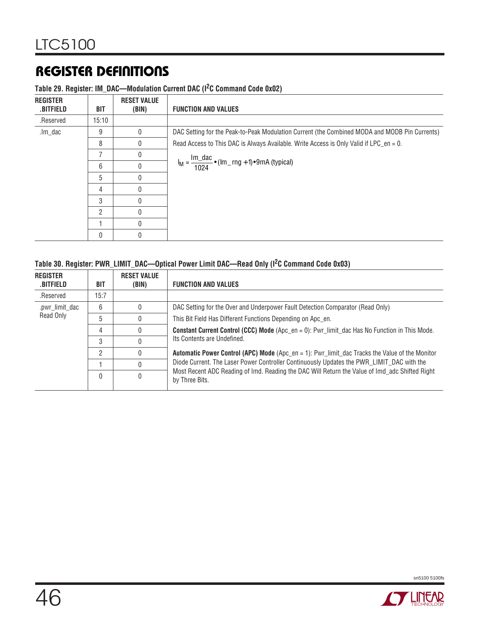| <b>REGISTER</b><br><b>.BITFIELD</b> | <b>BIT</b>     | <b>RESET VALUE</b><br>(BIN) | <b>FUNCTION AND VALUES</b>                                                                    |
|-------------------------------------|----------------|-----------------------------|-----------------------------------------------------------------------------------------------|
| .Reserved                           | 15:10          |                             |                                                                                               |
| .lm_dac                             | 9              |                             | DAC Setting for the Peak-to-Peak Modulation Current (the Combined MODA and MODB Pin Currents) |
|                                     | 8              | 0                           | Read Access to This DAC is Always Available. Write Access is Only Valid if LPC_en = 0.        |
|                                     | $\overline{7}$ | 0                           |                                                                                               |
|                                     | 6              |                             | $I_M = \frac{Im\_dac}{1024}$ • (lm_rng + 1) • 9mA (typical)                                   |
|                                     | 5              | $\Omega$                    |                                                                                               |
|                                     | 4              |                             |                                                                                               |
|                                     | 3              |                             |                                                                                               |
|                                     | 2              |                             |                                                                                               |
|                                     |                |                             |                                                                                               |
|                                     | 0              |                             |                                                                                               |

### **Table 29. Register: IM\_DAC—Modulation Current DAC (I2C Command Code 0x02)**

### **Table 30. Register: PWR\_LIMIT\_DAC—Optical Power Limit DAC—Read Only (I2C Command Code 0x03)**

| <b>REGISTER</b><br>.BITFIELD | <b>BIT</b> | <b>RESET VALUE</b><br>(BIN)                                 | <b>FUNCTION AND VALUES</b>                                                                                       |  |
|------------------------------|------------|-------------------------------------------------------------|------------------------------------------------------------------------------------------------------------------|--|
| .Reserved                    | 15:7       |                                                             |                                                                                                                  |  |
| .pwr_limit_dac               | 6          |                                                             | DAC Setting for the Over and Underpower Fault Detection Comparator (Read Only)                                   |  |
| Read Only                    | 5          | This Bit Field Has Different Functions Depending on Apc_en. |                                                                                                                  |  |
|                              | 4          |                                                             | <b>Constant Current Control (CCC) Mode</b> (Apc_en = 0): Pwr_limit_dac Has No Function in This Mode.             |  |
|                              | 3          |                                                             | Its Contents are Undefined.                                                                                      |  |
|                              | C          |                                                             | <b>Automatic Power Control (APC) Mode</b> (Apc_en = 1): Pwr_limit_dac Tracks the Value of the Monitor            |  |
|                              |            |                                                             | Diode Current. The Laser Power Controller Continuously Updates the PWR_LIMIT_DAC with the                        |  |
|                              | $\Omega$   |                                                             | Most Recent ADC Reading of Imd. Reading the DAC Will Return the Value of Imd adc Shifted Right<br>by Three Bits. |  |



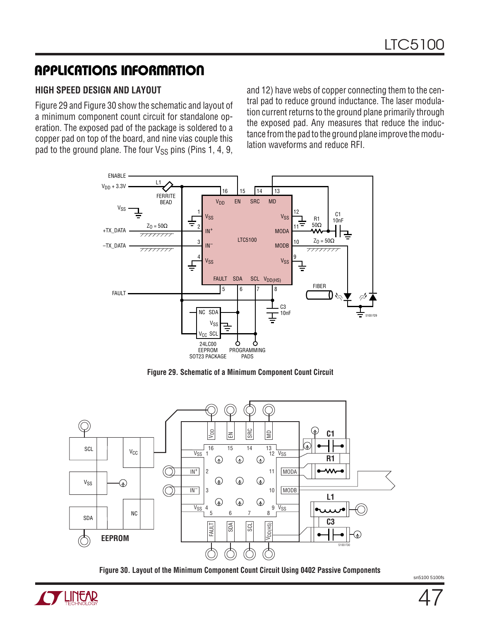#### **HIGH SPEED DESIGN AND LAYOUT**

Figure 29 and Figure 30 show the schematic and layout of a minimum component count circuit for standalone operation. The exposed pad of the package is soldered to a copper pad on top of the board, and nine vias couple this pad to the ground plane. The four  $V_{SS}$  pins (Pins 1, 4, 9,

and 12) have webs of copper connecting them to the central pad to reduce ground inductance. The laser modulation current returns to the ground plane primarily through the exposed pad. Any measures that reduce the inductance from the pad to the ground plane improve the modulation waveforms and reduce RFI.



**Figure 29. Schematic of a Minimum Component Count Circuit**



**Figure 30. Layout of the Minimum Component Count Circuit Using 0402 Passive Components**

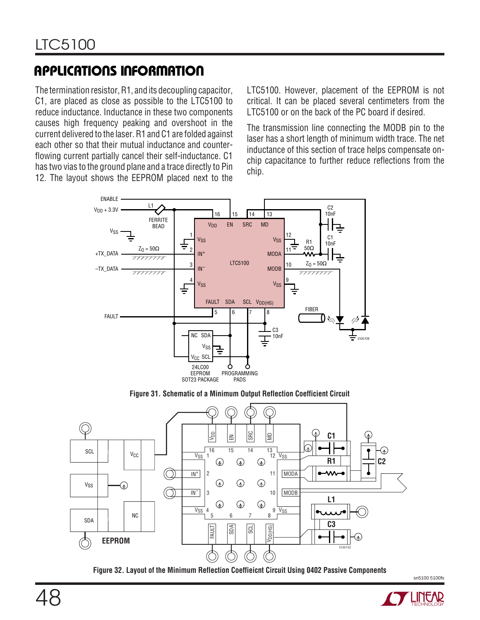The termination resistor, R1, and its decoupling capacitor, C1, are placed as close as possible to the LTC5100 to reduce inductance. Inductance in these two components causes high frequency peaking and overshoot in the current delivered to the laser. R1 and C1 are folded against each other so that their mutual inductance and counterflowing current partially cancel their self-inductance. C1 has two vias to the ground plane and a trace directly to Pin 12. The layout shows the EEPROM placed next to the LTC5100. However, placement of the EEPROM is not critical. It can be placed several centimeters from the LTC5100 or on the back of the PC board if desired.

The transmission line connecting the MODB pin to the laser has a short length of minimum width trace. The net inductance of this section of trace helps compensate onchip capacitance to further reduce reflections from the chip.



**Figure 31. Schematic of a Minimum Output Reflection Coefficient Circuit**



**Figure 32. Layout of the Minimum Reflection Coeffieicnt Circuit Using 0402 Passive Components**

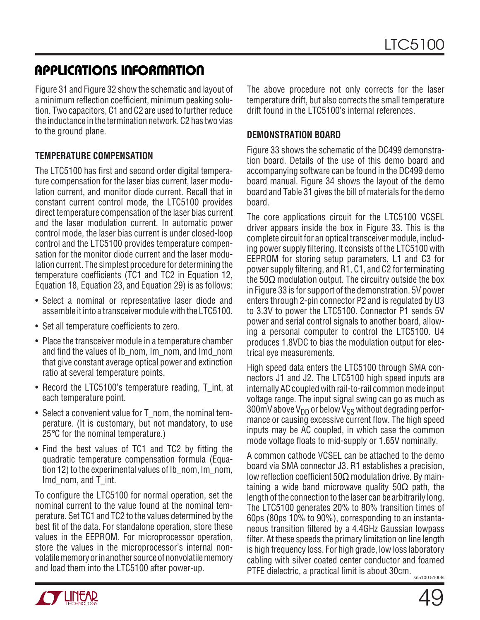Figure 31 and Figure 32 show the schematic and layout of a minimum reflection coefficient, minimum peaking solution. Two capacitors, C1 and C2 are used to further reduce the inductance in the termination network. C2 has two vias to the ground plane.

#### **TEMPERATURE COMPENSATION**

The LTC5100 has first and second order digital temperature compensation for the laser bias current, laser modulation current, and monitor diode current. Recall that in constant current control mode, the LTC5100 provides direct temperature compensation of the laser bias current and the laser modulation current. In automatic power control mode, the laser bias current is under closed-loop control and the LTC5100 provides temperature compensation for the monitor diode current and the laser modulation current. The simplest procedure for determining the temperature coefficients (TC1 and TC2 in Equation 12, Equation 18, Equation 23, and Equation 29) is as follows:

- Select a nominal or representative laser diode and assemble it into a transceiver module with the LTC5100.
- Set all temperature coefficients to zero.
- Place the transceiver module in a temperature chamber and find the values of Ib\_nom, Im\_nom, and Imd\_nom that give constant average optical power and extinction ratio at several temperature points.
- Record the LTC5100's temperature reading, T\_int, at each temperature point.
- Select a convenient value for T\_nom, the nominal temperature. (It is customary, but not mandatory, to use 25°C for the nominal temperature.)
- Find the best values of TC1 and TC2 by fitting the quadratic temperature compensation formula (Equation 12) to the experimental values of Ib\_nom, Im\_nom, Imd\_nom, and T\_int.

To configure the LTC5100 for normal operation, set the nominal current to the value found at the nominal temperature. Set TC1 and TC2 to the values determined by the best fit of the data. For standalone operation, store these values in the EEPROM. For microprocessor operation, store the values in the microprocessor's internal nonvolatile memory or in another source of nonvolatile memory and load them into the LTC5100 after power-up.

The above procedure not only corrects for the laser temperature drift, but also corrects the small temperature drift found in the LTC5100's internal references.

#### **DEMONSTRATION BOARD**

Figure 33 shows the schematic of the DC499 demonstration board. Details of the use of this demo board and accompanying software can be found in the DC499 demo board manual. Figure 34 shows the layout of the demo board and Table 31 gives the bill of materials for the demo board.

The core applications circuit for the LTC5100 VCSEL driver appears inside the box in Figure 33. This is the complete circuit for an optical transceiver module, including power supply filtering. It consists of the LTC5100 with EEPROM for storing setup parameters, L1 and C3 for power supply filtering, and R1, C1, and C2 for terminating the  $50\Omega$  modulation output. The circuitry outside the box in Figure 33 is for support of the demonstration. 5V power enters through 2-pin connector P2 and is regulated by U3 to 3.3V to power the LTC5100. Connector P1 sends 5V power and serial control signals to another board, allowing a personal computer to control the LTC5100. U4 produces 1.8VDC to bias the modulation output for electrical eye measurements.

High speed data enters the LTC5100 through SMA connectors J1 and J2. The LTC5100 high speed inputs are internally AC coupled with rail-to-rail common mode input voltage range. The input signal swing can go as much as 300mV above  $V_{DD}$  or below  $V_{SS}$  without degrading performance or causing excessive current flow. The high speed inputs may be AC coupled, in which case the common mode voltage floats to mid-supply or 1.65V nominally.

A common cathode VCSEL can be attached to the demo board via SMA connector J3. R1 establishes a precision, low reflection coefficient 50Ω modulation drive. By maintaining a wide band microwave quality  $50\Omega$  path, the length of the connection to the laser can be arbitrarily long. The LTC5100 generates 20% to 80% transition times of 60ps (80ps 10% to 90%), corresponding to an instantaneous transition filtered by a 4.4GHz Gaussian lowpass filter. At these speeds the primary limitation on line length is high frequency loss. For high grade, low loss laboratory cabling with silver coated center conductor and foamed PTFE dielectric, a practical limit is about 30cm.

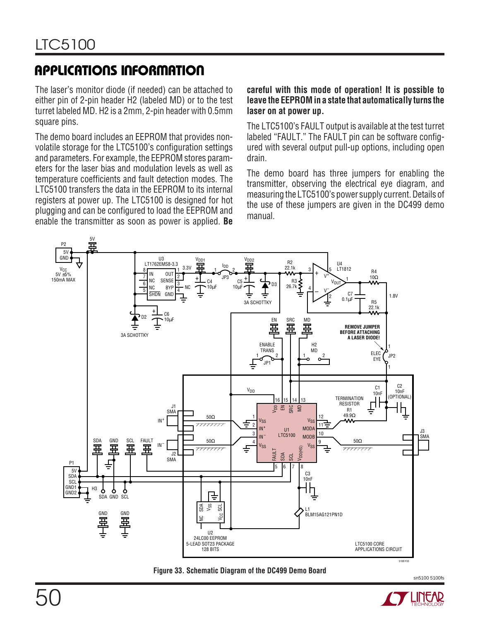The laser's monitor diode (if needed) can be attached to either pin of 2-pin header H2 (labeled MD) or to the test turret labeled MD. H2 is a 2mm, 2-pin header with 0.5mm square pins.

The demo board includes an EEPROM that provides nonvolatile storage for the LTC5100's configuration settings and parameters. For example, the EEPROM stores parameters for the laser bias and modulation levels as well as temperature coefficients and fault detection modes. The LTC5100 transfers the data in the EEPROM to its internal registers at power up. The LTC5100 is designed for hot plugging and can be configured to load the EEPROM and enable the transmitter as soon as power is applied. **Be**

#### **careful with this mode of operation! It is possible to leave the EEPROM in a state that automatically turns the laser on at power up.**

The LTC5100's FAULT output is available at the test turret labeled "FAULT." The FAULT pin can be software configured with several output pull-up options, including open drain.

The demo board has three jumpers for enabling the transmitter, observing the electrical eye diagram, and measuring the LTC5100's power supply current. Details of the use of these jumpers are given in the DC499 demo manual.



**Figure 33. Schematic Diagram of the DC499 Demo Board**

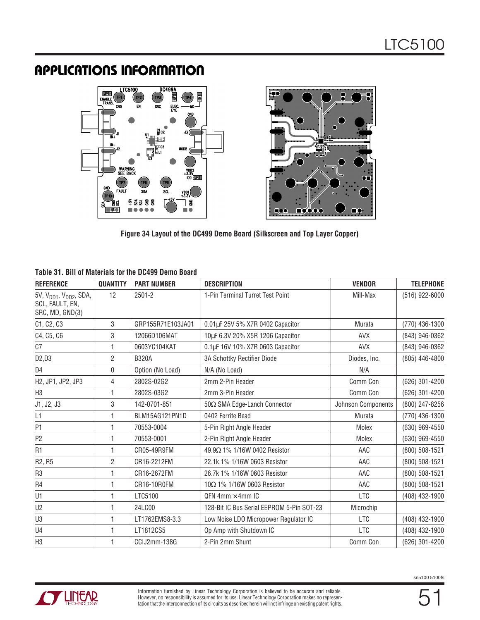

**Figure 34 Layout of the DC499 Demo Board (Silkscreen and Top Layer Copper)**

#### **Table 31. Bill of Materials for the DC499 Demo Board**

| <b>REFERENCE</b>                                                                     | <b>QUANTITY</b> | <b>PART NUMBER</b> | <b>DESCRIPTION</b>                        | <b>VENDOR</b>      | <b>TELEPHONE</b> |
|--------------------------------------------------------------------------------------|-----------------|--------------------|-------------------------------------------|--------------------|------------------|
| 5V, V <sub>DD1</sub> , V <sub>DD2</sub> , SDA,<br>SCL, FAULT, EN,<br>SRC, MD, GND(3) | 12              | $2501 - 2$         | 1-Pin Terminal Turret Test Point          | Mill-Max           | (516) 922-6000   |
| C1, C2, C3                                                                           | 3               | GRP155R71E103JA01  | 0.01µF 25V 5% X7R 0402 Capacitor          | Murata             | (770) 436-1300   |
| C4, C5, C6                                                                           | 3               | 12066D106MAT       | 10µF 6.3V 20% X5R 1206 Capacitor          | <b>AVX</b>         | (843) 946-0362   |
| C <sub>7</sub>                                                                       | 1               | 0603YC104KAT       | 0.1µF 16V 10% X7R 0603 Capacitor          | <b>AVX</b>         | (843) 946-0362   |
| D2,D3                                                                                | 2               | <b>B320A</b>       | 3A Schottky Rectifier Diode               | Diodes, Inc.       | (805) 446-4800   |
| D4                                                                                   | 0               | Option (No Load)   | N/A (No Load)                             | N/A                |                  |
| H2, JP1, JP2, JP3                                                                    | 4               | 2802S-02G2         | 2mm 2-Pin Header                          | Comm Con           | (626) 301-4200   |
| H <sub>3</sub>                                                                       | 1               | 2802S-03G2         | 2mm 3-Pin Header                          | Comm Con           | (626) 301-4200   |
| J1, J2, J3                                                                           | 3               | 142-0701-851       | 50 $\Omega$ SMA Edge-Lanch Connector      | Johnson Components | (800) 247-8256   |
| L1                                                                                   | 1               | BLM15AG121PN1D     | 0402 Ferrite Bead                         | Murata             | (770) 436-1300   |
| P <sub>1</sub>                                                                       | 1               | 70553-0004         | 5-Pin Right Angle Header                  | Molex              | (630) 969-4550   |
| P <sub>2</sub>                                                                       | 1               | 70553-0001         | 2-Pin Right Angle Header                  | Molex              | (630) 969-4550   |
| R <sub>1</sub>                                                                       | 1               | CR05-49R9FM        | 49.9Ω 1% 1/16W 0402 Resistor              | AAC                | (800) 508-1521   |
| R2, R5                                                                               | 2               | CR16-2212FM        | 22.1k 1% 1/16W 0603 Resistor              | AAC                | (800) 508-1521   |
| R <sub>3</sub>                                                                       | 1               | CR16-2672FM        | 26.7k 1% 1/16W 0603 Resistor              | AAC                | (800) 508-1521   |
| R4                                                                                   | 1               | CR16-10R0FM        | 10Ω 1% 1/16W 0603 Resistor                | AAC                | (800) 508-1521   |
| U1                                                                                   | 1               | LTC5100            | QFN 4mm $\times$ 4mm IC                   | <b>LTC</b>         | (408) 432-1900   |
| U2                                                                                   | 1               | 24LC00             | 128-Bit IC Bus Serial EEPROM 5-Pin SOT-23 | Microchip          |                  |
| U3                                                                                   | 1               | LT1762EMS8-3.3     | Low Noise LDO Micropower Regulator IC     | <b>LTC</b>         | (408) 432-1900   |
| U4                                                                                   | 1               | LT1812CS5          | Op Amp with Shutdown IC                   | <b>LTC</b>         | (408) 432-1900   |
| H <sub>3</sub>                                                                       | 1               | CCIJ2mm-138G       | 2-Pin 2mm Shunt                           | Comm Con           | (626) 301-4200   |